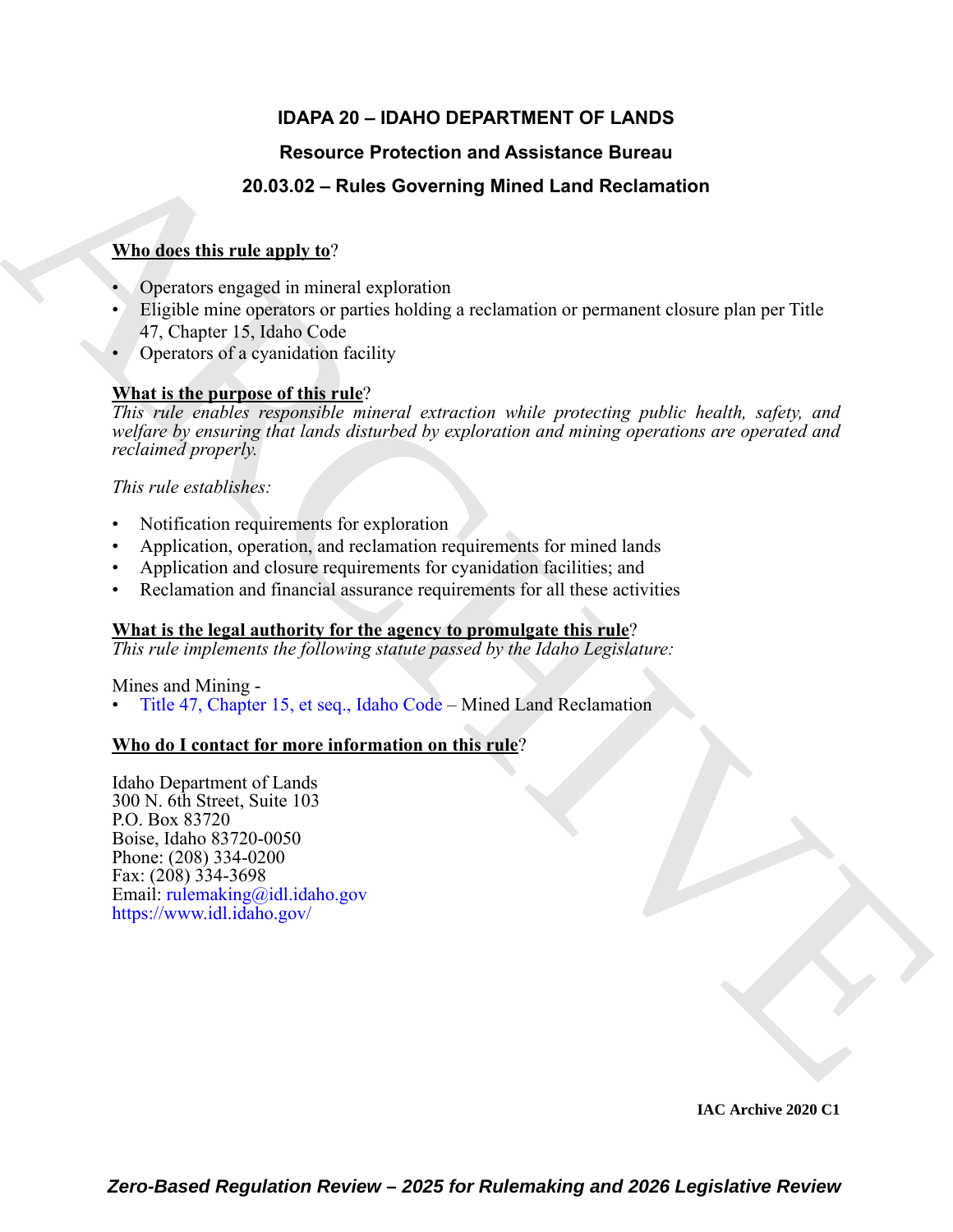# **IDAPA 20 – IDAHO DEPARTMENT OF LANDS**

# **Resource Protection and Assistance Bureau**

# **20.03.02 – Rules Governing Mined Land Reclamation**

## **Who does this rule apply to**?

- Operators engaged in mineral exploration
- Eligible mine operators or parties holding a reclamation or permanent closure plan per Title 47, Chapter 15, Idaho Code
- Operators of a cyanidation facility

## **What is the purpose of this rule**?

Resource Protection and Assistance Bureau<br>
Mhadest this rules above ming Mined Land Reclamation<br>
Whadest this rules above metric splending<br>
Application control exploration<br>
Application control exploration<br>
47. Chapter 15. *This rule enables responsible mineral extraction while protecting public health, safety, and welfare by ensuring that lands disturbed by exploration and mining operations are operated and reclaimed properly.*

*This rule establishes:*

- Notification requirements for exploration
- Application, operation, and reclamation requirements for mined lands
- Application and closure requirements for cyanidation facilities; and
- Reclamation and financial assurance requirements for all these activities

### **What is the legal authority for the agency to promulgate this rule**?

*This rule implements the following statute passed by the Idaho Legislature:*

Mines and Mining -

• Title 47, Chapter 15, et seq., Idaho Code – Mined Land Reclamation

# **Who do I contact for more information on this rule**?

Idaho Department of Lands 300 N. 6th Street, Suite 103 P.O. Box 83720 Boise, Idaho 83720-0050 Phone: (208) 334-0200 Fax: (208) 334-3698 Email: rulemaking@idl.idaho.gov https://www.idl.idaho.gov/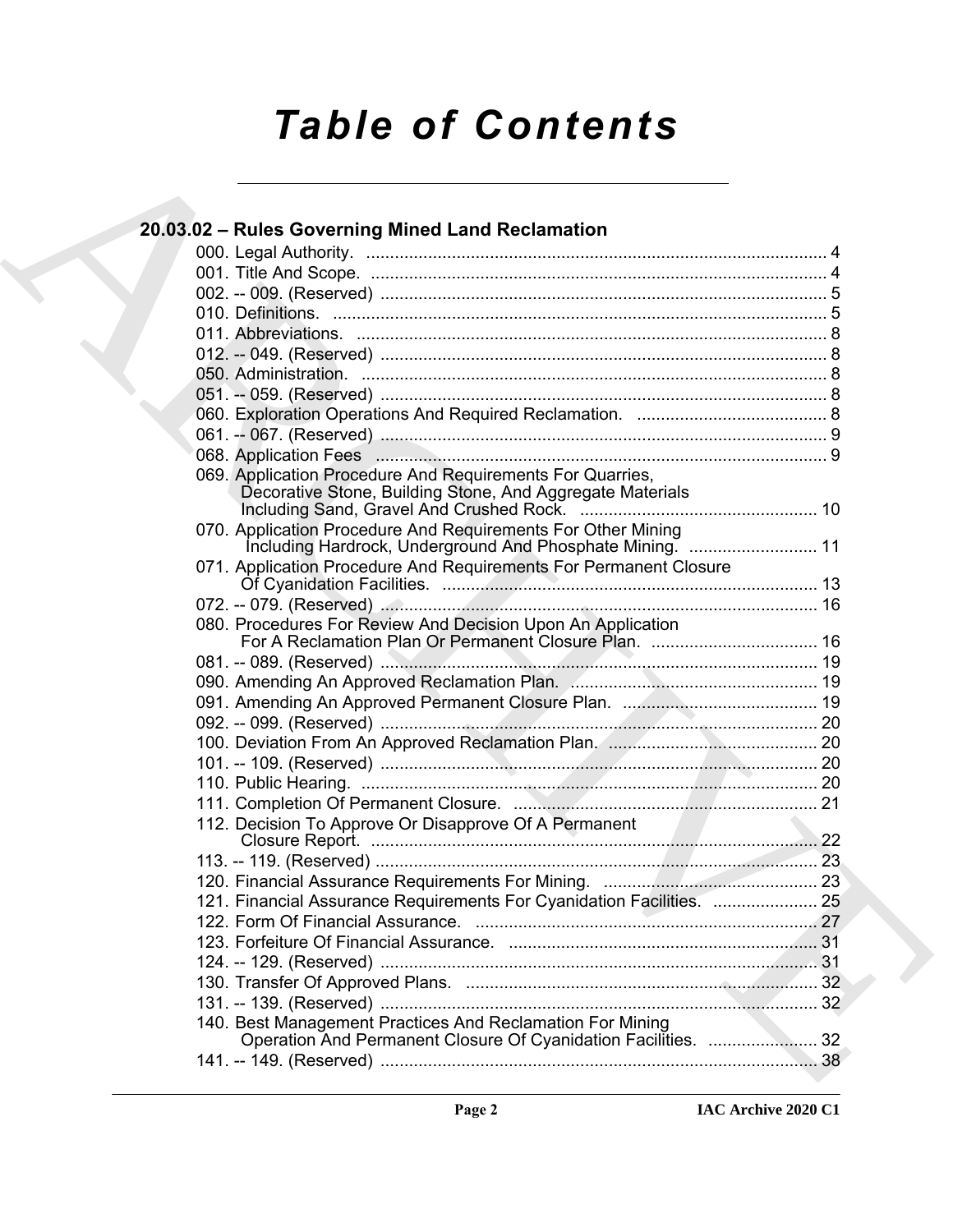# *Table of Contents*

| 20.03.02 - Rules Governing Mined Land Reclamation                                                                           |  |
|-----------------------------------------------------------------------------------------------------------------------------|--|
|                                                                                                                             |  |
|                                                                                                                             |  |
|                                                                                                                             |  |
|                                                                                                                             |  |
|                                                                                                                             |  |
|                                                                                                                             |  |
|                                                                                                                             |  |
|                                                                                                                             |  |
|                                                                                                                             |  |
|                                                                                                                             |  |
|                                                                                                                             |  |
|                                                                                                                             |  |
| 069. Application Procedure And Requirements For Quarries,<br>Decorative Stone, Building Stone, And Aggregate Materials      |  |
| 070. Application Procedure And Requirements For Other Mining                                                                |  |
| Including Hardrock, Underground And Phosphate Mining.  11                                                                   |  |
| 071. Application Procedure And Requirements For Permanent Closure                                                           |  |
|                                                                                                                             |  |
|                                                                                                                             |  |
| 080. Procedures For Review And Decision Upon An Application                                                                 |  |
|                                                                                                                             |  |
|                                                                                                                             |  |
|                                                                                                                             |  |
|                                                                                                                             |  |
|                                                                                                                             |  |
|                                                                                                                             |  |
|                                                                                                                             |  |
|                                                                                                                             |  |
|                                                                                                                             |  |
| 112. Decision To Approve Or Disapprove Of A Permanent                                                                       |  |
|                                                                                                                             |  |
|                                                                                                                             |  |
|                                                                                                                             |  |
| 121. Financial Assurance Requirements For Cyanidation Facilities.  25                                                       |  |
|                                                                                                                             |  |
|                                                                                                                             |  |
|                                                                                                                             |  |
|                                                                                                                             |  |
|                                                                                                                             |  |
| 140. Best Management Practices And Reclamation For Mining<br>Operation And Permanent Closure Of Cyanidation Facilities.  32 |  |
|                                                                                                                             |  |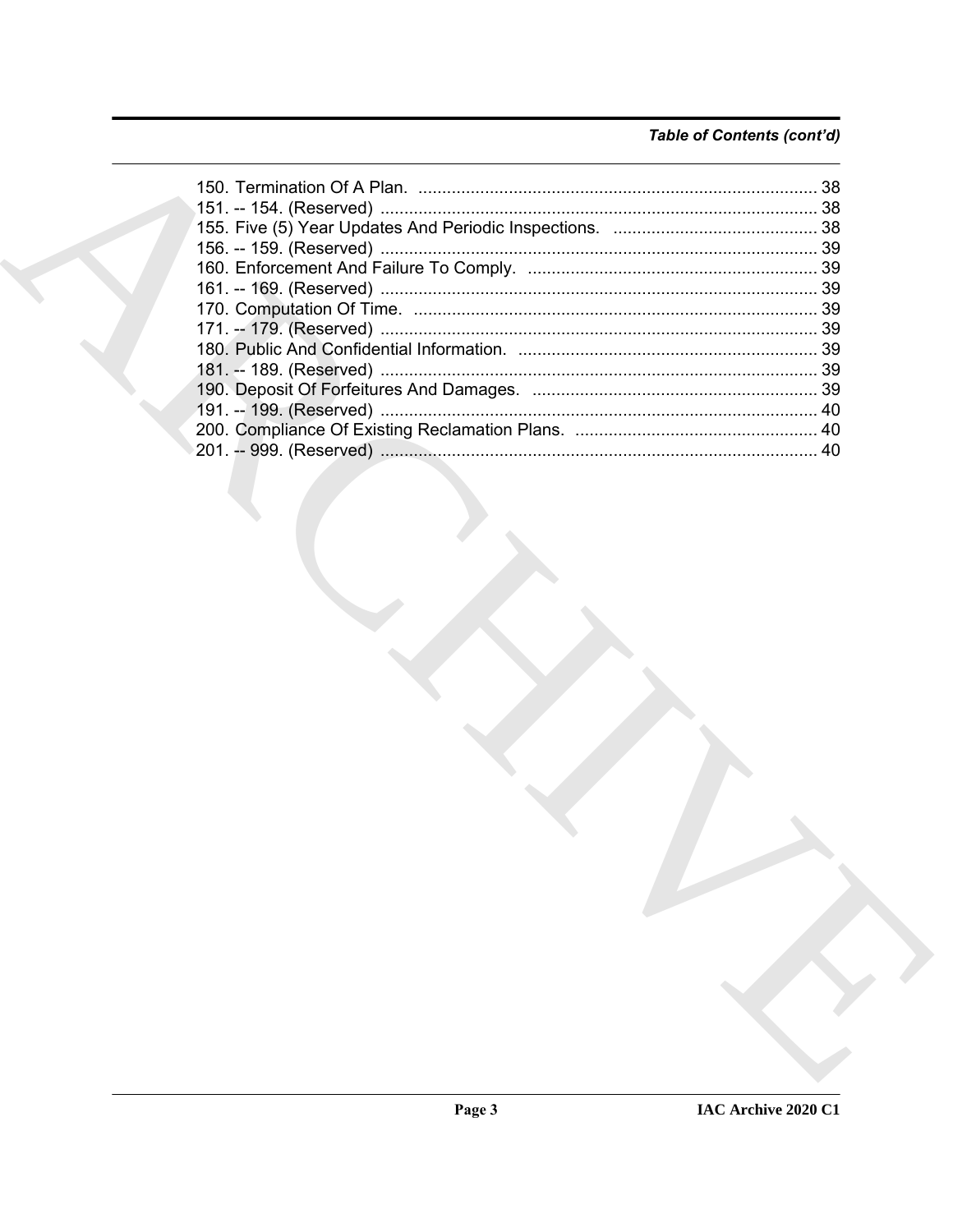# Table of Contents (cont'd)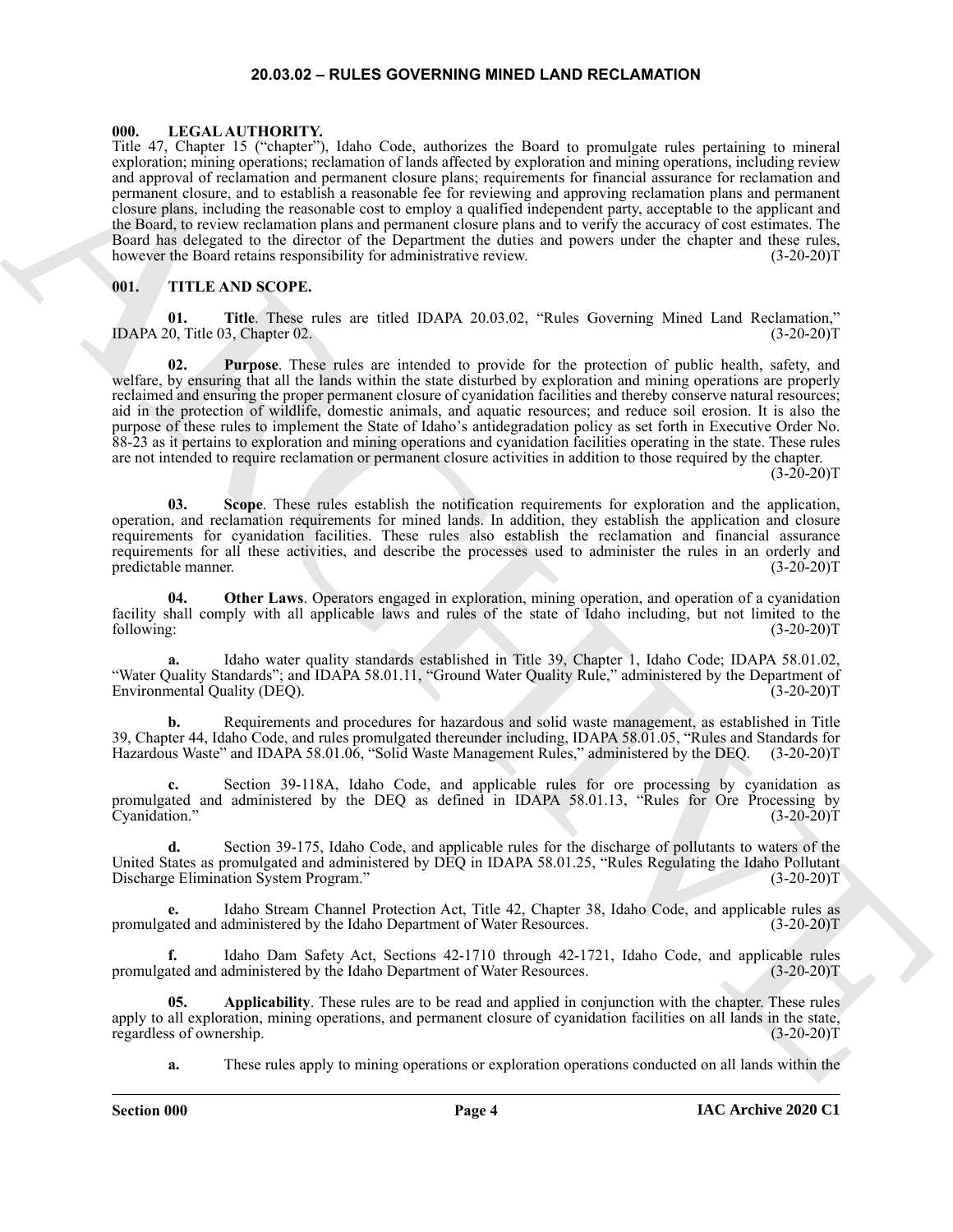#### **20.03.02 – RULES GOVERNING MINED LAND RECLAMATION**

#### <span id="page-3-3"></span><span id="page-3-1"></span><span id="page-3-0"></span>**000. LEGAL AUTHORITY.**

The  $F_0$  Content of the matter of the spin of the spin of the spin of the spin of the spin of the spin of the spin of the spin of the spin of the spin of the spin of the spin of the spin of the spin of the spin of the sp Title 47, Chapter 15 ("chapter"), Idaho Code, authorizes the Board to promulgate rules pertaining to mineral exploration; mining operations; reclamation of lands affected by exploration and mining operations, including review and approval of reclamation and permanent closure plans; requirements for financial assurance for reclamation and permanent closure, and to establish a reasonable fee for reviewing and approving reclamation plans and permanent closure plans, including the reasonable cost to employ a qualified independent party, acceptable to the applicant and the Board, to review reclamation plans and permanent closure plans and to verify the accuracy of cost estimates. The Board has delegated to the director of the Department the duties and powers under the chapter and these rules, however the Board retains responsibility for administrative review. (3-20-20) however the Board retains responsibility for administrative review.

#### <span id="page-3-4"></span><span id="page-3-2"></span>**001. TITLE AND SCOPE.**

**01.** Title. These rules are titled IDAPA 20.03.02, "Rules Governing Mined Land Reclamation," 0, Title 03, Chapter 02. (3-20-20) IDAPA 20, Title 03, Chapter 02.

**02. Purpose**. These rules are intended to provide for the protection of public health, safety, and welfare, by ensuring that all the lands within the state disturbed by exploration and mining operations are properly reclaimed and ensuring the proper permanent closure of cyanidation facilities and thereby conserve natural resources; aid in the protection of wildlife, domestic animals, and aquatic resources; and reduce soil erosion. It is also the purpose of these rules to implement the State of Idaho's antidegradation policy as set forth in Executive Order No. 88-23 as it pertains to exploration and mining operations and cyanidation facilities operating in the state. These rules are not intended to require reclamation or permanent closure activities in addition to those required by the chapter.  $(3-20-20)T$ 

**03. Scope**. These rules establish the notification requirements for exploration and the application, operation, and reclamation requirements for mined lands. In addition, they establish the application and closure requirements for cyanidation facilities. These rules also establish the reclamation and financial assurance requirements for all these activities, and describe the processes used to administer the rules in an orderly and predictable manner. (3-20-20)T

**04. Other Laws**. Operators engaged in exploration, mining operation, and operation of a cyanidation facility shall comply with all applicable laws and rules of the state of Idaho including, but not limited to the following: (3-20-20) following: (3-20-20)T

**a.** Idaho water quality standards established in Title 39, Chapter 1, Idaho Code; IDAPA 58.01.02, "Water Quality Standards"; and IDAPA 58.01.11, "Ground Water Quality Rule," administered by the Department of Environmental Quality (DEQ).

**b.** Requirements and procedures for hazardous and solid waste management, as established in Title 39, Chapter 44, Idaho Code, and rules promulgated thereunder including, IDAPA 58.01.05, "Rules and Standards for Hazardous Waste" and IDAPA 58.01.06, "Solid Waste Management Rules," administered by the DEQ. (3-20-20)T

**c.** Section 39-118A, Idaho Code, and applicable rules for ore processing by cyanidation as promulgated and administered by the DEQ as defined in IDAPA 58.01.13, "Rules for Ore Processing by Cyanidation." (3-20-20)T

**d.** Section 39-175, Idaho Code, and applicable rules for the discharge of pollutants to waters of the United States as promulgated and administered by DEQ in IDAPA 58.01.25, "Rules Regulating the Idaho Pollutant Discharge Elimination System Program." (3-20-20)T

Idaho Stream Channel Protection Act, Title 42, Chapter 38, Idaho Code, and applicable rules as administered by the Idaho Department of Water Resources. (3-20-20)<sup>T</sup> promulgated and administered by the Idaho Department of Water Resources.

**f.** Idaho Dam Safety Act, Sections 42-1710 through 42-1721, Idaho Code, and applicable rules promulgated and administered by the Idaho Department of Water Resources. (3-20-20)T

**05. Applicability**. These rules are to be read and applied in conjunction with the chapter. These rules apply to all exploration, mining operations, and permanent closure of cyanidation facilities on all lands in the state, regardless of ownership. (3-20-20)T

<span id="page-3-5"></span>**a.** These rules apply to mining operations or exploration operations conducted on all lands within the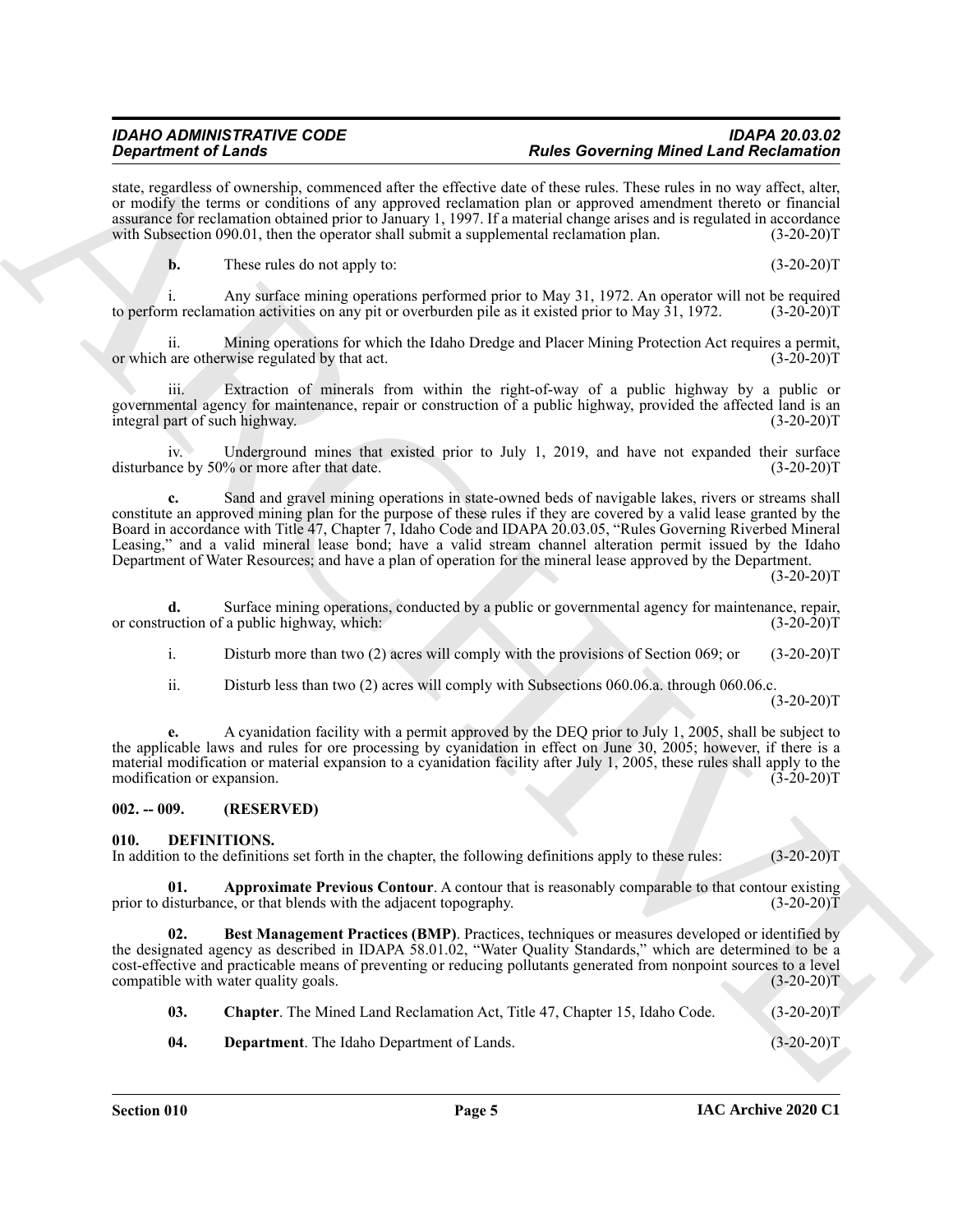state, regardless of ownership, commenced after the effective date of these rules. These rules in no way affect, alter, or modify the terms or conditions of any approved reclamation plan or approved amendment thereto or financial assurance for reclamation obtained prior to January 1, 1997. If a material change arises and is regulated in accordance<br>with Subsection 090.01, then the operator shall submit a supplemental reclamation plan. (3-20-20)T with Subsection  $090.01$ , then the operator shall submit a supplemental reclamation plan.

**b.** These rules do not apply to: (3-20-20)T

i. Any surface mining operations performed prior to May 31, 1972. An operator will not be required m reclamation activities on any pit or overburden pile as it existed prior to May 31, 1972. (3-20-20)T to perform reclamation activities on any pit or overburden pile as it existed prior to May 31, 1972.

ii. Mining operations for which the Idaho Dredge and Placer Mining Protection Act requires a permit, are otherwise regulated by that act. (3-20-20) or which are otherwise regulated by that act.

Extraction of minerals from within the right-of-way of a public highway by a public or governmental agency for maintenance, repair or construction of a public highway, provided the affected land is an integral part of such highway. integral part of such highway.

iv. Underground mines that existed prior to July 1, 2019, and have not expanded their surface disturbance by 50% or more after that date. (3-20-20)T

**Singurized of Learning Architecture of Learning Mindes Developeration and the specific Learning Mindes Channel Control in the specific Learning Mindes Channel Control in the specific Learning Channel Channel Control in c.** Sand and gravel mining operations in state-owned beds of navigable lakes, rivers or streams shall constitute an approved mining plan for the purpose of these rules if they are covered by a valid lease granted by the Board in accordance with Title 47, Chapter 7, Idaho Code and IDAPA 20.03.05, "Rules Governing Riverbed Mineral Leasing," and a valid mineral lease bond; have a valid stream channel alteration permit issued by the Idaho Department of Water Resources; and have a plan of operation for the mineral lease approved by the Department.

 $(3-20-20)T$ 

**d.** Surface mining operations, conducted by a public or governmental agency for maintenance, repair, uction of a public highway, which: (3-20-20) or construction of a public highway, which:

i. Disturb more than two (2) acres will comply with the provisions of Section 069; or (3-20-20)T

ii. Disturb less than two (2) acres will comply with Subsections 060.06.a. through 060.06.c.

 $(3-20-20)T$ 

**e.** A cyanidation facility with a permit approved by the DEQ prior to July 1, 2005, shall be subject to the applicable laws and rules for ore processing by cyanidation in effect on June 30, 2005; however, if there is a material modification or material expansion to a cyanidation facility after July 1, 2005, these rules shall apply to the modification or expansion. (3-20-20)T

#### <span id="page-4-0"></span>**002. -- 009. (RESERVED)**

#### <span id="page-4-2"></span><span id="page-4-1"></span>**010. DEFINITIONS.**

In addition to the definitions set forth in the chapter, the following definitions apply to these rules: (3-20-20)T

<span id="page-4-3"></span>**01. Approximate Previous Contour**. A contour that is reasonably comparable to that contour existing listurbance, or that blends with the adjacent topography. (3-20-20) prior to disturbance, or that blends with the adjacent topography.

**02. Best Management Practices (BMP)**. Practices, techniques or measures developed or identified by the designated agency as described in IDAPA 58.01.02, "Water Quality Standards," which are determined to be a cost-effective and practicable means of preventing or reducing pollutants generated from nonpoint sources to a level compatible with water quality goals. (3-20-20)T

<span id="page-4-6"></span><span id="page-4-5"></span><span id="page-4-4"></span>**03.** Chapter. The Mined Land Reclamation Act, Title 47, Chapter 15, Idaho Code. (3-20-20)T

**04. Department**. The Idaho Department of Lands. (3-20-20)T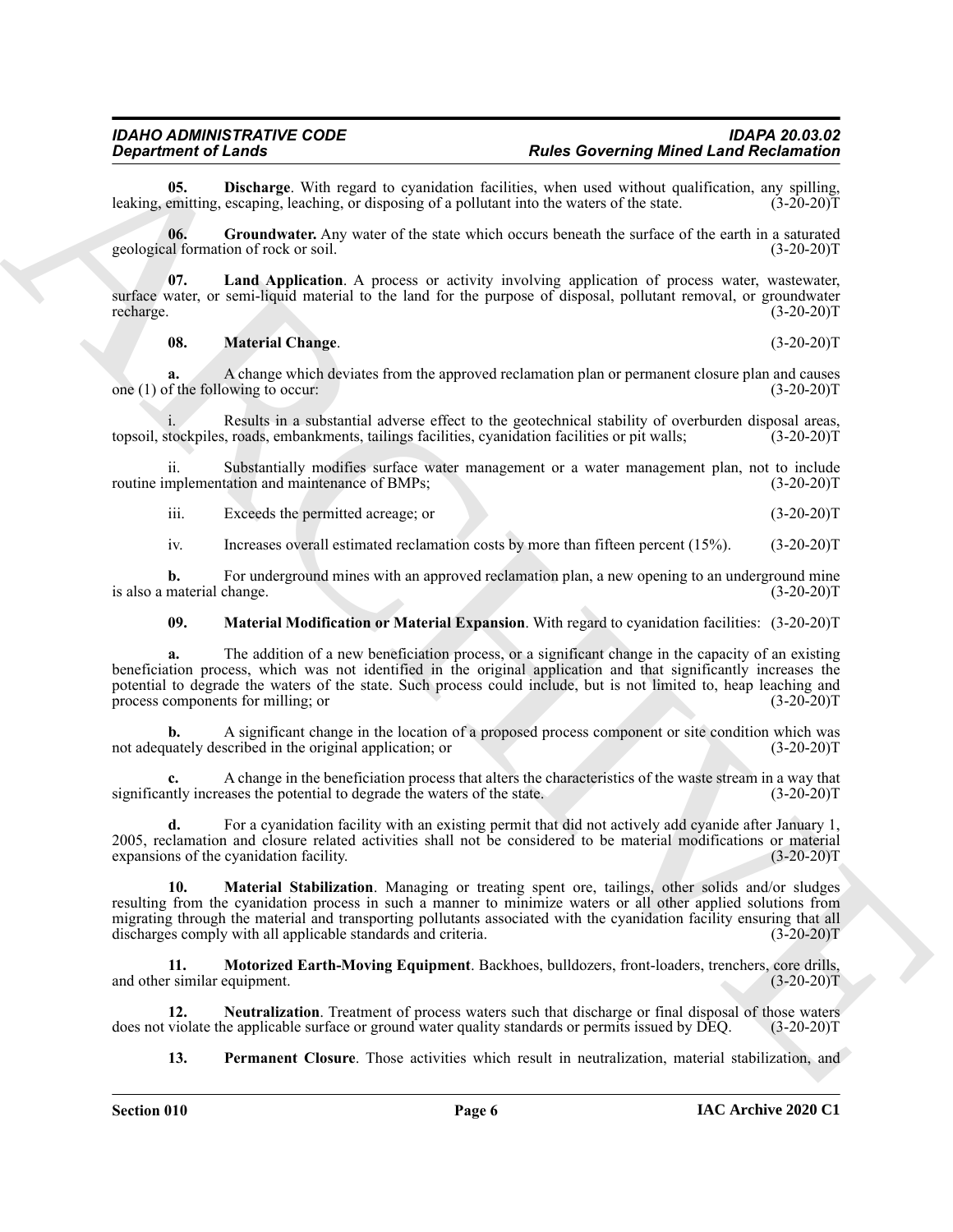<span id="page-5-0"></span>**05. Discharge**. With regard to cyanidation facilities, when used without qualification, any spilling, emitting, escaping, leaching, or disposing of a pollutant into the waters of the state. (3-20-20) leaking, emitting, escaping, leaching, or disposing of a pollutant into the waters of the state.

<span id="page-5-1"></span>**06.** Groundwater. Any water of the state which occurs beneath the surface of the earth in a saturated al formation of rock or soil.  $(3-20-20)T$ geological formation of rock or soil.

**07. Land Application**. A process or activity involving application of process water, wastewater, surface water, or semi-liquid material to the land for the purpose of disposal, pollutant removal, or groundwater recharge. (3-20-20) recharge.  $(3-20-20)T$ 

#### <span id="page-5-3"></span><span id="page-5-2"></span>**08. Material Change**. (3-20-20)T

A change which deviates from the approved reclamation plan or permanent closure plan and causes owing to occur:  $(3-20-20)$ one  $(1)$  of the following to occur:

Results in a substantial adverse effect to the geotechnical stability of overburden disposal areas,<br>s, roads, embankments, tailings facilities, cyanidation facilities or pit walls; (3-20-20) topsoil, stockpiles, roads, embankments, tailings facilities, cyanidation facilities or pit walls;

ii. Substantially modifies surface water management or a water management plan, not to include mplementation and maintenance of BMPs; (3-20-20) routine implementation and maintenance of BMPs;

iii. Exceeds the permitted acreage; or (3-20-20)T

iv. Increases overall estimated reclamation costs by more than fifteen percent (15%). (3-20-20)T

**b.** For underground mines with an approved reclamation plan, a new opening to an underground mine material change.  $(3-20-20)T$ is also a material change.

<span id="page-5-4"></span>**09. Material Modification or Material Expansion**. With regard to cyanidation facilities: (3-20-20)T

**a.** The addition of a new beneficiation process, or a significant change in the capacity of an existing beneficiation process, which was not identified in the original application and that significantly increases the potential to degrade the waters of the state. Such process could include, but is not limited to, heap leaching and process components for milling; or (3-20-20)T

**b.** A significant change in the location of a proposed process component or site condition which was uately described in the original application: or  $(3-20-20)$ not adequately described in the original application; or

A change in the beneficiation process that alters the characteristics of the waste stream in a way that cases the potential to degrade the waters of the state. (3-20-20)<sup>T</sup> significantly increases the potential to degrade the waters of the state.

<span id="page-5-5"></span>**d.** For a cyanidation facility with an existing permit that did not actively add cyanide after January 1, 2005, reclamation and closure related activities shall not be considered to be material modifications or material expansions of the cyanidation facility. (3-20-20) expansions of the cyanidation facility.

**Expansion of Lensing.** With require the main terminology **But the Covering Mindex Lensing Construction**<br>
Lensing, the spin-terminology and position and the spin-terminology and the spin-terminology and the spin-terminolo **10. Material Stabilization**. Managing or treating spent ore, tailings, other solids and/or sludges resulting from the cyanidation process in such a manner to minimize waters or all other applied solutions from migrating through the material and transporting pollutants associated with the cyanidation facility ensuring that all<br>discharges comply with all applicable standards and criteria. (3-20-20) discharges comply with all applicable standards and criteria.

<span id="page-5-6"></span>**11. Motorized Earth-Moving Equipment**. Backhoes, bulldozers, front-loaders, trenchers, core drills, and other similar equipment. (3-20-20)T

**12. Neutralization**. Treatment of process waters such that discharge or final disposal of those waters violate the applicable surface or ground water quality standards or permits issued by DEQ.  $(3-20-20)T$ does not violate the applicable surface or ground water quality standards or permits issued by DEQ.

<span id="page-5-8"></span><span id="page-5-7"></span>**13. Permanent Closure**. Those activities which result in neutralization, material stabilization, and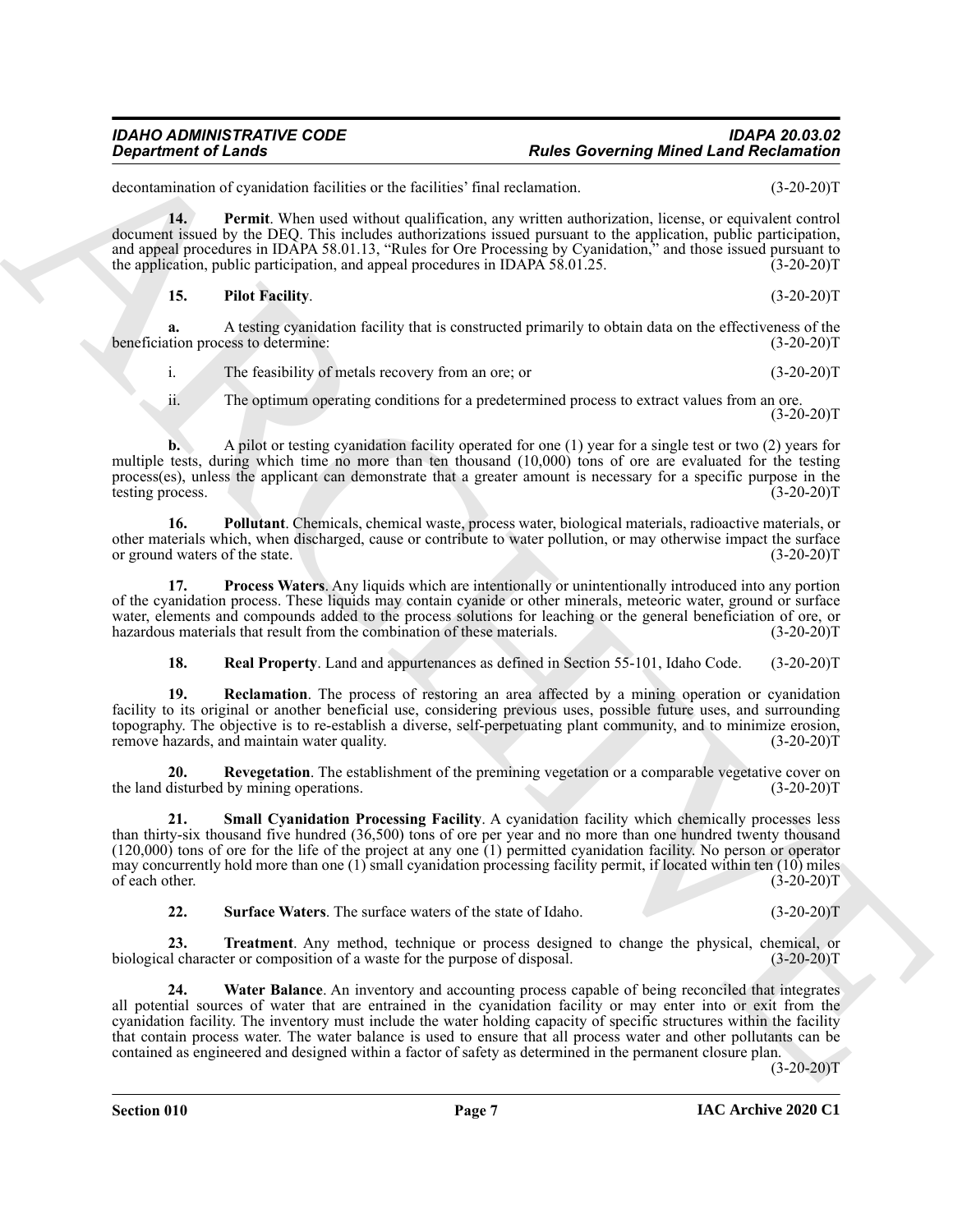#### *IDAHO ADMINISTRATIVE CODE IDAPA 20.03.02* **Rules Governing Mined Land Reclamation**

decontamination of cyanidation facilities or the facilities' final reclamation. (3-20-20)T

**14. Permit**. When used without qualification, any written authorization, license, or equivalent control document issued by the DEQ. This includes authorizations issued pursuant to the application, public participation, and appeal procedures in IDAPA 58.01.13, "Rules for Ore Processing by Cyanidation," and those issued pursuant to the application, public participation, and appeal procedures in IDAPA 58.01.25. (3-20-20)T

<span id="page-6-1"></span><span id="page-6-0"></span>**15. Pilot Facility**. (3-20-20)T

**a.** A testing cyanidation facility that is constructed primarily to obtain data on the effectiveness of the tion process to determine: (3-20-20) beneficiation process to determine:

i. The feasibility of metals recovery from an ore; or (3-20-20)T

ii. The optimum operating conditions for a predetermined process to extract values from an ore. (3-20-20)T

**b.** A pilot or testing cyanidation facility operated for one (1) year for a single test or two (2) years for multiple tests, during which time no more than ten thousand (10,000) tons of ore are evaluated for the testing process(es), unless the applicant can demonstrate that a greater amount is necessary for a specific purpose in the testing process. (3-20-20)T

<span id="page-6-2"></span>**16. Pollutant**. Chemicals, chemical waste, process water, biological materials, radioactive materials, or other materials which, when discharged, cause or contribute to water pollution, or may otherwise impact the surface<br>or ground waters of the state. (3-20-20)T or ground waters of the state.

**17. Process Waters**. Any liquids which are intentionally or unintentionally introduced into any portion of the cyanidation process. These liquids may contain cyanide or other minerals, meteoric water, ground or surface water, elements and compounds added to the process solutions for leaching or the general beneficiation of ore, or hazardous materials that result from the combination of these materials. (3-20-20) hazardous materials that result from the combination of these materials.

<span id="page-6-6"></span><span id="page-6-5"></span><span id="page-6-4"></span><span id="page-6-3"></span>**18. Real Property**. Land and appurtenances as defined in Section 55-101, Idaho Code. (3-20-20)T

**19. Reclamation**. The process of restoring an area affected by a mining operation or cyanidation facility to its original or another beneficial use, considering previous uses, possible future uses, and surrounding topography. The objective is to re-establish a diverse, self-perpetuating plant community, and to minimize erosion, remove hazards, and maintain water quality. (3-20-20) remove hazards, and maintain water quality.

<span id="page-6-7"></span>**20.** Revegetation. The establishment of the premining vegetation or a comparable vegetative cover on disturbed by mining operations. (3-20-20) the land disturbed by mining operations.

**Experiment of Leads Constraints of the Constraint Constraint Constraint Constraint Constraint Constraint Constraint Constraint Constraint Constraint Constraint Constraint Constraint Constraint Constraint Constraint Const 21. Small Cyanidation Processing Facility**. A cyanidation facility which chemically processes less than thirty-six thousand five hundred (36,500) tons of ore per year and no more than one hundred twenty thousand (120,000) tons of ore for the life of the project at any one (1) permitted cyanidation facility. No person or operator may concurrently hold more than one  $(1)$  small cyanidation processing facility permit, if located within ten  $(10)$  miles of each other. (3-20-20)T

<span id="page-6-10"></span><span id="page-6-9"></span><span id="page-6-8"></span>**22. Surface Waters**. The surface waters of the state of Idaho. (3-20-20)T

**23. Treatment**. Any method, technique or process designed to change the physical, chemical, or al character or composition of a waste for the purpose of disposal. (3-20-20) biological character or composition of a waste for the purpose of disposal.

**24. Water Balance**. An inventory and accounting process capable of being reconciled that integrates all potential sources of water that are entrained in the cyanidation facility or may enter into or exit from the cyanidation facility. The inventory must include the water holding capacity of specific structures within the facility that contain process water. The water balance is used to ensure that all process water and other pollutants can be contained as engineered and designed within a factor of safety as determined in the permanent closure plan.

 $(3-20-20)T$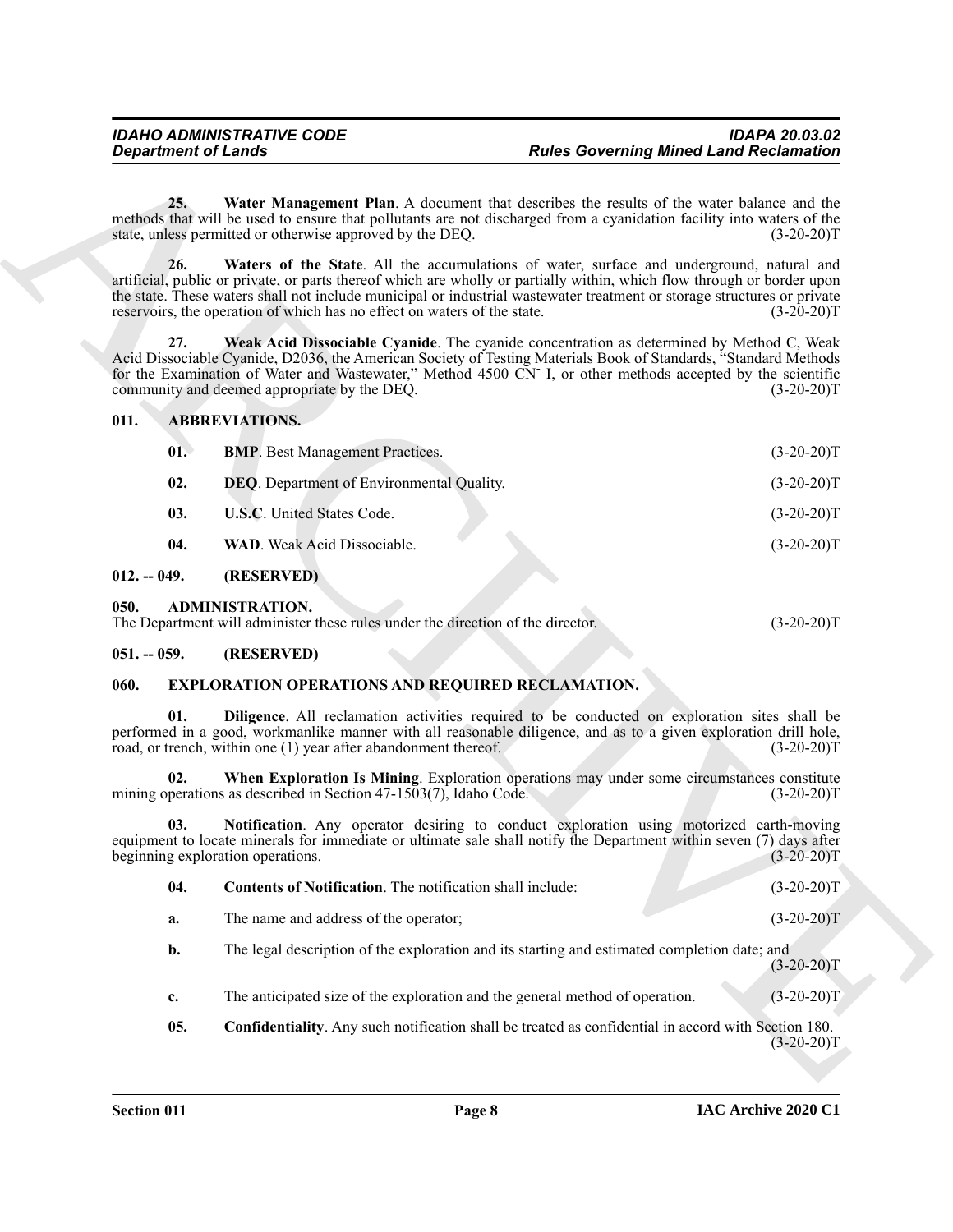#### <span id="page-7-13"></span><span id="page-7-12"></span><span id="page-7-8"></span><span id="page-7-7"></span><span id="page-7-6"></span><span id="page-7-5"></span><span id="page-7-0"></span>**011. ABBREVIATIONS.**

<span id="page-7-11"></span>

| <b>Department of Lands</b> |                                                                                                           | <b>Rules Governing Mined Land Reclamation</b>                                                                                                                                                                                                                                                                                                   |              |
|----------------------------|-----------------------------------------------------------------------------------------------------------|-------------------------------------------------------------------------------------------------------------------------------------------------------------------------------------------------------------------------------------------------------------------------------------------------------------------------------------------------|--------------|
| 25.                        | state, unless permitted or otherwise approved by the DEQ.                                                 | Water Management Plan. A document that describes the results of the water balance and the<br>methods that will be used to ensure that pollutants are not discharged from a cyanidation facility into waters of the                                                                                                                              | $(3-20-20)T$ |
| 26.                        | reservoirs, the operation of which has no effect on waters of the state.                                  | Waters of the State. All the accumulations of water, surface and underground, natural and<br>artificial, public or private, or parts thereof which are wholly or partially within, which flow through or border upon<br>the state. These waters shall not include municipal or industrial wastewater treatment or storage structures or private | $(3-20-20)T$ |
| 27.                        | community and deemed appropriate by the DEQ.                                                              | Weak Acid Dissociable Cyanide. The cyanide concentration as determined by Method C, Weak<br>Acid Dissociable Cyanide, D2036, the American Society of Testing Materials Book of Standards, "Standard Methods<br>for the Examination of Water and Wastewater," Method 4500 CN I, or other methods accepted by the scientific                      | $(3-20-20)T$ |
| 011.                       | <b>ABBREVIATIONS.</b>                                                                                     |                                                                                                                                                                                                                                                                                                                                                 |              |
| 01.                        | <b>BMP</b> . Best Management Practices.                                                                   |                                                                                                                                                                                                                                                                                                                                                 | $(3-20-20)T$ |
| 02.                        | DEQ. Department of Environmental Quality.                                                                 |                                                                                                                                                                                                                                                                                                                                                 | $(3-20-20)T$ |
| 03.                        | U.S.C. United States Code.                                                                                |                                                                                                                                                                                                                                                                                                                                                 | $(3-20-20)T$ |
| 04.                        | WAD. Weak Acid Dissociable.                                                                               |                                                                                                                                                                                                                                                                                                                                                 | $(3-20-20)T$ |
| $012. - 049.$              | (RESERVED)                                                                                                |                                                                                                                                                                                                                                                                                                                                                 |              |
| 050.                       | <b>ADMINISTRATION.</b><br>The Department will administer these rules under the direction of the director. |                                                                                                                                                                                                                                                                                                                                                 | $(3-20-20)T$ |
| $051. - 059.$              | (RESERVED)                                                                                                |                                                                                                                                                                                                                                                                                                                                                 |              |
| 060.                       | <b>EXPLORATION OPERATIONS AND REQUIRED RECLAMATION.</b>                                                   |                                                                                                                                                                                                                                                                                                                                                 |              |
| 01.                        | road, or trench, within one (1) year after abandonment thereof.                                           | Diligence. All reclamation activities required to be conducted on exploration sites shall be<br>performed in a good, workmanlike manner with all reasonable diligence, and as to a given exploration drill hole,                                                                                                                                | $(3-20-20)T$ |
| 02.                        | mining operations as described in Section $47-1503(7)$ , Idaho Code.                                      | When Exploration Is Mining. Exploration operations may under some circumstances constitute                                                                                                                                                                                                                                                      | $(3-20-20)T$ |
| 03.                        | beginning exploration operations.                                                                         | Notification. Any operator desiring to conduct exploration using motorized earth-moving<br>equipment to locate minerals for immediate or ultimate sale shall notify the Department within seven (7) days after                                                                                                                                  | $(3-20-20)T$ |
| 04.                        | Contents of Notification. The notification shall include:                                                 |                                                                                                                                                                                                                                                                                                                                                 | $(3-20-20)T$ |
| a.                         | The name and address of the operator;                                                                     |                                                                                                                                                                                                                                                                                                                                                 | $(3-20-20)T$ |
| b.                         |                                                                                                           | The legal description of the exploration and its starting and estimated completion date; and                                                                                                                                                                                                                                                    | $(3-20-20)T$ |
| c.                         |                                                                                                           | The anticipated size of the exploration and the general method of operation.                                                                                                                                                                                                                                                                    | $(3-20-20)T$ |
| 05.                        |                                                                                                           | Confidentiality. Any such notification shall be treated as confidential in accord with Section 180.                                                                                                                                                                                                                                             | $(3-20-20)T$ |
|                            |                                                                                                           |                                                                                                                                                                                                                                                                                                                                                 |              |

### <span id="page-7-10"></span><span id="page-7-9"></span><span id="page-7-2"></span><span id="page-7-1"></span>**050. ADMINISTRATION.**

| vvv. | 11 12 11 11 12 12 13 14 15 17 18                                                |  |              |  |
|------|---------------------------------------------------------------------------------|--|--------------|--|
|      | The Department will administer these rules under the direction of the director. |  | $(3-20-20)T$ |  |

#### <span id="page-7-3"></span>**051. -- 059. (RESERVED)**

#### <span id="page-7-17"></span><span id="page-7-14"></span><span id="page-7-4"></span>**060. EXPLORATION OPERATIONS AND REQUIRED RECLAMATION.**

<span id="page-7-19"></span><span id="page-7-18"></span><span id="page-7-16"></span><span id="page-7-15"></span>

| -04.      | <b>Contents of Notification</b> . The notification shall include:                            | $(3-20-20)T$ |
|-----------|----------------------------------------------------------------------------------------------|--------------|
| а.        | The name and address of the operator;                                                        | $(3-20-20)T$ |
| <b>b.</b> | The legal description of the exploration and its starting and estimated completion date; and |              |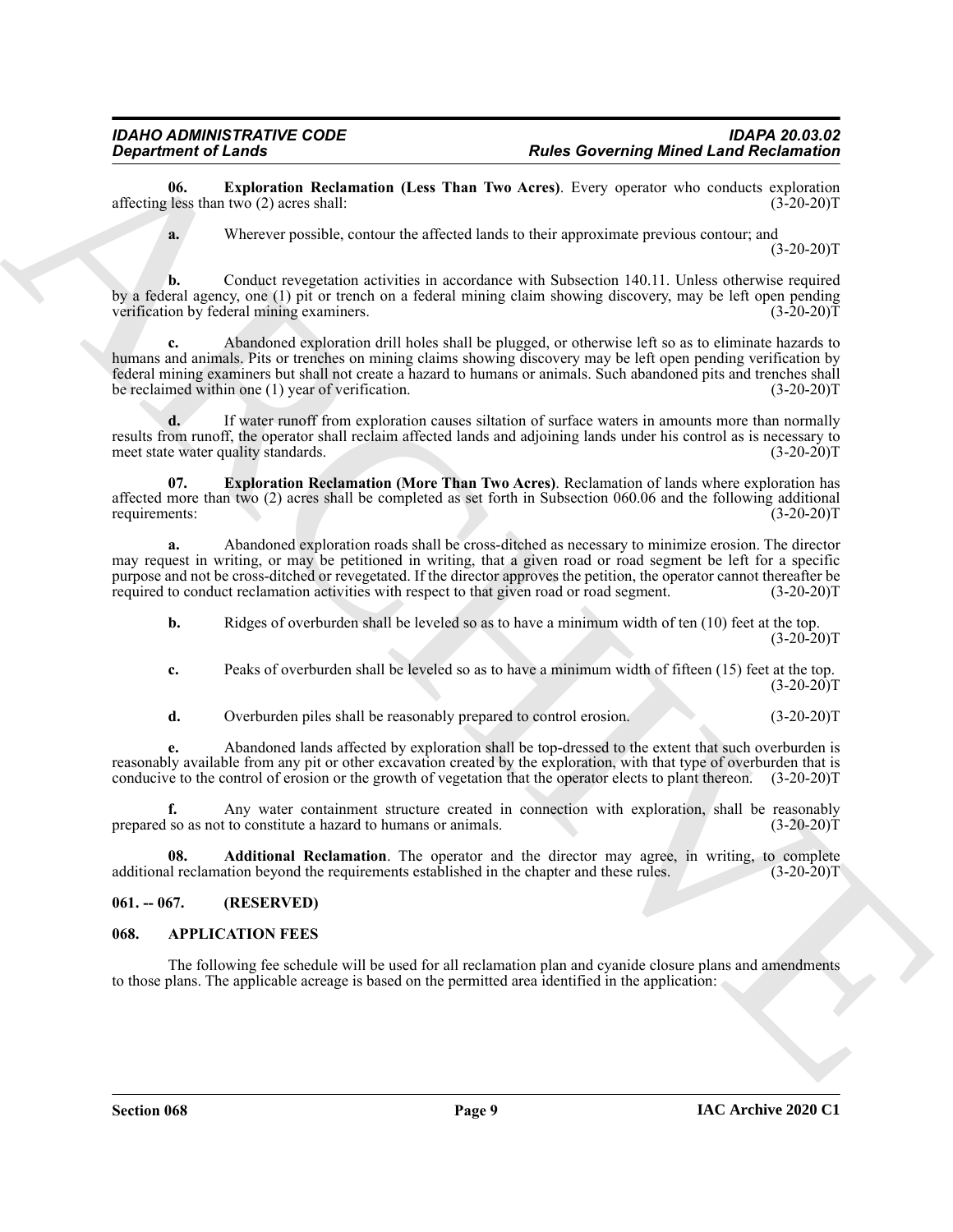**06. Exploration Reclamation (Less Than Two Acres)**. Every operator who conducts exploration (less than two (2) acres shall: (3-20-20) affecting less than two  $(2)$  acres shall:

<span id="page-8-4"></span>**a.** Wherever possible, contour the affected lands to their approximate previous contour; and  $(3-20-20)T$ 

**b.** Conduct revegetation activities in accordance with Subsection 140.11. Unless otherwise required by a federal agency, one (1) pit or trench on a federal mining claim showing discovery, may be left open pending verification by federal mining examiners. (3-20-20)T

**Experiment of Leading Schules Rectannian Clear Ball be comparison to the specific Land Rectannian and the specific state of the specific state of the specific state of the specific state of the specific state of the spec c.** Abandoned exploration drill holes shall be plugged, or otherwise left so as to eliminate hazards to humans and animals. Pits or trenches on mining claims showing discovery may be left open pending verification by federal mining examiners but shall not create a hazard to humans or animals. Such abandoned pits and trenches shall be reclaimed within one (1) year of verification. (3-20-20)T

**d.** If water runoff from exploration causes siltation of surface waters in amounts more than normally results from runoff, the operator shall reclaim affected lands and adjoining lands under his control as is necessary to meet state water quality standards. (3-20-20) meet state water quality standards.

<span id="page-8-5"></span>**07. Exploration Reclamation (More Than Two Acres)**. Reclamation of lands where exploration has affected more than two (2) acres shall be completed as set forth in Subsection 060.06 and the following additional requirements: (3-20-20) requirements:

**a.** Abandoned exploration roads shall be cross-ditched as necessary to minimize erosion. The director may request in writing, or may be petitioned in writing, that a given road or road segment be left for a specific purpose and not be cross-ditched or revegetated. If the director approves the petition, the operator cannot thereafter be required to conduct reclamation activities with respect to that given road or road segment. (3-20-20 required to conduct reclamation activities with respect to that given road or road segment.

**b.** Ridges of overburden shall be leveled so as to have a minimum width of ten (10) feet at the top.  $(3-20-20)T$ 

**c.** Peaks of overburden shall be leveled so as to have a minimum width of fifteen (15) feet at the top.  $(3-20-20)T$ 

**d.** Overburden piles shall be reasonably prepared to control erosion.  $(3-20-20)T$ 

**e.** Abandoned lands affected by exploration shall be top-dressed to the extent that such overburden is reasonably available from any pit or other excavation created by the exploration, with that type of overburden that is conducive to the control of erosion or the growth of vegetation that the operator elects to plant thereon. (3-20-20)T

**f.** Any water containment structure created in connection with exploration, shall be reasonably so as not to constitute a hazard to humans or animals. (3-20-20) prepared so as not to constitute a hazard to humans or animals.

<span id="page-8-3"></span>**08. Additional Reclamation**. The operator and the director may agree, in writing, to complete al reclamation beyond the requirements established in the chapter and these rules. (3-20-20)T additional reclamation beyond the requirements established in the chapter and these rules.

### <span id="page-8-0"></span>**061. -- 067. (RESERVED)**

#### <span id="page-8-2"></span><span id="page-8-1"></span>**068. APPLICATION FEES**

The following fee schedule will be used for all reclamation plan and cyanide closure plans and amendments to those plans. The applicable acreage is based on the permitted area identified in the application: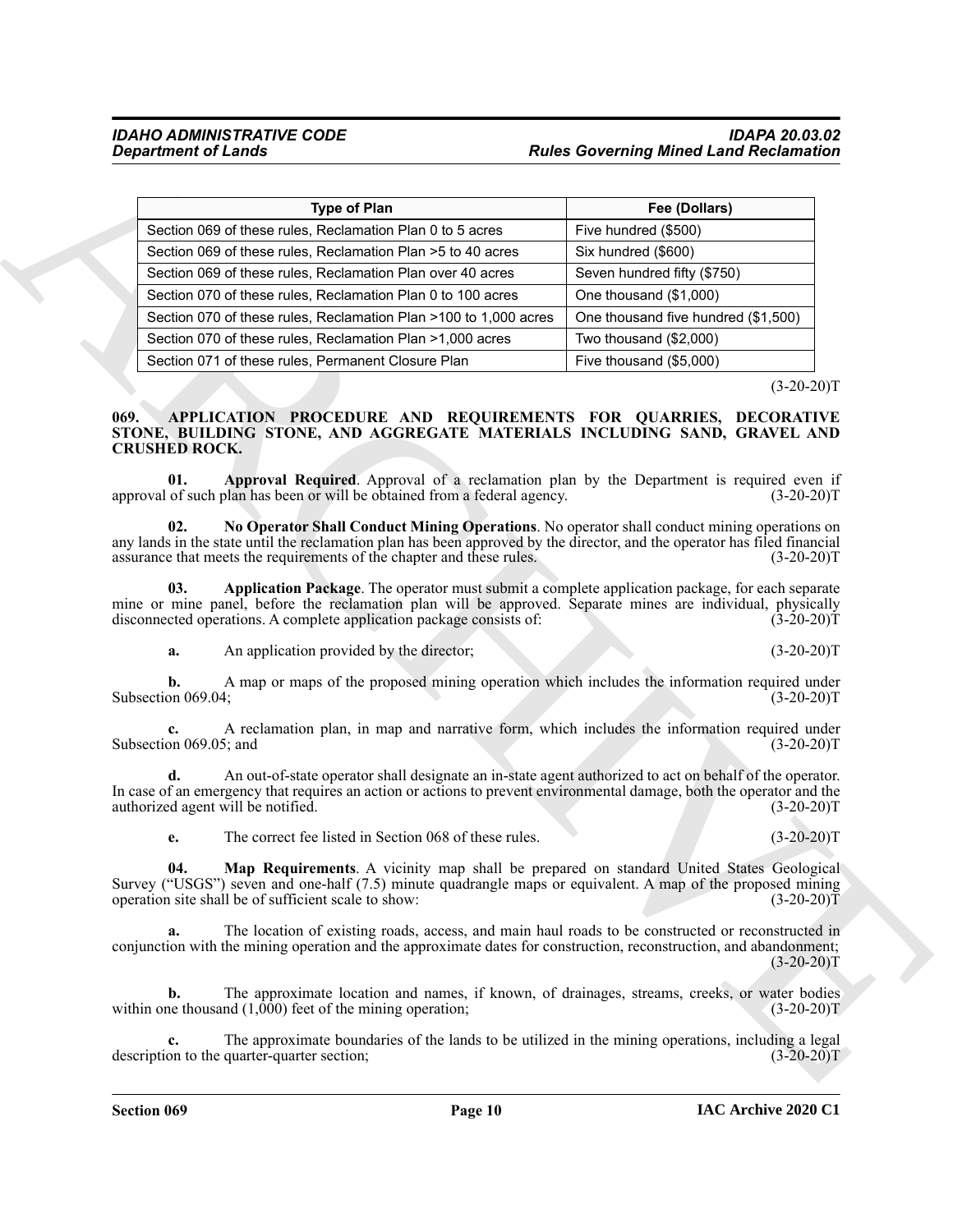|                                                                                         | <b>Type of Plan</b>                                                                                              | Fee (Dollars)                                                                                                                                                                                                                                                                                                                                                                                                                                              |
|-----------------------------------------------------------------------------------------|------------------------------------------------------------------------------------------------------------------|------------------------------------------------------------------------------------------------------------------------------------------------------------------------------------------------------------------------------------------------------------------------------------------------------------------------------------------------------------------------------------------------------------------------------------------------------------|
|                                                                                         | Section 069 of these rules, Reclamation Plan 0 to 5 acres                                                        | Five hundred (\$500)                                                                                                                                                                                                                                                                                                                                                                                                                                       |
|                                                                                         | Section 069 of these rules, Reclamation Plan > 5 to 40 acres                                                     | Six hundred (\$600)                                                                                                                                                                                                                                                                                                                                                                                                                                        |
|                                                                                         | Section 069 of these rules, Reclamation Plan over 40 acres                                                       | Seven hundred fifty (\$750)                                                                                                                                                                                                                                                                                                                                                                                                                                |
|                                                                                         | Section 070 of these rules, Reclamation Plan 0 to 100 acres                                                      | One thousand (\$1,000)                                                                                                                                                                                                                                                                                                                                                                                                                                     |
|                                                                                         | Section 070 of these rules, Reclamation Plan >100 to 1,000 acres                                                 | One thousand five hundred (\$1,500)                                                                                                                                                                                                                                                                                                                                                                                                                        |
|                                                                                         | Section 070 of these rules, Reclamation Plan >1,000 acres                                                        | Two thousand (\$2,000)                                                                                                                                                                                                                                                                                                                                                                                                                                     |
| Section 071 of these rules, Permanent Closure Plan                                      |                                                                                                                  | Five thousand (\$5,000)                                                                                                                                                                                                                                                                                                                                                                                                                                    |
|                                                                                         |                                                                                                                  | $(3-20-20)T$                                                                                                                                                                                                                                                                                                                                                                                                                                               |
| <b>CRUSHED ROCK.</b><br>01.                                                             | approval of such plan has been or will be obtained from a federal agency.                                        | STONE, BUILDING STONE, AND AGGREGATE MATERIALS INCLUDING SAND, GRAVEL AND<br>Approval Required. Approval of a reclamation plan by the Department is required even if<br>$(3-20-20)T$                                                                                                                                                                                                                                                                       |
| 02.<br>03.                                                                              | assurance that meets the requirements of the chapter and these rules.                                            | No Operator Shall Conduct Mining Operations. No operator shall conduct mining operations on<br>any lands in the state until the reclamation plan has been approved by the director, and the operator has filed financial<br>$(3-20-20)T$<br>Application Package. The operator must submit a complete application package, for each separate<br>mine or mine panel, before the reclamation plan will be approved. Separate mines are individual, physically |
| a.                                                                                      | disconnected operations. A complete application package consists of:<br>An application provided by the director; | $(3-20-20)T$<br>$(3-20-20)T$                                                                                                                                                                                                                                                                                                                                                                                                                               |
|                                                                                         |                                                                                                                  |                                                                                                                                                                                                                                                                                                                                                                                                                                                            |
| b.<br>Subsection 069.04;                                                                |                                                                                                                  | A map or maps of the proposed mining operation which includes the information required under<br>$(3-20-20)T$                                                                                                                                                                                                                                                                                                                                               |
| c.<br>Subsection 069.05; and                                                            |                                                                                                                  | A reclamation plan, in map and narrative form, which includes the information required under<br>$(3-20-20)T$                                                                                                                                                                                                                                                                                                                                               |
| d.<br>authorized agent will be notified.                                                |                                                                                                                  | An out-of-state operator shall designate an in-state agent authorized to act on behalf of the operator.<br>In case of an emergency that requires an action or actions to prevent environmental damage, both the operator and the<br>$(3-20-20)T$                                                                                                                                                                                                           |
|                                                                                         | The correct fee listed in Section 068 of these rules.                                                            | $(3-20-20)T$                                                                                                                                                                                                                                                                                                                                                                                                                                               |
| 04.<br>operation site shall be of sufficient scale to show:                             |                                                                                                                  | Map Requirements. A vicinity map shall be prepared on standard United States Geological<br>Survey ("USGS") seven and one-half (7.5) minute quadrangle maps or equivalent. A map of the proposed mining<br>$(3-20-20)T$                                                                                                                                                                                                                                     |
|                                                                                         |                                                                                                                  |                                                                                                                                                                                                                                                                                                                                                                                                                                                            |
| a.                                                                                      | The location of existing roads, access, and main haul roads to be constructed or reconstructed in                | conjunction with the mining operation and the approximate dates for construction, reconstruction, and abandonment;<br>$(3-20-20)T$                                                                                                                                                                                                                                                                                                                         |
| b.<br>within one thousand $(1,\overline{0}\overline{0}0)$ feet of the mining operation; |                                                                                                                  | The approximate location and names, if known, of drainages, streams, creeks, or water bodies<br>$(3-20-20)T$                                                                                                                                                                                                                                                                                                                                               |

#### <span id="page-9-5"></span><span id="page-9-4"></span><span id="page-9-3"></span><span id="page-9-2"></span><span id="page-9-1"></span><span id="page-9-0"></span>**069. APPLICATION PROCEDURE AND REQUIREMENTS FOR QUARRIES, DECORATIVE STONE, BUILDING STONE, AND AGGREGATE MATERIALS INCLUDING SAND, GRAVEL AND CRUSHED ROCK.**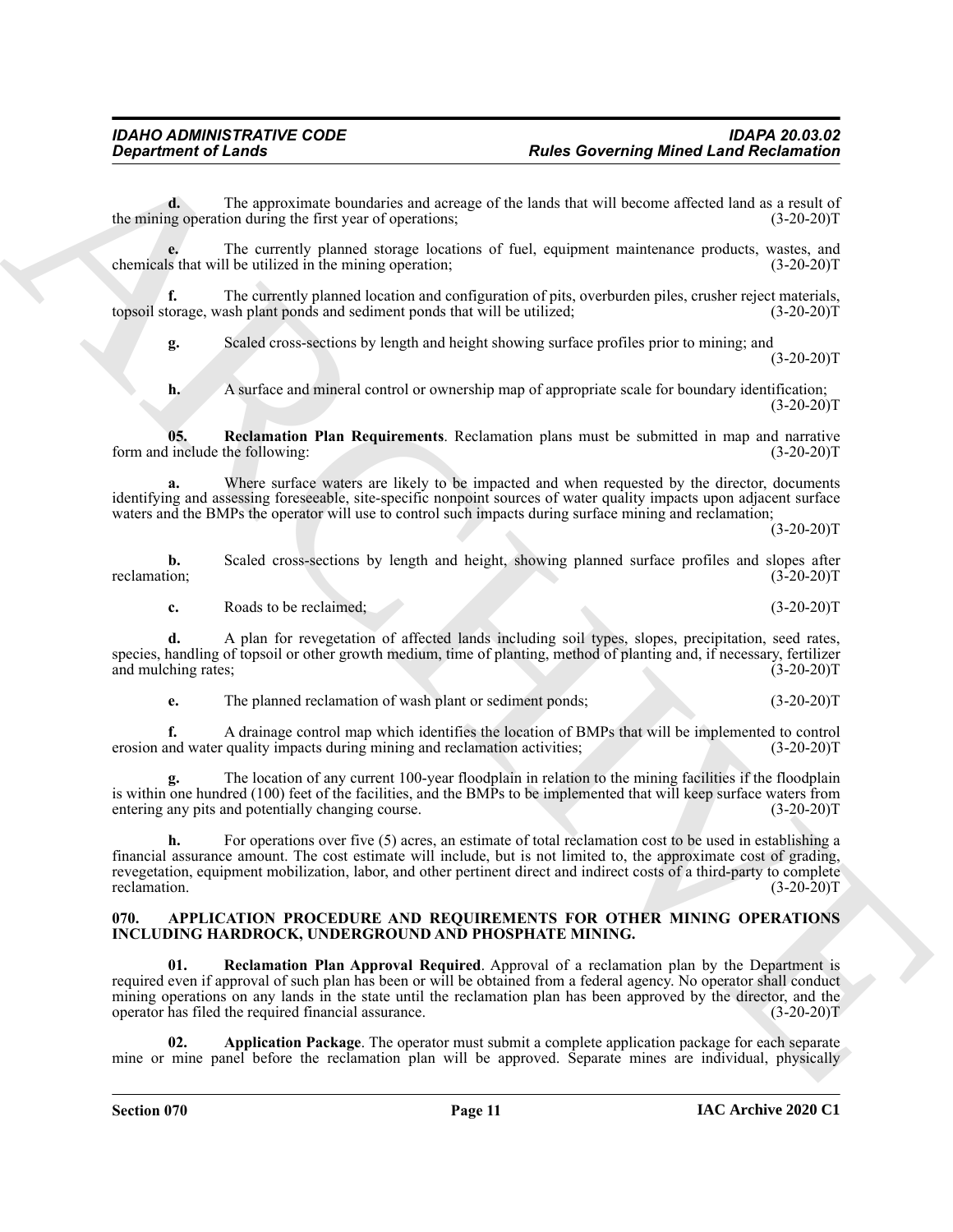**d.** The approximate boundaries and acreage of the lands that will become affected land as a result of ng operation during the first year of operations; (3-20-20) the mining operation during the first year of operations;

**e.** The currently planned storage locations of fuel, equipment maintenance products, wastes, and is that will be utilized in the mining operation; (3-20-20) chemicals that will be utilized in the mining operation;

**f.** The currently planned location and configuration of pits, overburden piles, crusher reject materials, torage, wash plant ponds and sediment ponds that will be utilized; (3-20-20) topsoil storage, wash plant ponds and sediment ponds that will be utilized;

**g.** Scaled cross-sections by length and height showing surface profiles prior to mining; and  $(3-20-20)T$ 

<span id="page-10-4"></span>**h.** A surface and mineral control or ownership map of appropriate scale for boundary identification;  $(3-20-20)T$ 

**05. Reclamation Plan Requirements**. Reclamation plans must be submitted in map and narrative include the following: (3-20-20)T form and include the following:

Where surface waters are likely to be impacted and when requested by the director, documents identifying and assessing foreseeable, site-specific nonpoint sources of water quality impacts upon adjacent surface waters and the BMPs the operator will use to control such impacts during surface mining and reclamation;

 $(3-20-20)T$ 

**b.** Scaled cross-sections by length and height, showing planned surface profiles and slopes after reclamation; (3-20-20)T reclamation; (3-20-20)T

**c.** Roads to be reclaimed; (3-20-20)T

**d.** A plan for revegetation of affected lands including soil types, slopes, precipitation, seed rates, species, handling of topsoil or other growth medium, time of planting, method of planting and, if necessary, fertilizer and mulching rates; (3-20-20) and mulching rates;

**e.** The planned reclamation of wash plant or sediment ponds;  $(3-20-20)T$ 

**f.** A drainage control map which identifies the location of BMPs that will be implemented to control nd water quality impacts during mining and reclamation activities: (3-20-20) erosion and water quality impacts during mining and reclamation activities;

**g.** The location of any current 100-year floodplain in relation to the mining facilities if the floodplain is within one hundred (100) feet of the facilities, and the BMPs to be implemented that will keep surface waters from entering any pits and potentially changing course. (3-20-20)T

**h.** For operations over five (5) acres, an estimate of total reclamation cost to be used in establishing a financial assurance amount. The cost estimate will include, but is not limited to, the approximate cost of grading, revegetation, equipment mobilization, labor, and other pertinent direct and indirect costs of a third-party to complete reclamation. (3-20-20)T reclamation.  $(3-20-20)T$ 

#### <span id="page-10-3"></span><span id="page-10-1"></span><span id="page-10-0"></span>**070. APPLICATION PROCEDURE AND REQUIREMENTS FOR OTHER MINING OPERATIONS INCLUDING HARDROCK, UNDERGROUND AND PHOSPHATE MINING.**

**Experiment of Leader Constraints:**<br>
The material contribute the state of the state of the leader to the state of the state of the state of the state of the state of the state of the state of the state of the state of the **01. Reclamation Plan Approval Required**. Approval of a reclamation plan by the Department is required even if approval of such plan has been or will be obtained from a federal agency. No operator shall conduct mining operations on any lands in the state until the reclamation plan has been approved by the director, and the operator has filed the required financial assurance. (3-20-20)T

<span id="page-10-2"></span>**02. Application Package**. The operator must submit a complete application package for each separate mine or mine panel before the reclamation plan will be approved. Separate mines are individual, physically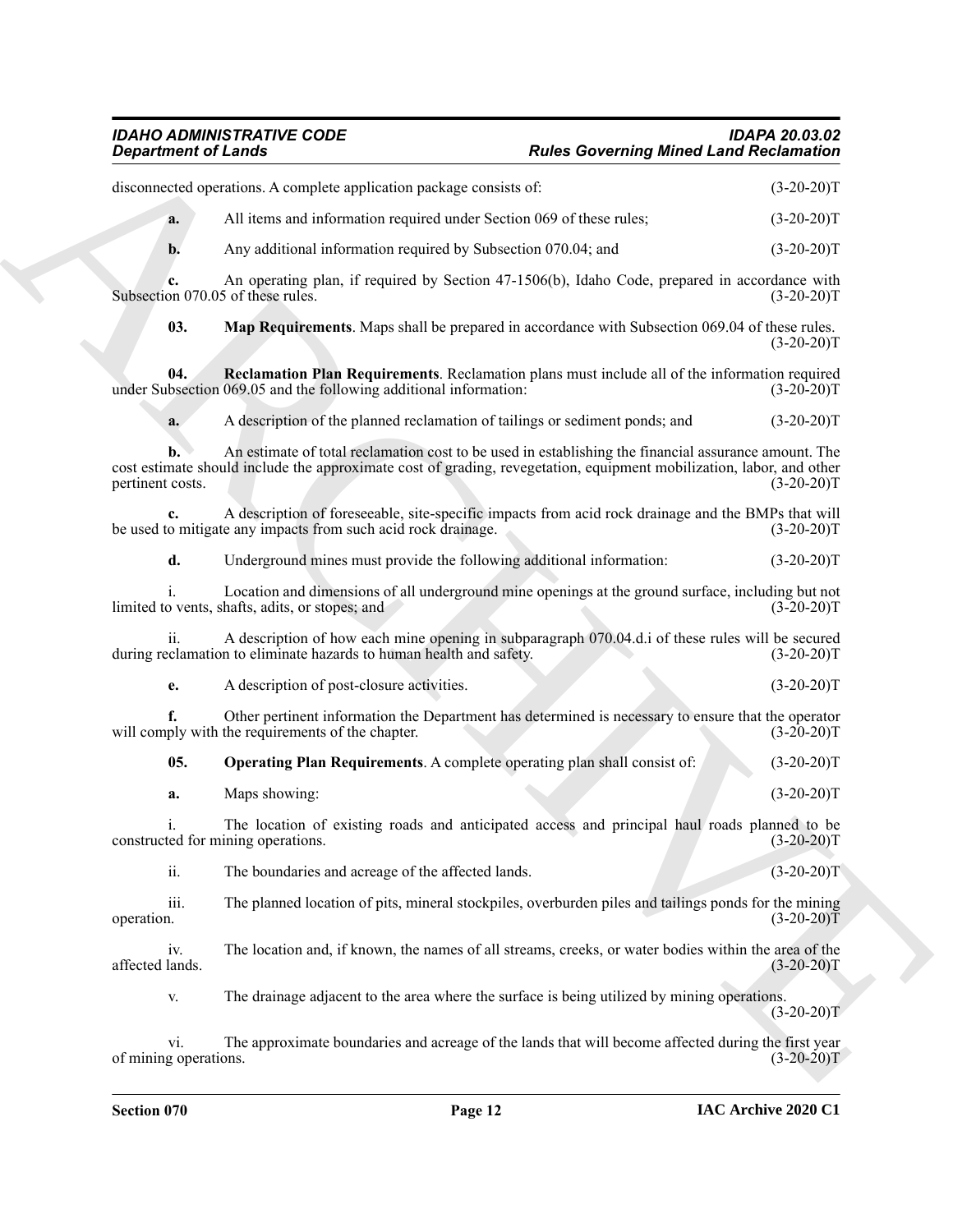### <span id="page-11-2"></span><span id="page-11-1"></span><span id="page-11-0"></span>*IDAHO ADMINISTRATIVE CODE IDAPA 20.03.02 Department of Lands Rules Governing Mined Land Reclamation*

| <b>Department of Lands</b>              |                                                                                                                                                                                                                              | <b>Rules Governing Mined Land Reclamation</b> |              |
|-----------------------------------------|------------------------------------------------------------------------------------------------------------------------------------------------------------------------------------------------------------------------------|-----------------------------------------------|--------------|
|                                         | disconnected operations. A complete application package consists of:                                                                                                                                                         |                                               | $(3-20-20)T$ |
| a.                                      | All items and information required under Section 069 of these rules;                                                                                                                                                         |                                               | $(3-20-20)T$ |
| b.                                      | Any additional information required by Subsection 070.04; and                                                                                                                                                                |                                               | $(3-20-20)T$ |
| c.<br>Subsection 070.05 of these rules. | An operating plan, if required by Section 47-1506(b), Idaho Code, prepared in accordance with                                                                                                                                |                                               | $(3-20-20)T$ |
| 03.                                     | Map Requirements. Maps shall be prepared in accordance with Subsection 069.04 of these rules.                                                                                                                                |                                               | $(3-20-20)T$ |
| 04.                                     | Reclamation Plan Requirements. Reclamation plans must include all of the information required<br>under Subsection 069.05 and the following additional information:                                                           |                                               | $(3-20-20)T$ |
| a.                                      | A description of the planned reclamation of tailings or sediment ponds; and                                                                                                                                                  |                                               | $(3-20-20)T$ |
| b.<br>pertinent costs.                  | An estimate of total reclamation cost to be used in establishing the financial assurance amount. The<br>cost estimate should include the approximate cost of grading, revegetation, equipment mobilization, labor, and other |                                               | $(3-20-20)T$ |
|                                         | A description of foreseeable, site-specific impacts from acid rock drainage and the BMPs that will<br>be used to mitigate any impacts from such acid rock drainage.                                                          |                                               | $(3-20-20)T$ |
| d.                                      | Underground mines must provide the following additional information:                                                                                                                                                         |                                               | $(3-20-20)T$ |
|                                         | Location and dimensions of all underground mine openings at the ground surface, including but not<br>limited to vents, shafts, adits, or stopes; and                                                                         |                                               | $(3-20-20)T$ |
|                                         | A description of how each mine opening in subparagraph 070.04.d.i of these rules will be secured<br>during reclamation to eliminate hazards to human health and safety.                                                      |                                               | $(3-20-20)T$ |
| e.                                      | A description of post-closure activities.                                                                                                                                                                                    |                                               | $(3-20-20)T$ |
|                                         | Other pertinent information the Department has determined is necessary to ensure that the operator<br>will comply with the requirements of the chapter.                                                                      |                                               | $(3-20-20)T$ |
| 05.                                     | <b>Operating Plan Requirements.</b> A complete operating plan shall consist of:                                                                                                                                              |                                               | $(3-20-20)T$ |
| a.                                      | Maps showing:                                                                                                                                                                                                                |                                               | $(3-20-20)T$ |
| 1.                                      | The location of existing roads and anticipated access and principal haul roads planned to be<br>constructed for mining operations.                                                                                           |                                               | $(3-20-20)T$ |
| ii.                                     | The boundaries and acreage of the affected lands.                                                                                                                                                                            |                                               | $(3-20-20)T$ |
| iii.<br>operation.                      | The planned location of pits, mineral stockpiles, overburden piles and tailings ponds for the mining                                                                                                                         |                                               | $(3-20-20)T$ |
| iv.<br>affected lands.                  | The location and, if known, the names of all streams, creeks, or water bodies within the area of the                                                                                                                         |                                               | $(3-20-20)T$ |
| V.                                      | The drainage adjacent to the area where the surface is being utilized by mining operations.                                                                                                                                  |                                               | $(3-20-20)T$ |
| vi.                                     | The approximate boundaries and acreage of the lands that will become affected during the first year                                                                                                                          |                                               |              |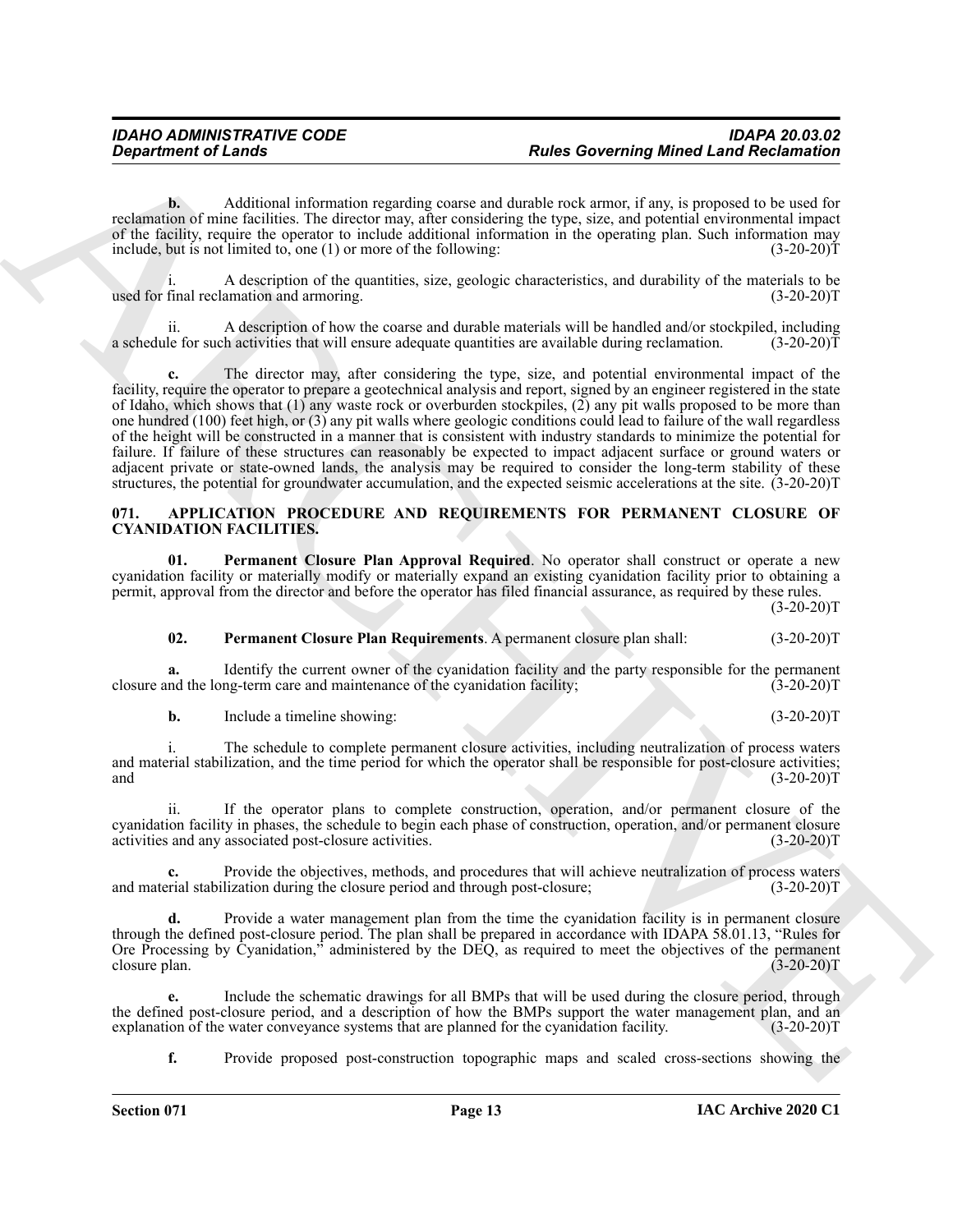**b.** Additional information regarding coarse and durable rock armor, if any, is proposed to be used for reclamation of mine facilities. The director may, after considering the type, size, and potential environmental impact of the facility, require the operator to include additional information in the operating plan. Such information may include, but is not limited to, one (1) or more of the following:  $(3-20-20)$ T

i. A description of the quantities, size, geologic characteristics, and durability of the materials to be final reclamation and armoring. (3-20-20) used for final reclamation and armoring.

A description of how the coarse and durable materials will be handled and/or stockpiled, including h activities that will ensure adequate quantities are available during reclamation.  $(3-20-20)$ a schedule for such activities that will ensure adequate quantities are available during reclamation.

**Experiment of Lenda Constraints Constraint Constraint Constraint Constraint Constraint Constraint Constraint Constraint Constraint Constraint Constraint Constraint Constraint Constraint Constraint Constraint Constraint C c.** The director may, after considering the type, size, and potential environmental impact of the facility, require the operator to prepare a geotechnical analysis and report, signed by an engineer registered in the state of Idaho, which shows that (1) any waste rock or overburden stockpiles, (2) any pit walls proposed to be more than one hundred (100) feet high, or (3) any pit walls where geologic conditions could lead to failure of the wall regardless of the height will be constructed in a manner that is consistent with industry standards to minimize the potential for failure. If failure of these structures can reasonably be expected to impact adjacent surface or ground waters or adjacent private or state-owned lands, the analysis may be required to consider the long-term stability of these structures, the potential for groundwater accumulation, and the expected seismic accelerations at the site. (3-20-20)T

#### <span id="page-12-1"></span><span id="page-12-0"></span>**071. APPLICATION PROCEDURE AND REQUIREMENTS FOR PERMANENT CLOSURE OF CYANIDATION FACILITIES.**

**01. Permanent Closure Plan Approval Required**. No operator shall construct or operate a new cyanidation facility or materially modify or materially expand an existing cyanidation facility prior to obtaining a permit, approval from the director and before the operator has filed financial assurance, as required by these rules.  $(3-20-20)T$ 

#### <span id="page-12-3"></span><span id="page-12-2"></span>**02. Permanent Closure Plan Requirements**. A permanent closure plan shall: (3-20-20)T

**a.** Identify the current owner of the cyanidation facility and the party responsible for the permanent and the long-term care and maintenance of the cyanidation facility; (3-20-20) closure and the long-term care and maintenance of the cyanidation facility;

**b.** Include a timeline showing: (3-20-20)T

i. The schedule to complete permanent closure activities, including neutralization of process waters and material stabilization, and the time period for which the operator shall be responsible for post-closure activities; and  $(3-20-20)T$ 

ii. If the operator plans to complete construction, operation, and/or permanent closure of the cyanidation facility in phases, the schedule to begin each phase of construction, operation, and/or permanent closure activities and any associated post-closure activities. (3-20-20)T

Provide the objectives, methods, and procedures that will achieve neutralization of process waters lization during the closure period and through post-closure; (3-20-20)<sup>T</sup> and material stabilization during the closure period and through post-closure;

**d.** Provide a water management plan from the time the cyanidation facility is in permanent closure through the defined post-closure period. The plan shall be prepared in accordance with IDAPA 58.01.13, "Rules for Ore Processing by Cyanidation," administered by the DEQ, as required to meet the objectives of the permanent closure plan. (3-20-20) closure plan. (3-20-20)T

**e.** Include the schematic drawings for all BMPs that will be used during the closure period, through the defined post-closure period, and a description of how the BMPs support the water management plan, and an explanation of the water conveyance systems that are planned for the cyanidation facility. (3-20-20)T explanation of the water conveyance systems that are planned for the cyanidation facility.

**f.** Provide proposed post-construction topographic maps and scaled cross-sections showing the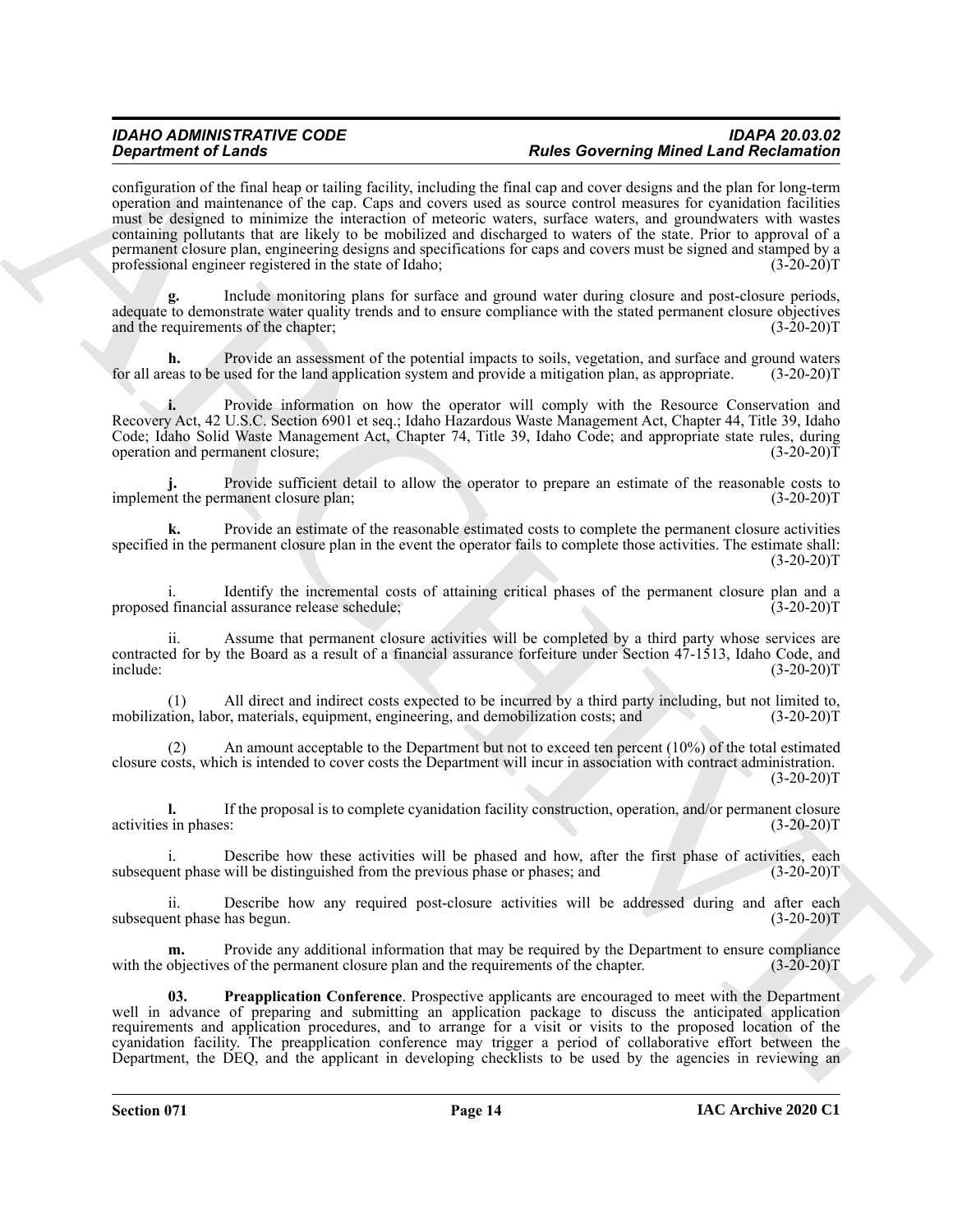#### *IDAHO ADMINISTRATIVE CODE IDAPA 20.03.02* **Rules Governing Mined Land Reclamation**

**Consistention of Linearistic Constraints of Linear School School School School School School School School School School School School School School School School School School School School School School School School S** configuration of the final heap or tailing facility, including the final cap and cover designs and the plan for long-term operation and maintenance of the cap. Caps and covers used as source control measures for cyanidation facilities must be designed to minimize the interaction of meteoric waters, surface waters, and groundwaters with wastes containing pollutants that are likely to be mobilized and discharged to waters of the state. Prior to approval of a permanent closure plan, engineering designs and specifications for caps and covers must be signed and stamped by a professional engineer registered in the state of Idaho; (3-20-20) professional engineer registered in the state of Idaho;

**g.** Include monitoring plans for surface and ground water during closure and post-closure periods, adequate to demonstrate water quality trends and to ensure compliance with the stated permanent closure objectives and the requirements of the chapter; (3-20-20) and the requirements of the chapter;

**h.** Provide an assessment of the potential impacts to soils, vegetation, and surface and ground waters eas to be used for the land application system and provide a mitigation plan, as appropriate. (3-20-20) for all areas to be used for the land application system and provide a mitigation plan, as appropriate.

**i.** Provide information on how the operator will comply with the Resource Conservation and Recovery Act, 42 U.S.C. Section 6901 et seq.; Idaho Hazardous Waste Management Act, Chapter 44, Title 39, Idaho Code; Idaho Solid Waste Management Act, Chapter 74, Title 39, Idaho Code; and appropriate state rules, during operation and permanent closure; (3-20-20)T

Provide sufficient detail to allow the operator to prepare an estimate of the reasonable costs to manent closure plan: (3-20-20)<sup>T</sup> implement the permanent closure plan;

**k.** Provide an estimate of the reasonable estimated costs to complete the permanent closure activities specified in the permanent closure plan in the event the operator fails to complete those activities. The estimate shall:  $(3-20-20)T$ 

i. Identify the incremental costs of attaining critical phases of the permanent closure plan and a<br>I financial assurance release schedule; (3-20-20) proposed financial assurance release schedule;

Assume that permanent closure activities will be completed by a third party whose services are contracted for by the Board as a result of a financial assurance forfeiture under Section 47-1513, Idaho Code, and include: (3-20-20)T

(1) All direct and indirect costs expected to be incurred by a third party including, but not limited to, mobilization, labor, materials, equipment, engineering, and demobilization costs; and

An amount acceptable to the Department but not to exceed ten percent  $(10\%)$  of the total estimated closure costs, which is intended to cover costs the Department will incur in association with contract administration.  $(3-20-20)T$ 

**l.** If the proposal is to complete cyanidation facility construction, operation, and/or permanent closure is in phases: (3-20-20) activities in phases:

i. Describe how these activities will be phased and how, after the first phase of activities, each ent phase will be distinguished from the previous phase or phases; and  $(3-20-20)$ subsequent phase will be distinguished from the previous phase or phases; and

ii. Describe how any required post-closure activities will be addressed during and after each subsequent phase has begun. (3-20-20)T

Provide any additional information that may be required by the Department to ensure compliance<br>s of the permanent closure plan and the requirements of the chapter. (3-20-20)<sup>T</sup> with the objectives of the permanent closure plan and the requirements of the chapter.

<span id="page-13-0"></span>**03. Preapplication Conference**. Prospective applicants are encouraged to meet with the Department well in advance of preparing and submitting an application package to discuss the anticipated application requirements and application procedures, and to arrange for a visit or visits to the proposed location of the cyanidation facility. The preapplication conference may trigger a period of collaborative effort between the Department, the DEQ, and the applicant in developing checklists to be used by the agencies in reviewing an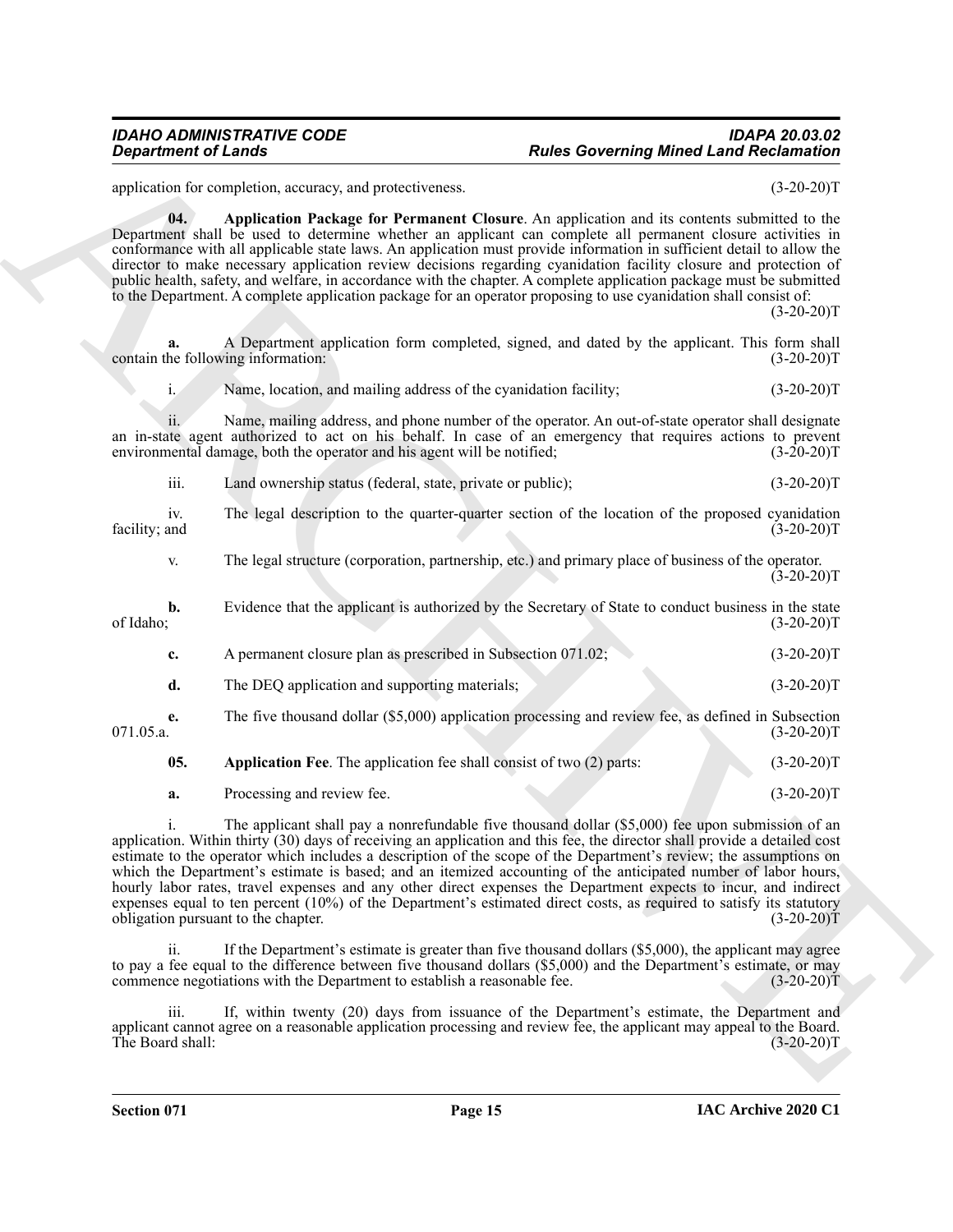### *IDAHO ADMINISTRATIVE CODE IDAPA 20.03.02* **Rules Governing Mined Land Reclamation**

<span id="page-14-1"></span>application for completion, accuracy, and protectiveness. (3-20-20)T

**04. Application Package for Permanent Closure**. An application and its contents submitted to the Department shall be used to determine whether an applicant can complete all permanent closure activities in conformance with all applicable state laws. An application must provide information in sufficient detail to allow the director to make necessary application review decisions regarding cyanidation facility closure and protection of public health, safety, and welfare, in accordance with the chapter. A complete application package must be submitted to the Department. A complete application package for an operator proposing to use cyanidation shall consist of:

 $(3-20-20)T$ 

**a.** A Department application form completed, signed, and dated by the applicant. This form shall he following information: (3-20-20)T contain the following information:

i. Name, location, and mailing address of the cyanidation facility; (3-20-20) (3-20-20)

ii. Name, mailing address, and phone number of the operator. An out-of-state operator shall designate an in-state agent authorized to act on his behalf. In case of an emergency that requires actions to prevent environmental damage, both the operator and his agent will be notified; (3-20-20) environmental damage, both the operator and his agent will be notified;

iii. Land ownership status (federal, state, private or public); (3-20-20)T

iv. The legal description to the quarter-quarter section of the location of the proposed cyanidation facility; and (3-20-20)T facility; and (3-20-20)T

v. The legal structure (corporation, partnership, etc.) and primary place of business of the operator.  $(3-20-20)T$ 

**b.** Evidence that the applicant is authorized by the Secretary of State to conduct business in the state of Idaho; (3-20-20) of Idaho;  $(3-20-20)T$ 

| c.              | A permanent closure plan as prescribed in Subsection 071.02;                                       | $(3-20-20)T$ |
|-----------------|----------------------------------------------------------------------------------------------------|--------------|
| d.              | The DEQ application and supporting materials;                                                      | $(3-20-20)T$ |
| e.<br>071.05.a. | The five thousand dollar (\$5,000) application processing and review fee, as defined in Subsection | $(3-20-20)T$ |

<span id="page-14-0"></span>**05.** Application Fee. The application fee shall consist of two (2) parts: (3-20-20)T

<span id="page-14-2"></span>**a.** Processing and review fee. (3-20-20)T

**Experiment of Leads**<br>
Specialistics coveres, and procedures and<br>
proposition of the context proposition of the system of the system of the system of the context proposition<br>  $\mu_{\text{eff}}$  and the proposition of the system o i. The applicant shall pay a nonrefundable five thousand dollar (\$5,000) fee upon submission of an application. Within thirty (30) days of receiving an application and this fee, the director shall provide a detailed cost estimate to the operator which includes a description of the scope of the Department's review; the assumptions on which the Department's estimate is based; and an itemized accounting of the anticipated number of labor hours, hourly labor rates, travel expenses and any other direct expenses the Department expects to incur, and indirect expenses equal to ten percent (10%) of the Department's estimated direct costs, as required to satisfy its statutory obligation pursuant to the chapter. (3-20-20)T

If the Department's estimate is greater than five thousand dollars  $(\$5,000)$ , the applicant may agree to pay a fee equal to the difference between five thousand dollars (\$5,000) and the Department's estimate, or may commence negotiations with the Department to establish a reasonable fee. (3-20-20)T

iii. If, within twenty (20) days from issuance of the Department's estimate, the Department and applicant cannot agree on a reasonable application processing and review fee, the applicant may appeal to the Board.<br>The Board shall: (3-20-20)T The Board shall: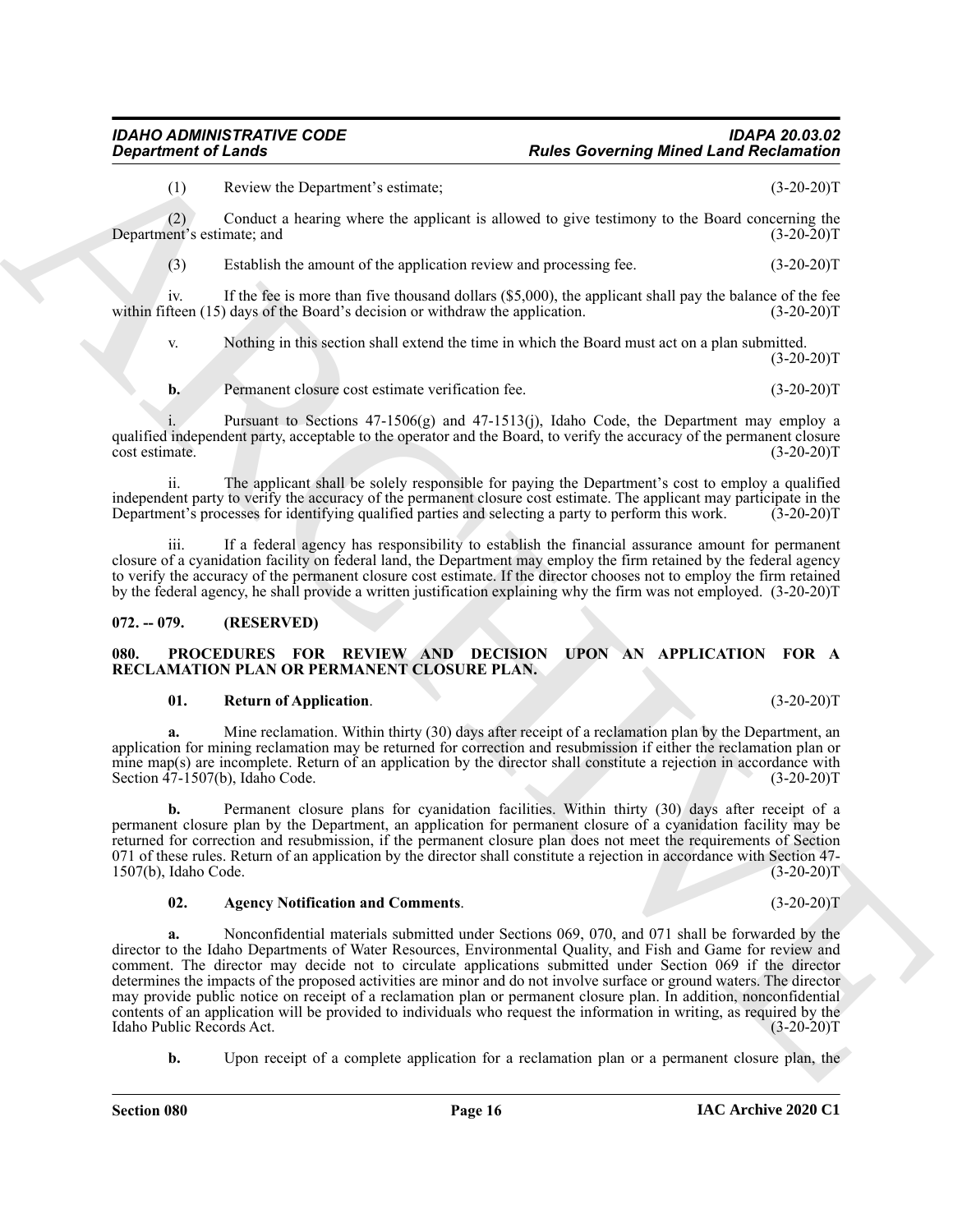(1) Review the Department's estimate; (3-20-20)T

(2) Conduct a hearing where the applicant is allowed to give testimony to the Board concerning the Department's estimate; and

(3) Establish the amount of the application review and processing fee. (3-20-20)T

iv. If the fee is more than five thousand dollars (\$5,000), the applicant shall pay the balance of the fee fee<br>fteen (15) days of the Board's decision or withdraw the application. (3-20-20) within fifteen  $(15)$  days of the Board's decision or withdraw the application.

v. Nothing in this section shall extend the time in which the Board must act on a plan submitted.  $(3-20-20)T$ 

<span id="page-15-2"></span>**b.** Permanent closure cost estimate verification fee. (3-20-20)T

Pursuant to Sections  $47-1506(g)$  and  $47-1513(j)$ , Idaho Code, the Department may employ a qualified independent party, acceptable to the operator and the Board, to verify the accuracy of the permanent closure cost estimate. (3-20-20)T cost estimate. (3-20-20)T

ii. The applicant shall be solely responsible for paying the Department's cost to employ a qualified independent party to verify the accuracy of the permanent closure cost estimate. The applicant may participate in the Department's processes for identifying qualified parties and selecting a party to perform this work. (3-Department's processes for identifying qualified parties and selecting a party to perform this work.

If a federal agency has responsibility to establish the financial assurance amount for permanent closure of a cyanidation facility on federal land, the Department may employ the firm retained by the federal agency to verify the accuracy of the permanent closure cost estimate. If the director chooses not to employ the firm retained by the federal agency, he shall provide a written justification explaining why the firm was not employed. (3-20-20)T

#### <span id="page-15-0"></span>**072. -- 079. (RESERVED)**

#### <span id="page-15-3"></span><span id="page-15-1"></span>**080. PROCEDURES FOR REVIEW AND DECISION UPON AN APPLICATION FOR A RECLAMATION PLAN OR PERMANENT CLOSURE PLAN.**

#### <span id="page-15-5"></span>**01. Return of Application**. (3-20-20)T

**a.** Mine reclamation. Within thirty (30) days after receipt of a reclamation plan by the Department, an application for mining reclamation may be returned for correction and resubmission if either the reclamation plan or mine map(s) are incomplete. Return of an application by the director shall constitute a rejection in accordance with Section 47-1507(b), Idaho Code. (3-20-20)T

**b.** Permanent closure plans for cyanidation facilities. Within thirty (30) days after receipt of a permanent closure plan by the Department, an application for permanent closure of a cyanidation facility may be returned for correction and resubmission, if the permanent closure plan does not meet the requirements of Section 071 of these rules. Return of an application by the director shall constitute a rejection in accordance with Section 47-<br>1507(b), Idaho Code.  $(3-20-20)T$  $1507(b)$ , Idaho Code.

#### <span id="page-15-4"></span>**02. Agency Notification and Comments**. (3-20-20)T

**Expansion of Leady Constraints** Particular References **Figure Constraints** (1)  $R_{\text{C}}$  and the state of the state of the state of the state of the state of the state of the state of the state of the state of the state **a.** Nonconfidential materials submitted under Sections 069, 070, and 071 shall be forwarded by the director to the Idaho Departments of Water Resources, Environmental Quality, and Fish and Game for review and comment. The director may decide not to circulate applications submitted under Section 069 if the director determines the impacts of the proposed activities are minor and do not involve surface or ground waters. The director may provide public notice on receipt of a reclamation plan or permanent closure plan. In addition, nonconfidential contents of an application will be provided to individuals who request the information in writing, as required by the Idaho Public Records Act.

**b.** Upon receipt of a complete application for a reclamation plan or a permanent closure plan, the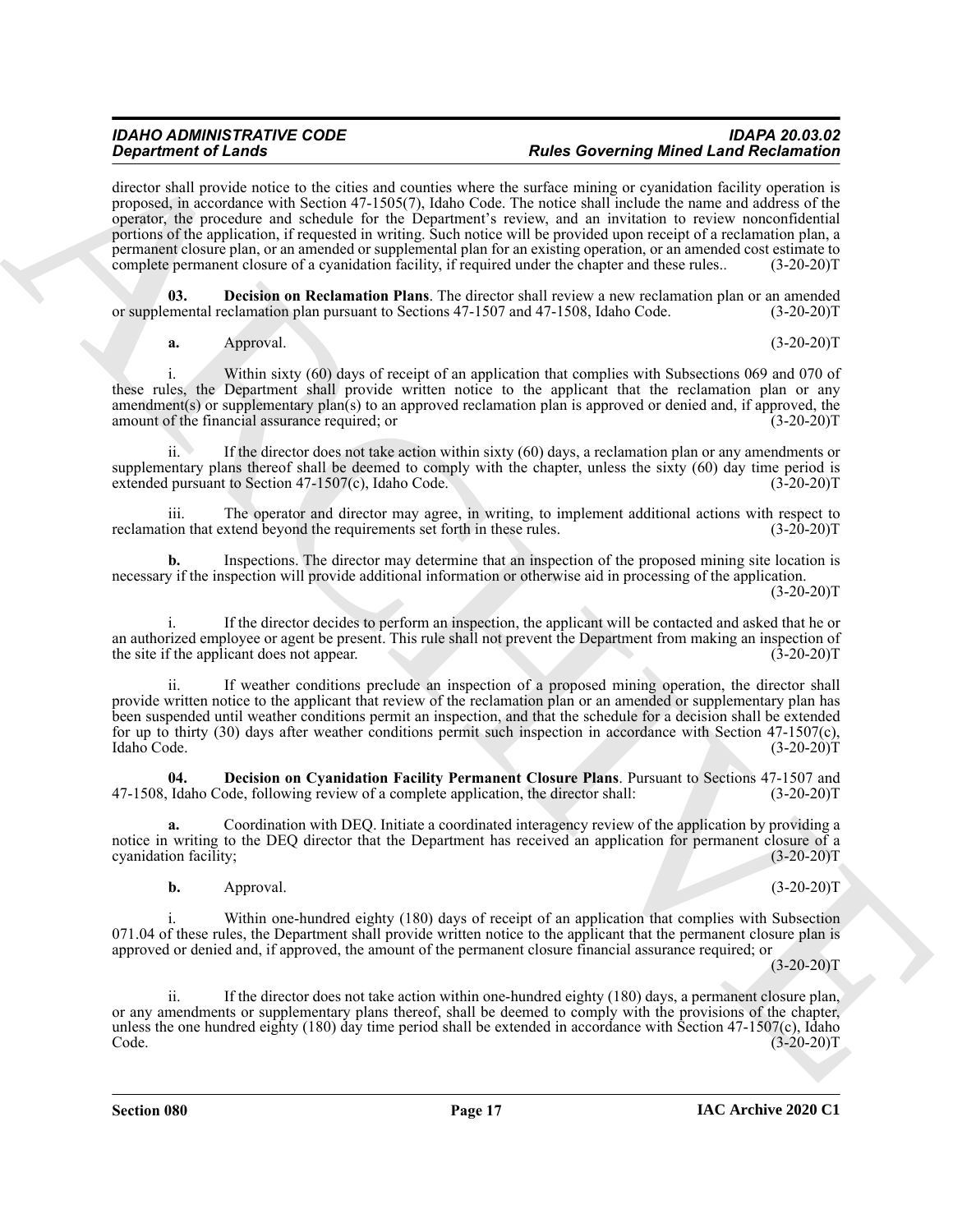#### *IDAHO ADMINISTRATIVE CODE IDAPA 20.03.02* **Rules Governing Mined Land Reclamation**

**Strainer of Leading values of Leading School and The Coronavirus of Research Coronavirus (Michael Leading Values of Leading Values of Leading Values of Leading Values of Leading Values of Leading Values of Leading Values** director shall provide notice to the cities and counties where the surface mining or cyanidation facility operation is proposed, in accordance with Section 47-1505(7), Idaho Code. The notice shall include the name and address of the operator, the procedure and schedule for the Department's review, and an invitation to review nonconfidential portions of the application, if requested in writing. Such notice will be provided upon receipt of a reclamation plan, a permanent closure plan, or an amended or supplemental plan for an existing operation, or an amended cost estimate to complete permanent closure of a cyanidation facility, if required under the chapter and these rules.. (3-20-20)T

**Decision on Reclamation Plans**. The director shall review a new reclamation plan or an amended eclamation plan pursuant to Sections 47-1507 and 47-1508, Idaho Code. (3-20-20)T or supplemental reclamation plan pursuant to Sections 47-1507 and 47-1508, Idaho Code.

<span id="page-16-1"></span>**a.** Approval. (3-20-20)T

i. Within sixty (60) days of receipt of an application that complies with Subsections 069 and 070 of these rules, the Department shall provide written notice to the applicant that the reclamation plan or any amendment(s) or supplementary plan(s) to an approved reclamation plan is approved or denied and, if approved, the amount of the financial assurance required; or (3-20-20) amount of the financial assurance required; or

ii. If the director does not take action within sixty (60) days, a reclamation plan or any amendments or supplementary plans thereof shall be deemed to comply with the chapter, unless the sixty (60) day time period is extended pursuant to Section 47-1507(c), Idaho Code. (3-20-20)T

iii. The operator and director may agree, in writing, to implement additional actions with respect to ion that extend beyond the requirements set forth in these rules. (3-20-20) reclamation that extend beyond the requirements set forth in these rules.

**b.** Inspections. The director may determine that an inspection of the proposed mining site location is necessary if the inspection will provide additional information or otherwise aid in processing of the application.  $(3-20-20)T$ 

If the director decides to perform an inspection, the applicant will be contacted and asked that he or an authorized employee or agent be present. This rule shall not prevent the Department from making an inspection of the site if the applicant does not appear. (3-20-20) the site if the applicant does not appear.

ii. If weather conditions preclude an inspection of a proposed mining operation, the director shall provide written notice to the applicant that review of the reclamation plan or an amended or supplementary plan has been suspended until weather conditions permit an inspection, and that the schedule for a decision shall be extended for up to thirty (30) days after weather conditions permit such inspection in accordance with Section 47-1507(c), Idaho Code. (3-20-20)T Idaho Code. (3-20-20)T

<span id="page-16-0"></span>**04. Decision on Cyanidation Facility Permanent Closure Plans**. Pursuant to Sections 47-1507 and Idaho Code, following review of a complete application, the director shall: (3-20-20) 47-1508, Idaho Code, following review of a complete application, the director shall:

**a.** Coordination with DEQ. Initiate a coordinated interagency review of the application by providing a notice in writing to the DEQ director that the Department has received an application for permanent closure of a cyanidation facility; (3-20-20) cyanidation facility;

**b.** Approval. (3-20-20)T

i. Within one-hundred eighty (180) days of receipt of an application that complies with Subsection 071.04 of these rules, the Department shall provide written notice to the applicant that the permanent closure plan is approved or denied and, if approved, the amount of the permanent closure financial assurance required; or

 $(3-20-20)T$ 

ii. If the director does not take action within one-hundred eighty (180) days, a permanent closure plan, or any amendments or supplementary plans thereof, shall be deemed to comply with the provisions of the chapter, unless the one hundred eighty (180) day time period shall be extended in accordance with Section 47-1507(c), Idaho<br>Code. (3-20-20)T  $\text{Code.}$  (3-20-20)T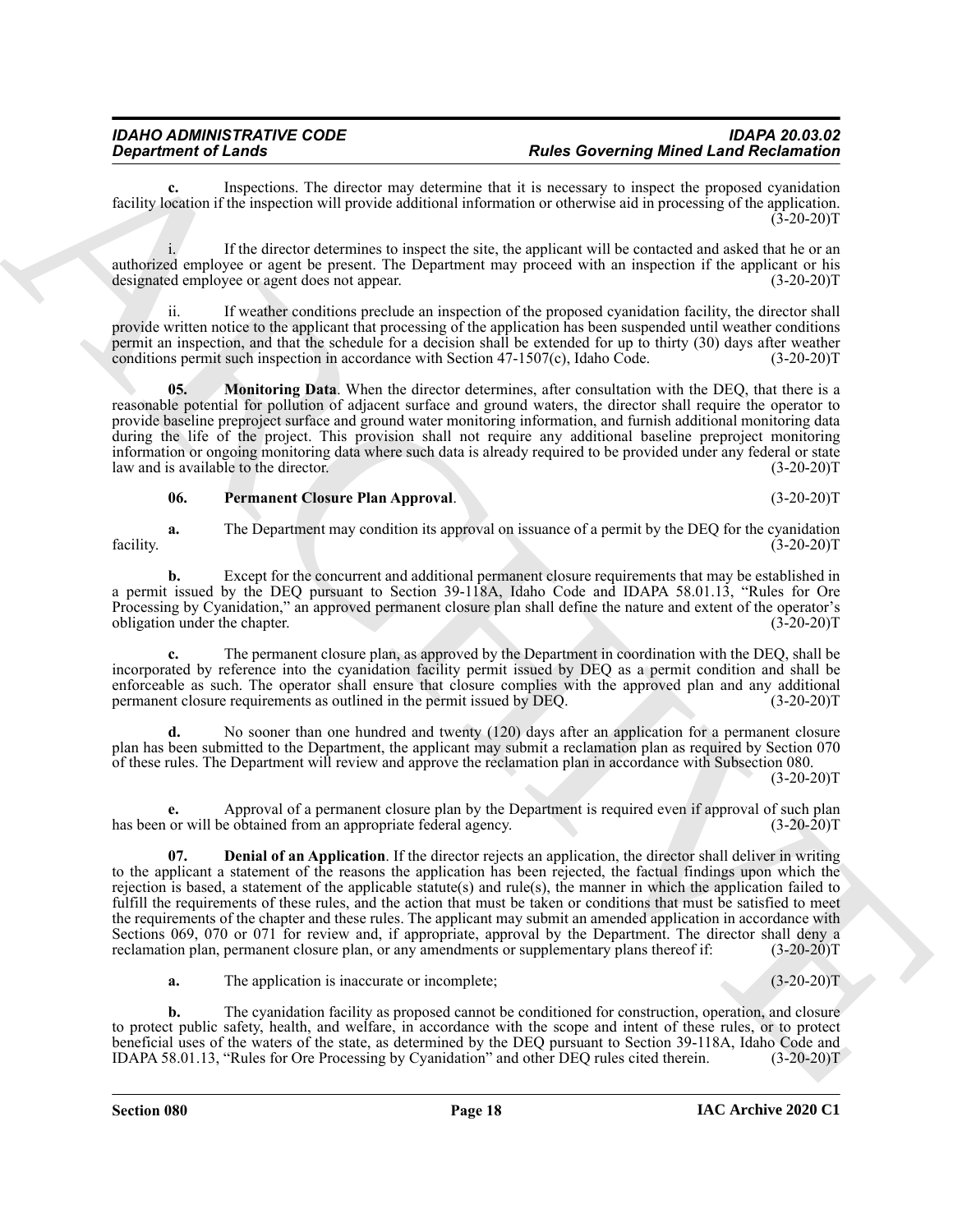**c.** Inspections. The director may determine that it is necessary to inspect the proposed cyanidation facility location if the inspection will provide additional information or otherwise aid in processing of the application.  $(3-20-20)T$ 

i. If the director determines to inspect the site, the applicant will be contacted and asked that he or an authorized employee or agent be present. The Department may proceed with an inspection if the applicant or his designated employee or agent does not appear. (3-20-20) designated employee or agent does not appear.

ii. If weather conditions preclude an inspection of the proposed cyanidation facility, the director shall provide written notice to the applicant that processing of the application has been suspended until weather conditions permit an inspection, and that the schedule for a decision shall be extended for up to thirty (30) days after weather conditions permit such inspection in accordance with Section 47-1507(c), Idaho Code.  $(3-20-20)$ T conditions permit such inspection in accordance with Section  $47-1507(c)$ , Idaho Code.

<span id="page-17-0"></span>**05. Monitoring Data**. When the director determines, after consultation with the DEQ, that there is a reasonable potential for pollution of adjacent surface and ground waters, the director shall require the operator to provide baseline preproject surface and ground water monitoring information, and furnish additional monitoring data during the life of the project. This provision shall not require any additional baseline preproject monitoring information or ongoing monitoring data where such data is already required to be provided under any federal or state law and is available to the director. (3-20-20)T

#### <span id="page-17-2"></span>**06. Permanent Closure Plan Approval**. (3-20-20)T

**a.** The Department may condition its approval on issuance of a permit by the DEQ for the cyanidation (3-20-20)T facility. (3-20-20)T

**b.** Except for the concurrent and additional permanent closure requirements that may be established in a permit issued by the DEQ pursuant to Section 39-118A, Idaho Code and IDAPA 58.01.13, "Rules for Ore Processing by Cyanidation," an approved permanent closure plan shall define the nature and extent of the operator's obligation under the chapter.

**c.** The permanent closure plan, as approved by the Department in coordination with the DEQ, shall be incorporated by reference into the cyanidation facility permit issued by DEQ as a permit condition and shall be enforceable as such. The operator shall ensure that closure complies with the approved plan and any additional permanent closure requirements as outlined in the permit issued by DEQ. (3-20-20)T

**d.** No sooner than one hundred and twenty (120) days after an application for a permanent closure plan has been submitted to the Department, the applicant may submit a reclamation plan as required by Section 070 of these rules. The Department will review and approve the reclamation plan in accordance with Subsection 080.

 $(3-20-20)T$ 

<span id="page-17-1"></span>**e.** Approval of a permanent closure plan by the Department is required even if approval of such plan or will be obtained from an appropriate federal agency. (3-20-20) has been or will be obtained from an appropriate federal agency.

**Equation of Learns.** The denotion of Archive Convention 1. The Convention of Learn Convention (1478) and the convention of Learn Convention (1478) and the set of Convention of Learn Convention (1478) and the denoted by t **07. Denial of an Application**. If the director rejects an application, the director shall deliver in writing to the applicant a statement of the reasons the application has been rejected, the factual findings upon which the rejection is based, a statement of the applicable statute(s) and rule(s), the manner in which the application failed to fulfill the requirements of these rules, and the action that must be taken or conditions that must be satisfied to meet the requirements of the chapter and these rules. The applicant may submit an amended application in accordance with Sections 069, 070 or 071 for review and, if appropriate, approval by the Department. The director shall deny a reclamation plan, permanent closure plan, or any amendments or supplementary plans thereof if: (3-20-20)T reclamation plan, permanent closure plan, or any amendments or supplementary plans thereof if:

**a.** The application is inaccurate or incomplete; (3-20-20)T

**b.** The cyanidation facility as proposed cannot be conditioned for construction, operation, and closure to protect public safety, health, and welfare, in accordance with the scope and intent of these rules, or to protect beneficial uses of the waters of the state, as determined by the DEQ pursuant to Section 39-118A, Idaho Code and IDAPA 58.01.13, "Rules for Ore Processing by Cyanidation" and other DEQ rules cited therein. (3-20-20)T IDAPA 58.01.13, "Rules for Ore Processing by Cyanidation" and other DEQ rules cited therein.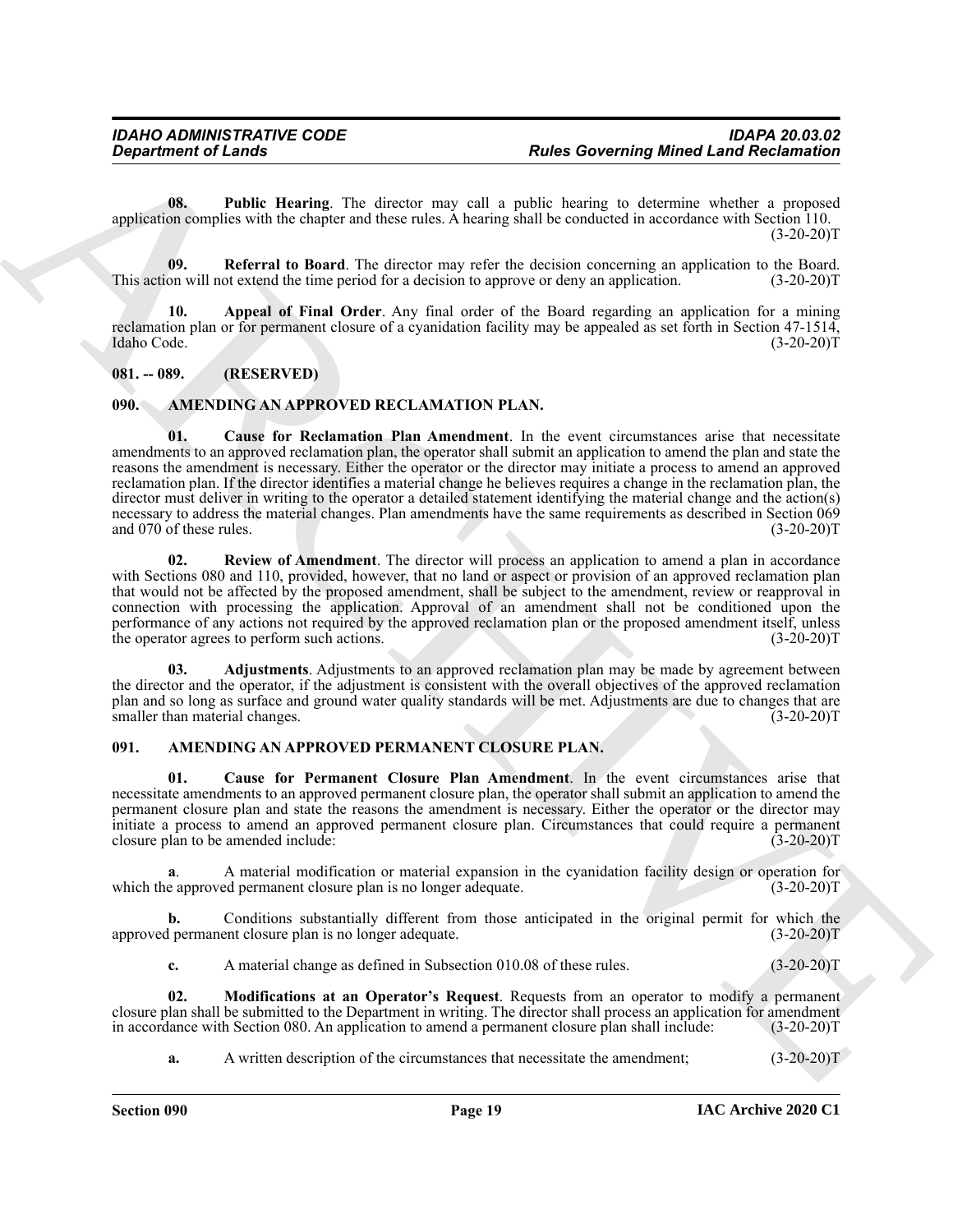<span id="page-18-11"></span>**08. Public Hearing**. The director may call a public hearing to determine whether a proposed application complies with the chapter and these rules. A hearing shall be conducted in accordance with Section 110.  $(3-20-20)T$ 

<span id="page-18-12"></span>**09. Referral to Board**. The director may refer the decision concerning an application to the Board. on will not extend the time period for a decision to approve or deny an application. (3-20-20) This action will not extend the time period for a decision to approve or deny an application.

<span id="page-18-10"></span>**10. Appeal of Final Order**. Any final order of the Board regarding an application for a mining reclamation plan or for permanent closure of a cyanidation facility may be appealed as set forth in Section 47-1514, Idaho Code. (3-20-20)T Idaho Code. (3-20-20)T

#### <span id="page-18-0"></span>**081. -- 089. (RESERVED)**

#### <span id="page-18-7"></span><span id="page-18-6"></span><span id="page-18-1"></span>**090. AMENDING AN APPROVED RECLAMATION PLAN.**

**Experiment of Lends<br>
Using the Coronary of the Governing Minet Land Recommend<br>
Using the Using Coronary of the Coronary of the spectrum of the state is the coronary of the Coronary of the Coronary of the Coronary of the 01. Cause for Reclamation Plan Amendment**. In the event circumstances arise that necessitate amendments to an approved reclamation plan, the operator shall submit an application to amend the plan and state the reasons the amendment is necessary. Either the operator or the director may initiate a process to amend an approved reclamation plan. If the director identifies a material change he believes requires a change in the reclamation plan, the director must deliver in writing to the operator a detailed statement identifying the material change and the action(s) necessary to address the material changes. Plan amendments have the same requirements as described in Section 069 and 070 of these rules. (3-20-20)T and 070 of these rules.

<span id="page-18-9"></span>**02. Review of Amendment**. The director will process an application to amend a plan in accordance with Sections 080 and 110, provided, however, that no land or aspect or provision of an approved reclamation plan that would not be affected by the proposed amendment, shall be subject to the amendment, review or reapproval in connection with processing the application. Approval of an amendment shall not be conditioned upon the performance of any actions not required by the approved reclamation plan or the proposed amendment itself, unless<br>the operator agrees to perform such actions. (3-20-20) the operator agrees to perform such actions.

<span id="page-18-8"></span>**03. Adjustments**. Adjustments to an approved reclamation plan may be made by agreement between the director and the operator, if the adjustment is consistent with the overall objectives of the approved reclamation plan and so long as surface and ground water quality standards will be met. Adjustments are due to changes that are smaller than material changes. (3-20-20)T smaller than material changes.

#### <span id="page-18-3"></span><span id="page-18-2"></span>**091. AMENDING AN APPROVED PERMANENT CLOSURE PLAN.**

<span id="page-18-4"></span>**01. Cause for Permanent Closure Plan Amendment**. In the event circumstances arise that necessitate amendments to an approved permanent closure plan, the operator shall submit an application to amend the permanent closure plan and state the reasons the amendment is necessary. Either the operator or the director may initiate a process to amend an approved permanent closure plan. Circumstances that could require a permanent closure plan to be amended include: (3-20-20) closure plan to be amended include:

**a**. A material modification or material expansion in the cyanidation facility design or operation for e approved permanent closure plan is no longer adequate.  $(3-20-20)$ which the approved permanent closure plan is no longer adequate.

**b.** Conditions substantially different from those anticipated in the original permit for which the l permanent closure plan is no longer adequate.  $(3-20-20)$ approved permanent closure plan is no longer adequate.

<span id="page-18-5"></span>**c.** A material change as defined in Subsection 010.08 of these rules. (3-20-20)T

**02. Modifications at an Operator's Request**. Requests from an operator to modify a permanent closure plan shall be submitted to the Department in writing. The director shall process an application for amendment in accordance with Section 080. An application to amend a permanent closure plan shall include: (3-20-20 in accordance with Section 080. An application to amend a permanent closure plan shall include:

**a.** A written description of the circumstances that necessitate the amendment;  $(3-20-20)T$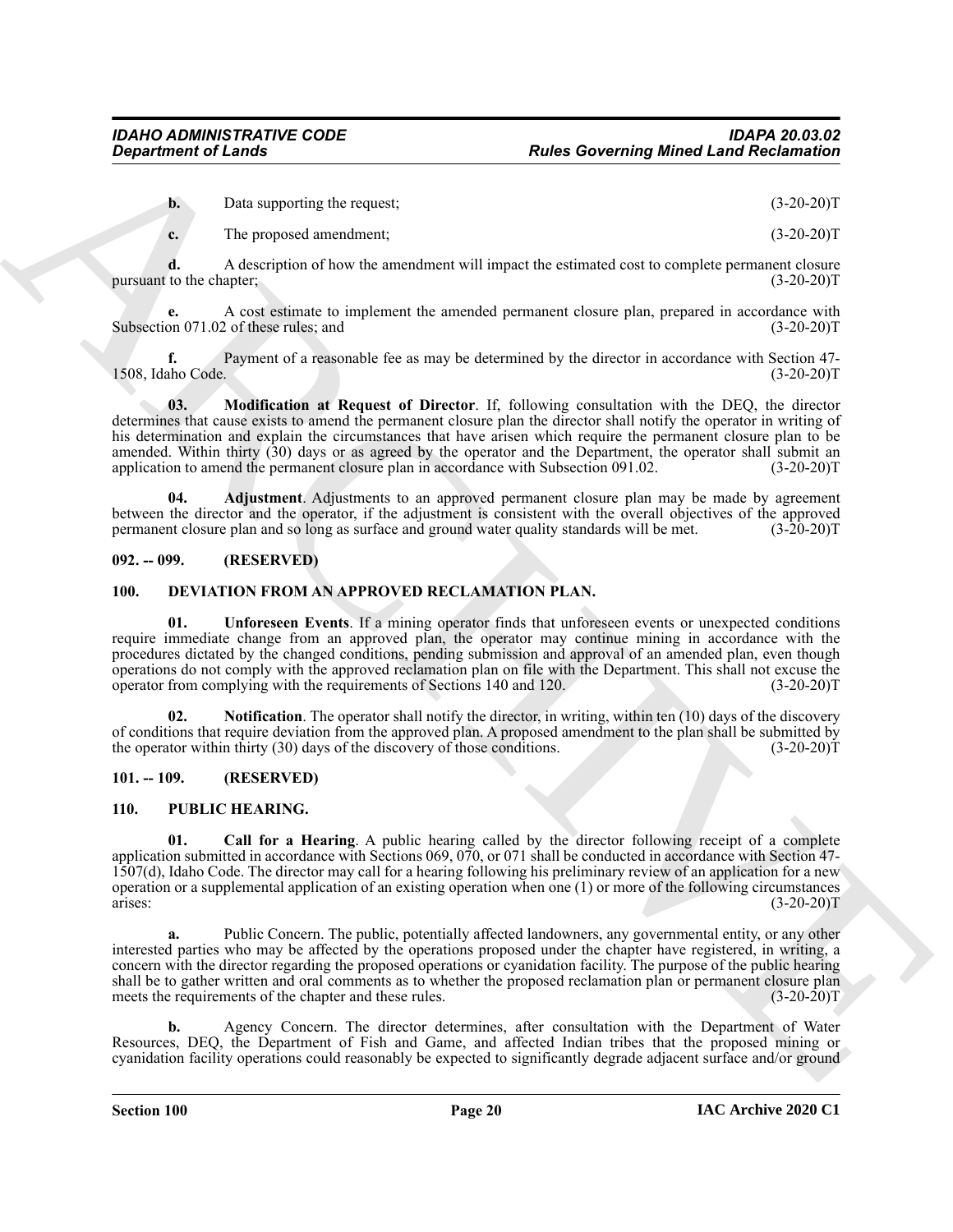**b.** Data supporting the request; (3-20-20)T

**c.** The proposed amendment; (3-20-20)T

**d.** A description of how the amendment will impact the estimated cost to complete permanent closure to the chapter; (3-20-20)<sup>T</sup> pursuant to the chapter;

**e.** A cost estimate to implement the amended permanent closure plan, prepared in accordance with Subsection 071.02 of these rules; and (3-20-20)T

**f.** Payment of a reasonable fee as may be determined by the director in accordance with Section 47-<br>(3-20-20)T 1508, Idaho Code.

<span id="page-19-5"></span>**03. Modification at Request of Director**. If, following consultation with the DEQ, the director determines that cause exists to amend the permanent closure plan the director shall notify the operator in writing of his determination and explain the circumstances that have arisen which require the permanent closure plan to be amended. Within thirty (30) days or as agreed by the operator and the Department, the operator shall submit an application to amend the permanent closure plan in accordance with Subsection 091.02. (3-20-20)T

<span id="page-19-4"></span>**04. Adjustment**. Adjustments to an approved permanent closure plan may be made by agreement between the director and the operator, if the adjustment is consistent with the overall objectives of the approved permanent closure plan and so long as surface and ground water quality standards will be met. (3-20-20)T permanent closure plan and so long as surface and ground water quality standards will be met.

#### <span id="page-19-0"></span>**092. -- 099. (RESERVED)**

#### <span id="page-19-8"></span><span id="page-19-6"></span><span id="page-19-1"></span>**100. DEVIATION FROM AN APPROVED RECLAMATION PLAN.**

**Experiment of Leads Constraints of the Experiment Source of the Constraint Constraint Constraint Constraint Constraint Constraint Constraint Constraint Constraint Constraint Constraint Constraint Constraint Constraint Co 01. Unforeseen Events**. If a mining operator finds that unforeseen events or unexpected conditions require immediate change from an approved plan, the operator may continue mining in accordance with the procedures dictated by the changed conditions, pending submission and approval of an amended plan, even though operations do not comply with the approved reclamation plan on file with the Department. This shall not excuse the operator from complying with the requirements of Sections 140 and 120.

<span id="page-19-7"></span>**02. Notification**. The operator shall notify the director, in writing, within ten (10) days of the discovery of conditions that require deviation from the approved plan. A proposed amendment to the plan shall be submitted by the operator within thirty (30) days of the discovery of those conditions. (3-20-20) the operator within thirty  $(30)$  days of the discovery of those conditions.

#### <span id="page-19-2"></span>**101. -- 109. (RESERVED)**

#### <span id="page-19-10"></span><span id="page-19-9"></span><span id="page-19-3"></span>**110. PUBLIC HEARING.**

**01. Call for a Hearing**. A public hearing called by the director following receipt of a complete application submitted in accordance with Sections 069, 070, or 071 shall be conducted in accordance with Section 47- 1507(d), Idaho Code. The director may call for a hearing following his preliminary review of an application for a new operation or a supplemental application of an existing operation when one (1) or more of the following circumstances arises:  $(3-20-20)T$ 

**a.** Public Concern. The public, potentially affected landowners, any governmental entity, or any other interested parties who may be affected by the operations proposed under the chapter have registered, in writing, a concern with the director regarding the proposed operations or cyanidation facility. The purpose of the public hearing shall be to gather written and oral comments as to whether the proposed reclamation plan or permanent closure plan meets the requirements of the chapter and these rules. (3-20-20)T

**b.** Agency Concern. The director determines, after consultation with the Department of Water Resources, DEQ, the Department of Fish and Game, and affected Indian tribes that the proposed mining or cyanidation facility operations could reasonably be expected to significantly degrade adjacent surface and/or ground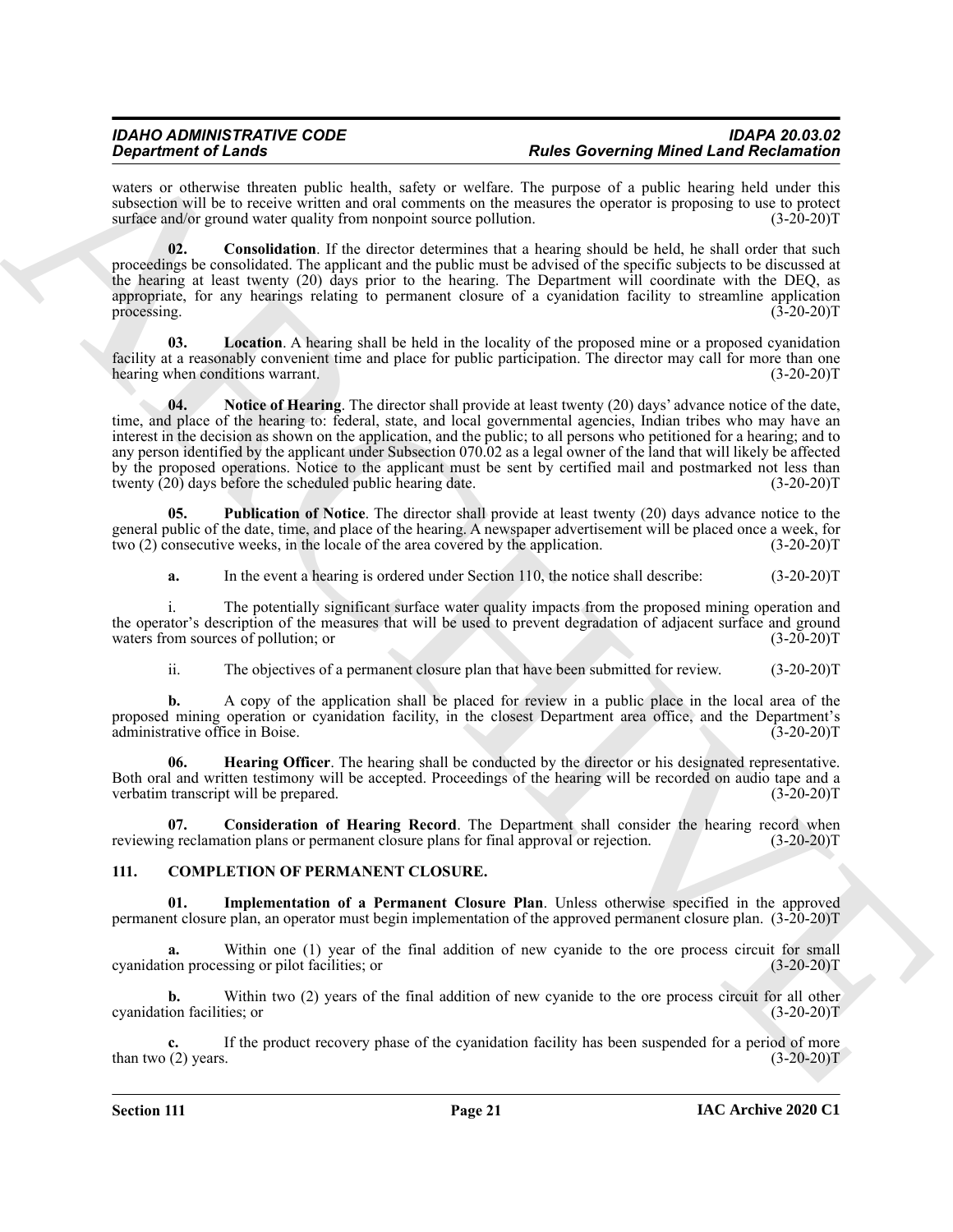#### *IDAHO ADMINISTRATIVE CODE IDAPA 20.03.02* **Rules Governing Mined Land Reclamation**

waters or otherwise threaten public health, safety or welfare. The purpose of a public hearing held under this subsection will be to receive written and oral comments on the measures the operator is proposing to use to protect surface and/or ground water quality from nonpoint source pollution. (3-20-20) surface and/or ground water quality from nonpoint source pollution.

<span id="page-20-4"></span>**02. Consolidation**. If the director determines that a hearing should be held, he shall order that such proceedings be consolidated. The applicant and the public must be advised of the specific subjects to be discussed at the hearing at least twenty (20) days prior to the hearing. The Department will coordinate with the DEQ, as appropriate, for any hearings relating to permanent closure of a cyanidation facility to streamline application processing. (3-20-20) processing. (3-20-20)T

<span id="page-20-7"></span><span id="page-20-6"></span>**03. Location**. A hearing shall be held in the locality of the proposed mine or a proposed cyanidation facility at a reasonably convenient time and place for public participation. The director may call for more than one<br>(3-20-20) hearing when conditions warrant.

**Experiment of Learning the three constraints. Prophet Constraint** Representation of the sympatocycle of the sympatocycle of the sympatocycle of the sympatocycle of the sympatocycle of the sympatocycle of the sympatocyc **04.** Notice of Hearing. The director shall provide at least twenty (20) days' advance notice of the date, time, and place of the hearing to: federal, state, and local governmental agencies, Indian tribes who may have an interest in the decision as shown on the application, and the public; to all persons who petitioned for a hearing; and to any person identified by the applicant under Subsection 070.02 as a legal owner of the land that will likely be affected by the proposed operations. Notice to the applicant must be sent by certified mail and postmarked not less than twenty (20) days before the scheduled public hearing date. (3-20-20)T

**05. Publication of Notice**. The director shall provide at least twenty (20) days advance notice to the general public of the date, time, and place of the hearing. A newspaper advertisement will be placed once a week, for two (2) consecutive weeks, in the locale of the area covered by the application. (3-20-20) two (2) consecutive weeks, in the locale of the area covered by the application.

<span id="page-20-8"></span>**a.** In the event a hearing is ordered under Section 110, the notice shall describe: (3-20-20)T

i. The potentially significant surface water quality impacts from the proposed mining operation and the operator's description of the measures that will be used to prevent degradation of adjacent surface and ground waters from sources of pollution; or waters from sources of pollution; or

<span id="page-20-5"></span>ii. The objectives of a permanent closure plan that have been submitted for review. (3-20-20)T

**b.** A copy of the application shall be placed for review in a public place in the local area of the proposed mining operation or cyanidation facility, in the closest Department area office, and the Department's administrative office in Boise. (3-20-20)T administrative office in Boise.

**06. Hearing Officer**. The hearing shall be conducted by the director or his designated representative. Both oral and written testimony will be accepted. Proceedings of the hearing will be recorded on audio tape and a verbatim transcript will be prepared. (3-20-20) verbatim transcript will be prepared.

<span id="page-20-3"></span>**07. Consideration of Hearing Record**. The Department shall consider the hearing record when reviewing reclamation plans or permanent closure plans for final approval or rejection. (3-20-20)T

#### <span id="page-20-1"></span><span id="page-20-0"></span>**111. COMPLETION OF PERMANENT CLOSURE.**

<span id="page-20-2"></span>**01. Implementation of a Permanent Closure Plan**. Unless otherwise specified in the approved permanent closure plan, an operator must begin implementation of the approved permanent closure plan. (3-20-20)T

**a.** Within one (1) year of the final addition of new cyanide to the ore process circuit for small ion processing or pilot facilities; or (3-20-20) cyanidation processing or pilot facilities; or

**b.** Within two (2) years of the final addition of new cyanide to the ore process circuit for all other ion facilities; or (3-20-20) cyanidation facilities; or

If the product recovery phase of the cyanidation facility has been suspended for a period of more s.  $(3-20-20)$ T than two  $(2)$  years.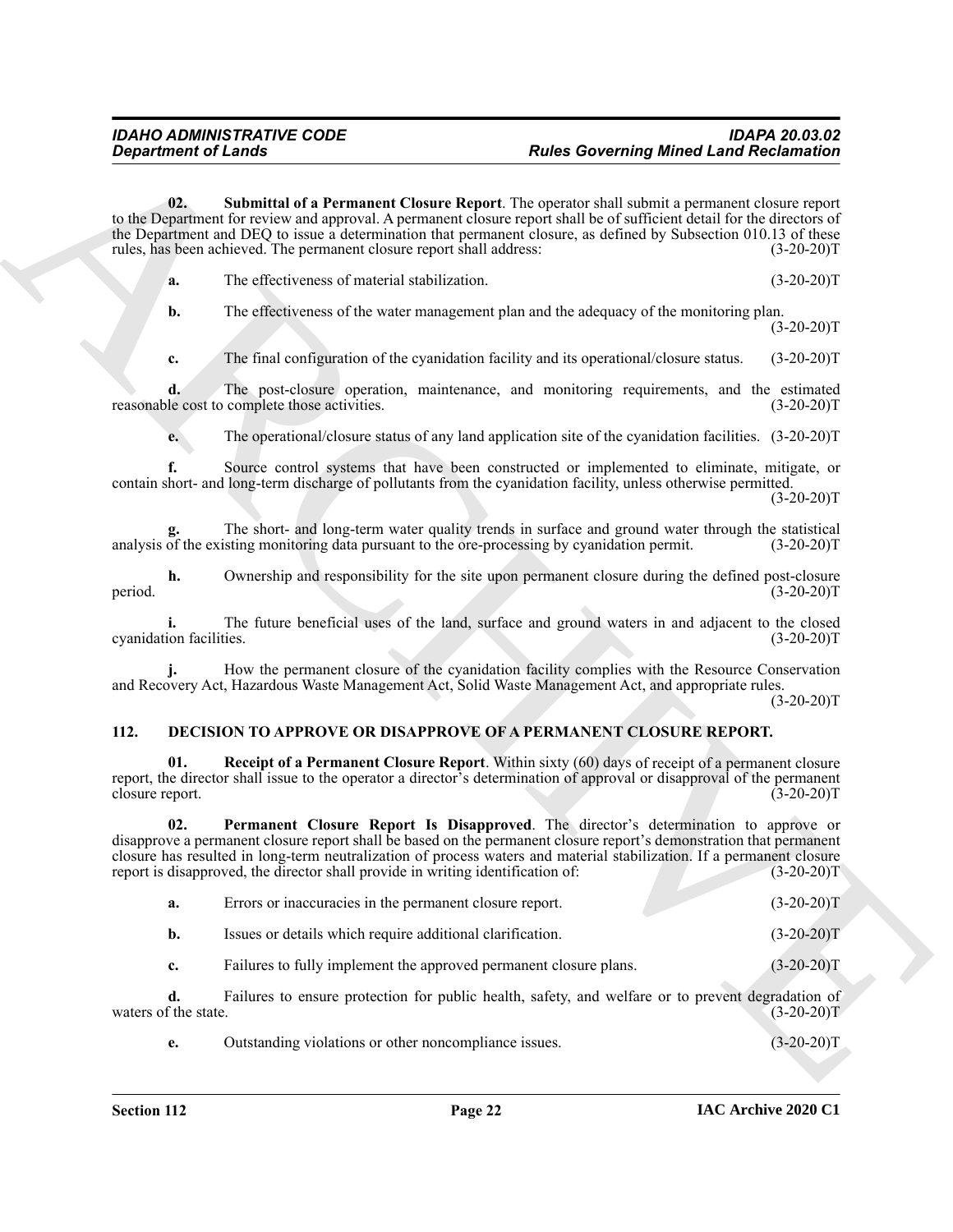<span id="page-21-1"></span>

|  | The effectiveness of material stabilization. | $(3-20-20)T$ |
|--|----------------------------------------------|--------------|
|--|----------------------------------------------|--------------|

#### <span id="page-21-4"></span><span id="page-21-3"></span><span id="page-21-2"></span><span id="page-21-0"></span>**112. DECISION TO APPROVE OR DISAPPROVE OF A PERMANENT CLOSURE REPORT.**

| <b>Department of Lands</b> |                                                                                 | <b>Rules Governing Mined Land Reclamation</b>                                                                                                                                                                                                                                                                                                 |              |
|----------------------------|---------------------------------------------------------------------------------|-----------------------------------------------------------------------------------------------------------------------------------------------------------------------------------------------------------------------------------------------------------------------------------------------------------------------------------------------|--------------|
| 02.                        | rules, has been achieved. The permanent closure report shall address:           | Submittal of a Permanent Closure Report. The operator shall submit a permanent closure report<br>to the Department for review and approval. A permanent closure report shall be of sufficient detail for the directors of<br>the Department and DEQ to issue a determination that permanent closure, as defined by Subsection 010.13 of these | $(3-20-20)T$ |
| a.                         | The effectiveness of material stabilization.                                    |                                                                                                                                                                                                                                                                                                                                               | $(3-20-20)T$ |
| b.                         |                                                                                 | The effectiveness of the water management plan and the adequacy of the monitoring plan.                                                                                                                                                                                                                                                       | $(3-20-20)T$ |
| c.                         |                                                                                 | The final configuration of the cyanidation facility and its operational/closure status.                                                                                                                                                                                                                                                       | $(3-20-20)T$ |
| d.                         | reasonable cost to complete those activities.                                   | The post-closure operation, maintenance, and monitoring requirements, and the estimated                                                                                                                                                                                                                                                       | $(3-20-20)T$ |
| e.                         |                                                                                 | The operational/closure status of any land application site of the cyanidation facilities. (3-20-20)T                                                                                                                                                                                                                                         |              |
|                            |                                                                                 | Source control systems that have been constructed or implemented to eliminate, mitigate, or<br>contain short- and long-term discharge of pollutants from the cyanidation facility, unless otherwise permitted.                                                                                                                                | $(3-20-20)T$ |
|                            |                                                                                 | The short- and long-term water quality trends in surface and ground water through the statistical<br>analysis of the existing monitoring data pursuant to the ore-processing by cyanidation permit.                                                                                                                                           | $(3-20-20)T$ |
| h.<br>period.              |                                                                                 | Ownership and responsibility for the site upon permanent closure during the defined post-closure                                                                                                                                                                                                                                              | $(3-20-20)T$ |
| cyanidation facilities.    |                                                                                 | The future beneficial uses of the land, surface and ground waters in and adjacent to the closed                                                                                                                                                                                                                                               | $(3-20-20)T$ |
|                            |                                                                                 | How the permanent closure of the cyanidation facility complies with the Resource Conservation<br>and Recovery Act, Hazardous Waste Management Act, Solid Waste Management Act, and appropriate rules.                                                                                                                                         | $(3-20-20)T$ |
| 112.                       |                                                                                 | <b>DECISION TO APPROVE OR DISAPPROVE OF A PERMANENT CLOSURE REPORT.</b>                                                                                                                                                                                                                                                                       |              |
| 01.<br>closure report.     |                                                                                 | <b>Receipt of a Permanent Closure Report.</b> Within sixty (60) days of receipt of a permanent closure<br>report, the director shall issue to the operator a director's determination of approval or disapproval of the permanent                                                                                                             | $(3-20-20)T$ |
| 02.                        | report is disapproved, the director shall provide in writing identification of: | Permanent Closure Report Is Disapproved. The director's determination to approve or<br>disapprove a permanent closure report shall be based on the permanent closure report's demonstration that permanent<br>closure has resulted in long-term neutralization of process waters and material stabilization. If a permanent closure           | $(3-20-20)T$ |
| a.                         | Errors or inaccuracies in the permanent closure report.                         |                                                                                                                                                                                                                                                                                                                                               | $(3-20-20)T$ |
| $b$ .                      | Issues or details which require additional clarification.                       |                                                                                                                                                                                                                                                                                                                                               | $(3-20-20)T$ |
| c.                         | Failures to fully implement the approved permanent closure plans.               |                                                                                                                                                                                                                                                                                                                                               | $(3-20-20)T$ |
| d.<br>waters of the state. |                                                                                 | Failures to ensure protection for public health, safety, and welfare or to prevent degradation of                                                                                                                                                                                                                                             | $(3-20-20)T$ |
| e.                         | Outstanding violations or other noncompliance issues.                           |                                                                                                                                                                                                                                                                                                                                               | $(3-20-20)T$ |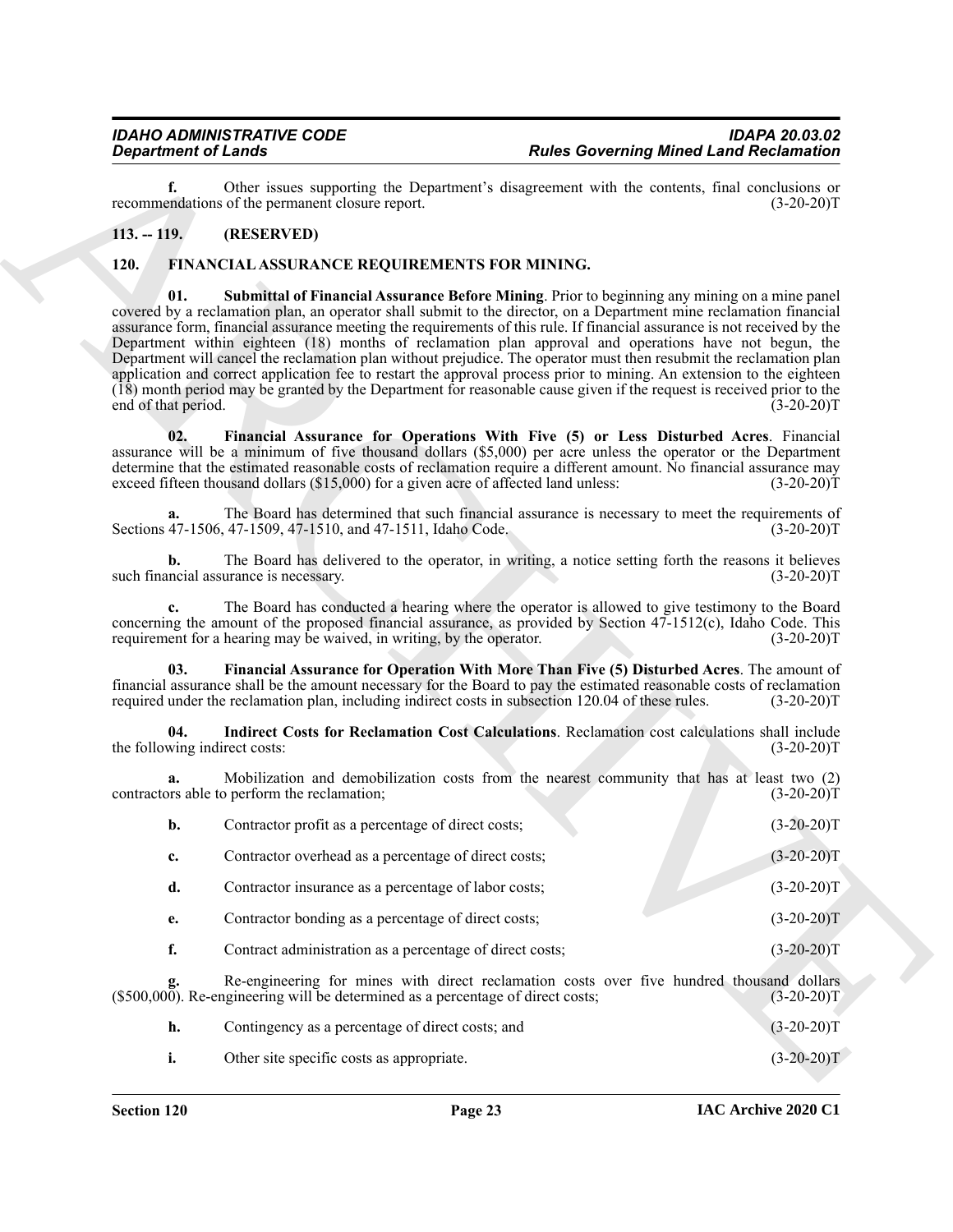#### <span id="page-22-2"></span><span id="page-22-0"></span>**113. -- 119. (RESERVED)**

#### <span id="page-22-6"></span><span id="page-22-4"></span><span id="page-22-1"></span>**120. FINANCIAL ASSURANCE REQUIREMENTS FOR MINING.**

| <b>Rules Governing Mined Land Reclamation</b> |                                                                                                                                                                                                                                                                                                                                                                                                                                                                                                                                                                                                                                                                                                                                                                                                                                     | <b>Department of Lands</b>                                            |                            |
|-----------------------------------------------|-------------------------------------------------------------------------------------------------------------------------------------------------------------------------------------------------------------------------------------------------------------------------------------------------------------------------------------------------------------------------------------------------------------------------------------------------------------------------------------------------------------------------------------------------------------------------------------------------------------------------------------------------------------------------------------------------------------------------------------------------------------------------------------------------------------------------------------|-----------------------------------------------------------------------|----------------------------|
| $(3-20-20)T$                                  | Other issues supporting the Department's disagreement with the contents, final conclusions or                                                                                                                                                                                                                                                                                                                                                                                                                                                                                                                                                                                                                                                                                                                                       | recommendations of the permanent closure report.                      | f.                         |
|                                               |                                                                                                                                                                                                                                                                                                                                                                                                                                                                                                                                                                                                                                                                                                                                                                                                                                     | (RESERVED)                                                            | $113. - 119.$              |
|                                               | FINANCIAL ASSURANCE REQUIREMENTS FOR MINING.                                                                                                                                                                                                                                                                                                                                                                                                                                                                                                                                                                                                                                                                                                                                                                                        |                                                                       | <b>120.</b>                |
| $(3-20-20)T$                                  | Submittal of Financial Assurance Before Mining. Prior to beginning any mining on a mine panel<br>covered by a reclamation plan, an operator shall submit to the director, on a Department mine reclamation financial<br>assurance form, financial assurance meeting the requirements of this rule. If financial assurance is not received by the<br>Department within eighteen (18) months of reclamation plan approval and operations have not begun, the<br>Department will cancel the reclamation plan without prejudice. The operator must then resubmit the reclamation plan<br>application and correct application fee to restart the approval process prior to mining. An extension to the eighteen<br>(18) month period may be granted by the Department for reasonable cause given if the request is received prior to the |                                                                       | 01.<br>end of that period. |
| $(3-20-20)T$                                  | Financial Assurance for Operations With Five (5) or Less Disturbed Acres. Financial<br>assurance will be a minimum of five thousand dollars (\$5,000) per acre unless the operator or the Department<br>determine that the estimated reasonable costs of reclamation require a different amount. No financial assurance may<br>exceed fifteen thousand dollars (\$15,000) for a given acre of affected land unless:                                                                                                                                                                                                                                                                                                                                                                                                                 |                                                                       | 02.                        |
| $(3-20-20)T$                                  | The Board has determined that such financial assurance is necessary to meet the requirements of                                                                                                                                                                                                                                                                                                                                                                                                                                                                                                                                                                                                                                                                                                                                     | Sections 47-1506, 47-1509, 47-1510, and 47-1511, Idaho Code.          | a.                         |
| $(3-20-20)T$                                  | The Board has delivered to the operator, in writing, a notice setting forth the reasons it believes                                                                                                                                                                                                                                                                                                                                                                                                                                                                                                                                                                                                                                                                                                                                 | such financial assurance is necessary.                                | b.                         |
| $(3-20-20)T$                                  | The Board has conducted a hearing where the operator is allowed to give testimony to the Board<br>concerning the amount of the proposed financial assurance, as provided by Section $47-1512(c)$ , Idaho Code. This                                                                                                                                                                                                                                                                                                                                                                                                                                                                                                                                                                                                                 | requirement for a hearing may be waived, in writing, by the operator. | c.                         |
| $(3-20-20)T$                                  | Financial Assurance for Operation With More Than Five (5) Disturbed Acres. The amount of<br>financial assurance shall be the amount necessary for the Board to pay the estimated reasonable costs of reclamation<br>required under the reclamation plan, including indirect costs in subsection 120.04 of these rules.                                                                                                                                                                                                                                                                                                                                                                                                                                                                                                              |                                                                       | 03.                        |
| $(3-20-20)T$                                  | Indirect Costs for Reclamation Cost Calculations. Reclamation cost calculations shall include                                                                                                                                                                                                                                                                                                                                                                                                                                                                                                                                                                                                                                                                                                                                       | the following indirect costs:                                         | 04.                        |
| $(3-20-20)T$                                  | Mobilization and demobilization costs from the nearest community that has at least two (2)                                                                                                                                                                                                                                                                                                                                                                                                                                                                                                                                                                                                                                                                                                                                          | contractors able to perform the reclamation;                          | a.                         |
| $(3-20-20)T$                                  |                                                                                                                                                                                                                                                                                                                                                                                                                                                                                                                                                                                                                                                                                                                                                                                                                                     | Contractor profit as a percentage of direct costs;                    | b.                         |
| $(3-20-20)T$                                  |                                                                                                                                                                                                                                                                                                                                                                                                                                                                                                                                                                                                                                                                                                                                                                                                                                     | Contractor overhead as a percentage of direct costs;                  | c.                         |
| $(3-20-20)T$                                  |                                                                                                                                                                                                                                                                                                                                                                                                                                                                                                                                                                                                                                                                                                                                                                                                                                     | Contractor insurance as a percentage of labor costs;                  | d.                         |
| $(3-20-20)T$                                  |                                                                                                                                                                                                                                                                                                                                                                                                                                                                                                                                                                                                                                                                                                                                                                                                                                     | Contractor bonding as a percentage of direct costs;                   | e.                         |
| $(3-20-20)T$                                  | Contract administration as a percentage of direct costs;                                                                                                                                                                                                                                                                                                                                                                                                                                                                                                                                                                                                                                                                                                                                                                            |                                                                       | f.                         |
| $(3-20-20)T$                                  | Re-engineering for mines with direct reclamation costs over five hundred thousand dollars<br><b>g.</b> Re-engineering for mines with direct reclamation costs (\$500,000). Re-engineering will be determined as a percentage of direct costs;                                                                                                                                                                                                                                                                                                                                                                                                                                                                                                                                                                                       |                                                                       |                            |
| $(3-20-20)T$                                  |                                                                                                                                                                                                                                                                                                                                                                                                                                                                                                                                                                                                                                                                                                                                                                                                                                     | Contingency as a percentage of direct costs; and                      | h.                         |
| $(3-20-20)T$                                  |                                                                                                                                                                                                                                                                                                                                                                                                                                                                                                                                                                                                                                                                                                                                                                                                                                     | Other site specific costs as appropriate.                             | i.                         |

<span id="page-22-5"></span><span id="page-22-3"></span>

| Contingency as a percentage of direct costs; and | $(3-20-20)T$ |
|--------------------------------------------------|--------------|
| Other site specific costs as appropriate.        | $(3-20-20)T$ |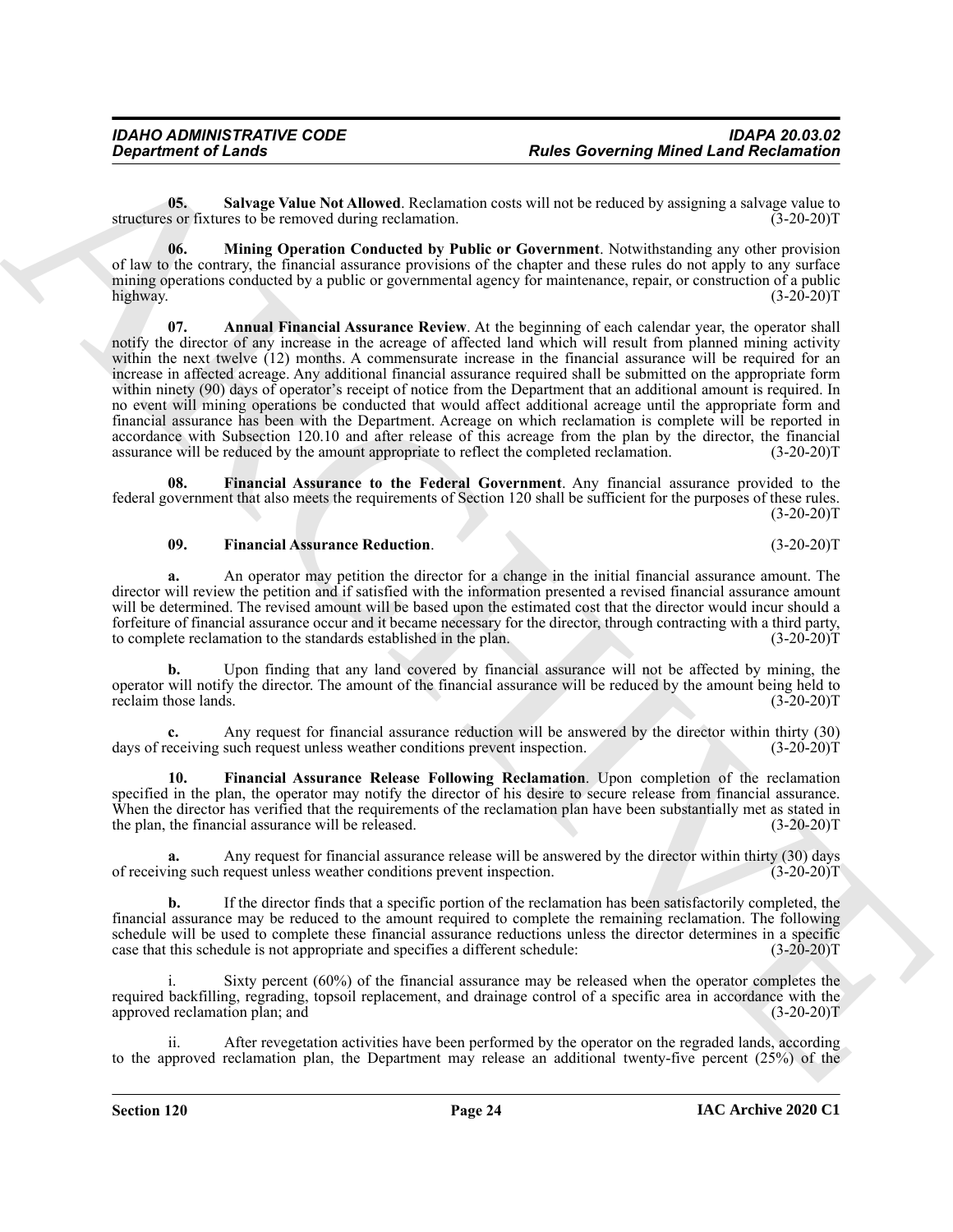<span id="page-23-5"></span>**05. Salvage Value Not Allowed**. Reclamation costs will not be reduced by assigning a salvage value to structures or fixtures to be removed during reclamation.

<span id="page-23-4"></span><span id="page-23-0"></span>**06. Mining Operation Conducted by Public or Government**. Notwithstanding any other provision of law to the contrary, the financial assurance provisions of the chapter and these rules do not apply to any surface mining operations conducted by a public or governmental agency for maintenance, repair, or construction of a public highway. (3-20-20)T

**Experiment of Leads Constraints and the Constraints of Architect Language Minest Language School in the Constraint of Research Constraint Constraint Constraint Constraint Constraint Constraint Constraint Constraint Const 07. Annual Financial Assurance Review**. At the beginning of each calendar year, the operator shall notify the director of any increase in the acreage of affected land which will result from planned mining activity within the next twelve (12) months. A commensurate increase in the financial assurance will be required for an increase in affected acreage. Any additional financial assurance required shall be submitted on the appropriate form within ninety (90) days of operator's receipt of notice from the Department that an additional amount is required. In no event will mining operations be conducted that would affect additional acreage until the appropriate form and financial assurance has been with the Department. Acreage on which reclamation is complete will be reported in accordance with Subsection 120.10 and after release of this acreage from the plan by the director, the financial assurance will be reduced by the amount appropriate to reflect the completed reclamation. (3-20-20)T assurance will be reduced by the amount appropriate to reflect the completed reclamation.

**08. Financial Assurance to the Federal Government**. Any financial assurance provided to the federal government that also meets the requirements of Section 120 shall be sufficient for the purposes of these rules.  $(3-20-20)T$ 

#### <span id="page-23-3"></span><span id="page-23-1"></span>**09. Financial Assurance Reduction**. (3-20-20)T

**a.** An operator may petition the director for a change in the initial financial assurance amount. The director will review the petition and if satisfied with the information presented a revised financial assurance amount will be determined. The revised amount will be based upon the estimated cost that the director would incur should a forfeiture of financial assurance occur and it became necessary for the director, through contracting with a third party, to complete reclamation to the standards established in the plan. (3-20-20) to complete reclamation to the standards established in the plan.

**b.** Upon finding that any land covered by financial assurance will not be affected by mining, the operator will notify the director. The amount of the financial assurance will be reduced by the amount being held to reclaim those lands. (3-20-20)T

**c.** Any request for financial assurance reduction will be answered by the director within thirty (30) eceiving such request unless weather conditions prevent inspection. (3-20-20) days of receiving such request unless weather conditions prevent inspection.

<span id="page-23-2"></span>**10. Financial Assurance Release Following Reclamation**. Upon completion of the reclamation specified in the plan, the operator may notify the director of his desire to secure release from financial assurance. When the director has verified that the requirements of the reclamation plan have been substantially met as stated in the plan, the financial assurance will be released. (3-20-20)T

**a.** Any request for financial assurance release will be answered by the director within thirty (30) days ing such request unless weather conditions prevent inspection. (3-20-20)<sup>T</sup> of receiving such request unless weather conditions prevent inspection.

**b.** If the director finds that a specific portion of the reclamation has been satisfactorily completed, the financial assurance may be reduced to the amount required to complete the remaining reclamation. The following schedule will be used to complete these financial assurance reductions unless the director determines in a specific case that this schedule is not appropriate and specifies a different schedule: (3-20-20) case that this schedule is not appropriate and specifies a different schedule:

Sixty percent  $(60\%)$  of the financial assurance may be released when the operator completes the required backfilling, regrading, topsoil replacement, and drainage control of a specific area in accordance with the approved reclamation plan; and (3-20-20)T

After revegetation activities have been performed by the operator on the regraded lands, according to the approved reclamation plan, the Department may release an additional twenty-five percent (25%) of the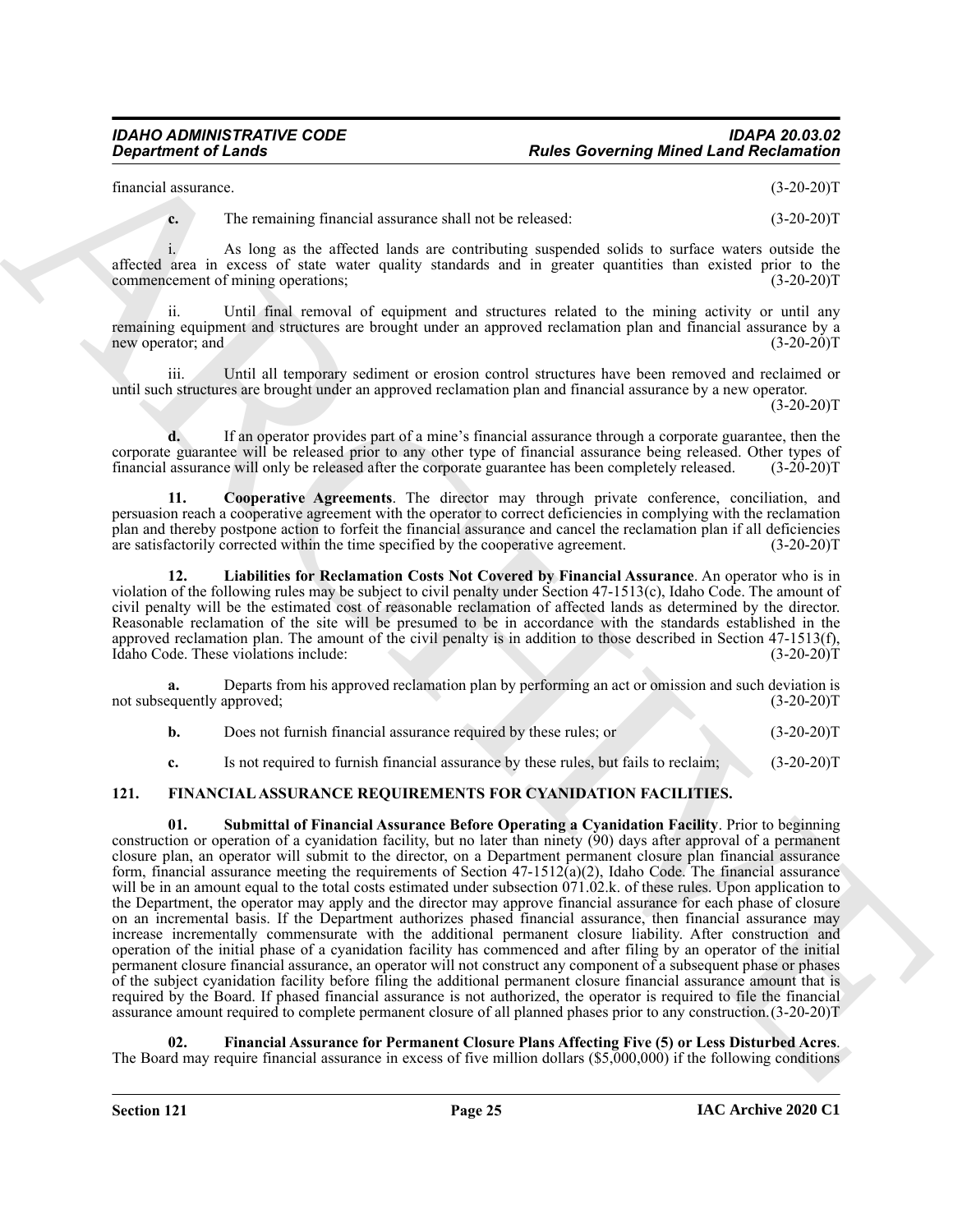financial assurance. (3-20-20)T

**c.** The remaining financial assurance shall not be released:  $(3-20-20)T$ 

i. As long as the affected lands are contributing suspended solids to surface waters outside the affected area in excess of state water quality standards and in greater quantities than existed prior to the commencement of mining operations; commencement of mining operations;

ii. Until final removal of equipment and structures related to the mining activity or until any remaining equipment and structures are brought under an approved reclamation plan and financial assurance by a new operator; and (3-20-20)T

iii. Until all temporary sediment or erosion control structures have been removed and reclaimed or until such structures are brought under an approved reclamation plan and financial assurance by a new operator.

 $(3-20-20)T$ 

**d.** If an operator provides part of a mine's financial assurance through a corporate guarantee, then the corporate guarantee will be released prior to any other type of financial assurance being released. Other types of financial assurance will only be released after the corporate guarantee has been completely released. (3-20-20)T

<span id="page-24-4"></span>**11. Cooperative Agreements**. The director may through private conference, conciliation, and persuasion reach a cooperative agreement with the operator to correct deficiencies in complying with the reclamation plan and thereby postpone action to forfeit the financial assurance and cancel the reclamation plan if all deficiencies are satisfactorily corrected within the time specified by the cooperative agreement. (3-20-20)T are satisfactorily corrected within the time specified by the cooperative agreement.

<span id="page-24-5"></span>**12. Liabilities for Reclamation Costs Not Covered by Financial Assurance**. An operator who is in violation of the following rules may be subject to civil penalty under Section 47-1513(c), Idaho Code. The amount of civil penalty will be the estimated cost of reasonable reclamation of affected lands as determined by the director. Reasonable reclamation of the site will be presumed to be in accordance with the standards established in the approved reclamation plan. The amount of the civil penalty is in addition to those described in Section 47-1513(f), Idaho Code. These violations include: (3-20-20) Idaho Code. These violations include:

**a.** Departs from his approved reclamation plan by performing an act or omission and such deviation is not subsequently approved; (3-20-20)T

**b.** Does not furnish financial assurance required by these rules; or  $(3-20-20)$ T

<span id="page-24-3"></span><span id="page-24-1"></span>**c.** Is not required to furnish financial assurance by these rules, but fails to reclaim; (3-20-20)T

### <span id="page-24-0"></span>**121. FINANCIAL ASSURANCE REQUIREMENTS FOR CYANIDATION FACILITIES.**

**Equivariant of Lendar<br>
Ensures Constraints Planetal accounts of the second state of the second state of the second state of the second state of the second state of the second state of the second state of the second state 01. Submittal of Financial Assurance Before Operating a Cyanidation Facility**. Prior to beginning construction or operation of a cyanidation facility, but no later than ninety (90) days after approval of a permanent closure plan, an operator will submit to the director, on a Department permanent closure plan financial assurance form, financial assurance meeting the requirements of Section 47-1512(a)(2), Idaho Code. The financial assurance will be in an amount equal to the total costs estimated under subsection 071.02.k. of these rules. Upon application to the Department, the operator may apply and the director may approve financial assurance for each phase of closure on an incremental basis. If the Department authorizes phased financial assurance, then financial assurance may increase incrementally commensurate with the additional permanent closure liability. After construction and operation of the initial phase of a cyanidation facility has commenced and after filing by an operator of the initial permanent closure financial assurance, an operator will not construct any component of a subsequent phase or phases of the subject cyanidation facility before filing the additional permanent closure financial assurance amount that is required by the Board. If phased financial assurance is not authorized, the operator is required to file the financial assurance amount required to complete permanent closure of all planned phases prior to any construction.(3-20-20)T

<span id="page-24-2"></span>**02. Financial Assurance for Permanent Closure Plans Affecting Five (5) or Less Disturbed Acres**. The Board may require financial assurance in excess of five million dollars (\$5,000,000) if the following conditions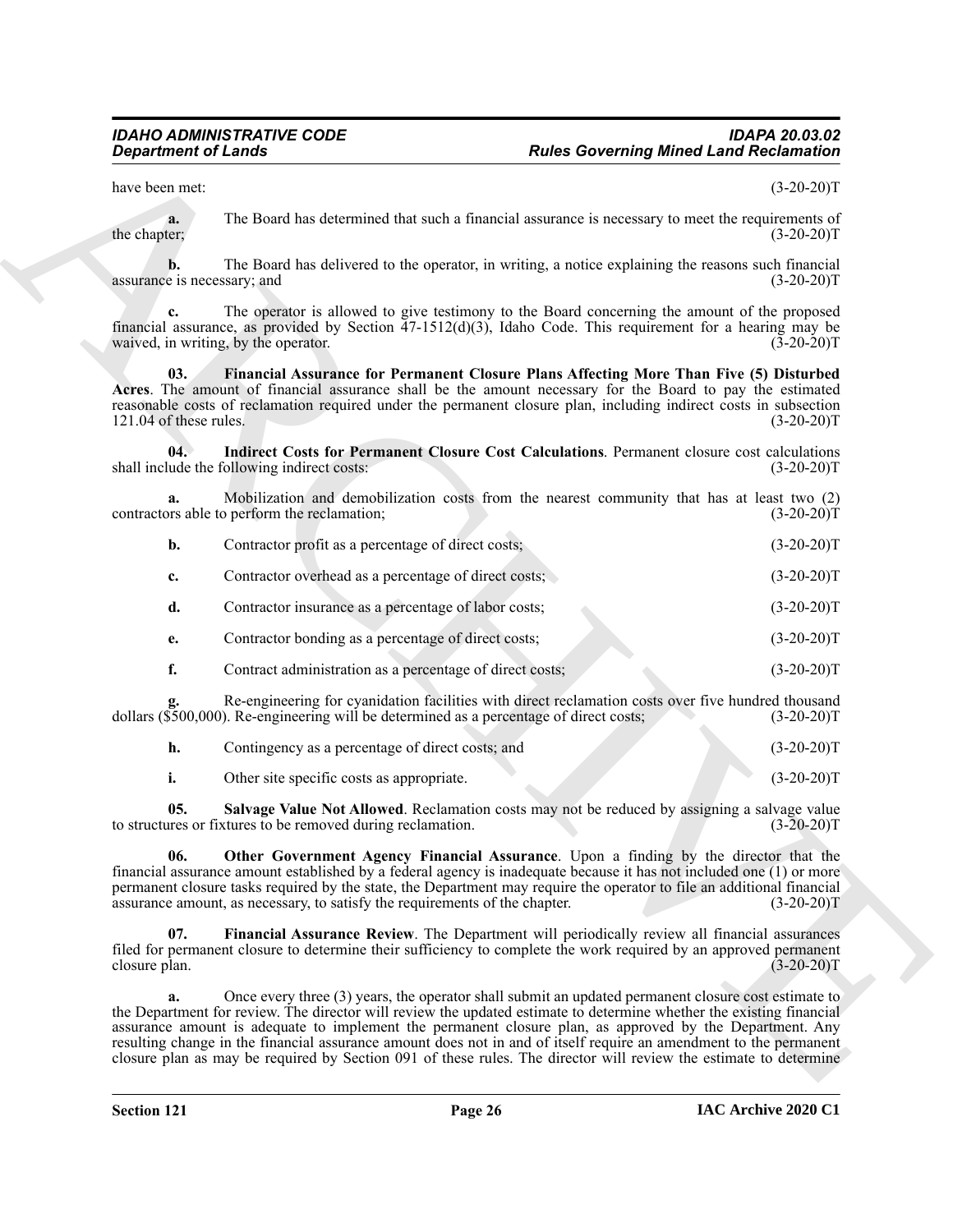<span id="page-25-0"></span>

| <b>Department of Lands</b>                                                                                                                                                                                                                                    |                                                                                         | <b>Rules Governing Mined Land Reclamation</b>                                                                                                                                                                                                                                                                                                                                                                                                                                                                                                                                      |              |
|---------------------------------------------------------------------------------------------------------------------------------------------------------------------------------------------------------------------------------------------------------------|-----------------------------------------------------------------------------------------|------------------------------------------------------------------------------------------------------------------------------------------------------------------------------------------------------------------------------------------------------------------------------------------------------------------------------------------------------------------------------------------------------------------------------------------------------------------------------------------------------------------------------------------------------------------------------------|--------------|
| have been met:                                                                                                                                                                                                                                                |                                                                                         |                                                                                                                                                                                                                                                                                                                                                                                                                                                                                                                                                                                    | $(3-20-20)T$ |
| a.<br>the chapter;                                                                                                                                                                                                                                            |                                                                                         | The Board has determined that such a financial assurance is necessary to meet the requirements of                                                                                                                                                                                                                                                                                                                                                                                                                                                                                  | $(3-20-20)T$ |
| b.<br>assurance is necessary; and                                                                                                                                                                                                                             |                                                                                         | The Board has delivered to the operator, in writing, a notice explaining the reasons such financial                                                                                                                                                                                                                                                                                                                                                                                                                                                                                | $(3-20-20)T$ |
| The operator is allowed to give testimony to the Board concerning the amount of the proposed<br>c.<br>financial assurance, as provided by Section $47-1512(d)(3)$ , Idaho Code. This requirement for a hearing may be<br>waived, in writing, by the operator. |                                                                                         | $(3-20-20)T$                                                                                                                                                                                                                                                                                                                                                                                                                                                                                                                                                                       |              |
| 03.<br>121.04 of these rules.                                                                                                                                                                                                                                 |                                                                                         | Financial Assurance for Permanent Closure Plans Affecting More Than Five (5) Disturbed<br>Acres. The amount of financial assurance shall be the amount necessary for the Board to pay the estimated<br>reasonable costs of reclamation required under the permanent closure plan, including indirect costs in subsection                                                                                                                                                                                                                                                           | $(3-20-20)T$ |
| 04.                                                                                                                                                                                                                                                           | shall include the following indirect costs:                                             | Indirect Costs for Permanent Closure Cost Calculations. Permanent closure cost calculations                                                                                                                                                                                                                                                                                                                                                                                                                                                                                        | $(3-20-20)T$ |
| a.                                                                                                                                                                                                                                                            | contractors able to perform the reclamation;                                            | Mobilization and demobilization costs from the nearest community that has at least two (2)                                                                                                                                                                                                                                                                                                                                                                                                                                                                                         | $(3-20-20)T$ |
| b.                                                                                                                                                                                                                                                            | Contractor profit as a percentage of direct costs;                                      |                                                                                                                                                                                                                                                                                                                                                                                                                                                                                                                                                                                    | $(3-20-20)T$ |
| c.                                                                                                                                                                                                                                                            | Contractor overhead as a percentage of direct costs;                                    |                                                                                                                                                                                                                                                                                                                                                                                                                                                                                                                                                                                    | $(3-20-20)T$ |
| d.                                                                                                                                                                                                                                                            | Contractor insurance as a percentage of labor costs;                                    |                                                                                                                                                                                                                                                                                                                                                                                                                                                                                                                                                                                    | $(3-20-20)T$ |
| e.                                                                                                                                                                                                                                                            | Contractor bonding as a percentage of direct costs;                                     |                                                                                                                                                                                                                                                                                                                                                                                                                                                                                                                                                                                    | $(3-20-20)T$ |
| f.                                                                                                                                                                                                                                                            | Contract administration as a percentage of direct costs;                                |                                                                                                                                                                                                                                                                                                                                                                                                                                                                                                                                                                                    | $(3-20-20)T$ |
|                                                                                                                                                                                                                                                               | dollars (\$500,000). Re-engineering will be determined as a percentage of direct costs; | Re-engineering for cyanidation facilities with direct reclamation costs over five hundred thousand                                                                                                                                                                                                                                                                                                                                                                                                                                                                                 | $(3-20-20)T$ |
| h.                                                                                                                                                                                                                                                            | Contingency as a percentage of direct costs; and                                        |                                                                                                                                                                                                                                                                                                                                                                                                                                                                                                                                                                                    | $(3-20-20)T$ |
| i.                                                                                                                                                                                                                                                            | Other site specific costs as appropriate.                                               |                                                                                                                                                                                                                                                                                                                                                                                                                                                                                                                                                                                    | $(3-20-20)T$ |
| 05.<br>to structures or fixtures to be removed during reclamation.                                                                                                                                                                                            |                                                                                         | Salvage Value Not Allowed. Reclamation costs may not be reduced by assigning a salvage value                                                                                                                                                                                                                                                                                                                                                                                                                                                                                       | $(3-20-20)T$ |
| 06.                                                                                                                                                                                                                                                           | assurance amount, as necessary, to satisfy the requirements of the chapter.             | Other Government Agency Financial Assurance. Upon a finding by the director that the<br>financial assurance amount established by a federal agency is inadequate because it has not included one (1) or more<br>permanent closure tasks required by the state, the Department may require the operator to file an additional financial                                                                                                                                                                                                                                             | $(3-20-20)T$ |
| 07.<br>closure plan.                                                                                                                                                                                                                                          |                                                                                         | Financial Assurance Review. The Department will periodically review all financial assurances<br>filed for permanent closure to determine their sufficiency to complete the work required by an approved permanent                                                                                                                                                                                                                                                                                                                                                                  | $(3-20-20)T$ |
| a.                                                                                                                                                                                                                                                            |                                                                                         | Once every three (3) years, the operator shall submit an updated permanent closure cost estimate to<br>the Department for review. The director will review the updated estimate to determine whether the existing financial<br>assurance amount is adequate to implement the permanent closure plan, as approved by the Department. Any<br>resulting change in the financial assurance amount does not in and of itself require an amendment to the permanent<br>closure plan as may be required by Section 091 of these rules. The director will review the estimate to determine |              |

<span id="page-25-4"></span><span id="page-25-3"></span><span id="page-25-2"></span><span id="page-25-1"></span>

| Contingency as a percentage of direct costs; and | $(3-20-20)T$ |
|--------------------------------------------------|--------------|
| Other site specific costs as appropriate.        | $(3-20-20)T$ |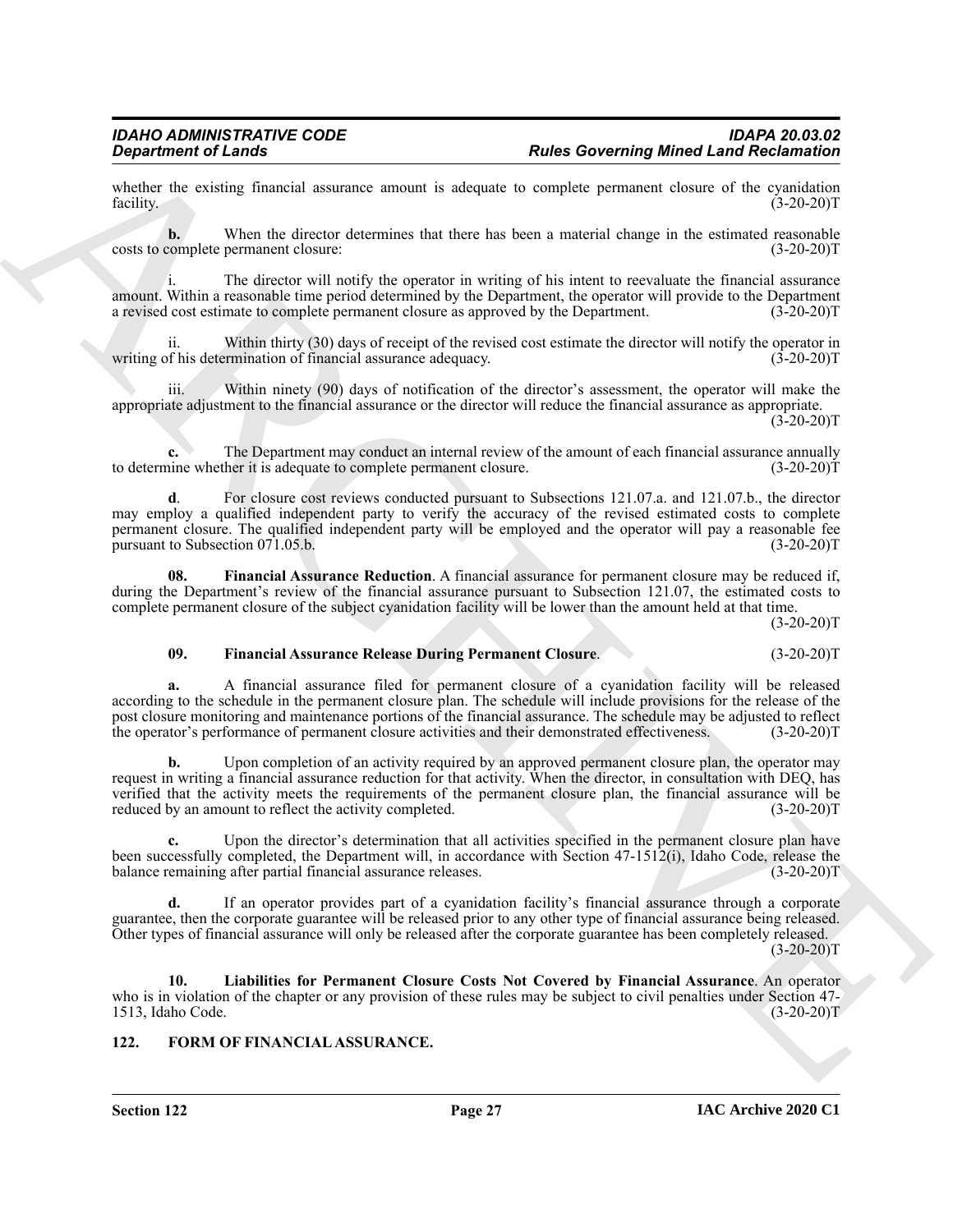whether the existing financial assurance amount is adequate to complete permanent closure of the cyanidation facility. (3-20-20) facility. (3-20-20)T

**b.** When the director determines that there has been a material change in the estimated reasonable complete permanent closure: (3-20-20) costs to complete permanent closure:

The director will notify the operator in writing of his intent to reevaluate the financial assurance amount. Within a reasonable time period determined by the Department, the operator will provide to the Department a revised cost estimate to complete permanent closure as approved by the Department. (3-20-20)T

ii. Within thirty (30) days of receipt of the revised cost estimate the director will notify the operator in of his determination of financial assurance adequacy. (3-20-20) writing of his determination of financial assurance adequacy.

Within ninety (90) days of notification of the director's assessment, the operator will make the appropriate adjustment to the financial assurance or the director will reduce the financial assurance as appropriate.  $(3-20-20)T$ 

**c.** The Department may conduct an internal review of the amount of each financial assurance annually to determine whether it is adequate to complete permanent closure. (3-20-20)T

**d**. For closure cost reviews conducted pursuant to Subsections 121.07.a. and 121.07.b., the director may employ a qualified independent party to verify the accuracy of the revised estimated costs to complete permanent closure. The qualified independent party will be employed and the operator will pay a reasonable fee<br>pursuant to Subsection 071.05.b. (3-20-20) pursuant to Subsection 071.05.b.

<span id="page-26-1"></span>**08. Financial Assurance Reduction**. A financial assurance for permanent closure may be reduced if, during the Department's review of the financial assurance pursuant to Subsection 121.07, the estimated costs to complete permanent closure of the subject cyanidation facility will be lower than the amount held at that time.

 $(3-20-20)T$ 

#### <span id="page-26-2"></span>**09. Financial Assurance Release During Permanent Closure**. (3-20-20)T

**Experimented Cases Constraints of the state of the state of the state of the state of the state of the state of the state of the state of the state of the state of the state of the state of the state of the state of the a.** A financial assurance filed for permanent closure of a cyanidation facility will be released according to the schedule in the permanent closure plan. The schedule will include provisions for the release of the post closure monitoring and maintenance portions of the financial assurance. The schedule may be adjusted to reflect<br>the operator's performance of permanent closure activities and their demonstrated effectiveness. (3-20-20 the operator's performance of permanent closure activities and their demonstrated effectiveness.

**b.** Upon completion of an activity required by an approved permanent closure plan, the operator may request in writing a financial assurance reduction for that activity. When the director, in consultation with DEQ, has verified that the activity meets the requirements of the permanent closure plan, the financial assurance will be reduced by an amount to reflect the activity completed. (3-20-20)T

Upon the director's determination that all activities specified in the permanent closure plan have been successfully completed, the Department will, in accordance with Section 47-1512(i), Idaho Code, release the balance remaining after partial financial assurance releases. (3-20-20) balance remaining after partial financial assurance releases.

**d.** If an operator provides part of a cyanidation facility's financial assurance through a corporate guarantee, then the corporate guarantee will be released prior to any other type of financial assurance being released. Other types of financial assurance will only be released after the corporate guarantee has been completely released.  $(3-20-20)T$ 

<span id="page-26-3"></span>**10. Liabilities for Permanent Closure Costs Not Covered by Financial Assurance**. An operator who is in violation of the chapter or any provision of these rules may be subject to civil penalties under Section 47-<br>1513, Idaho Code. (3-20-20) 1513, Idaho Code.

#### <span id="page-26-4"></span><span id="page-26-0"></span>**122. FORM OF FINANCIAL ASSURANCE.**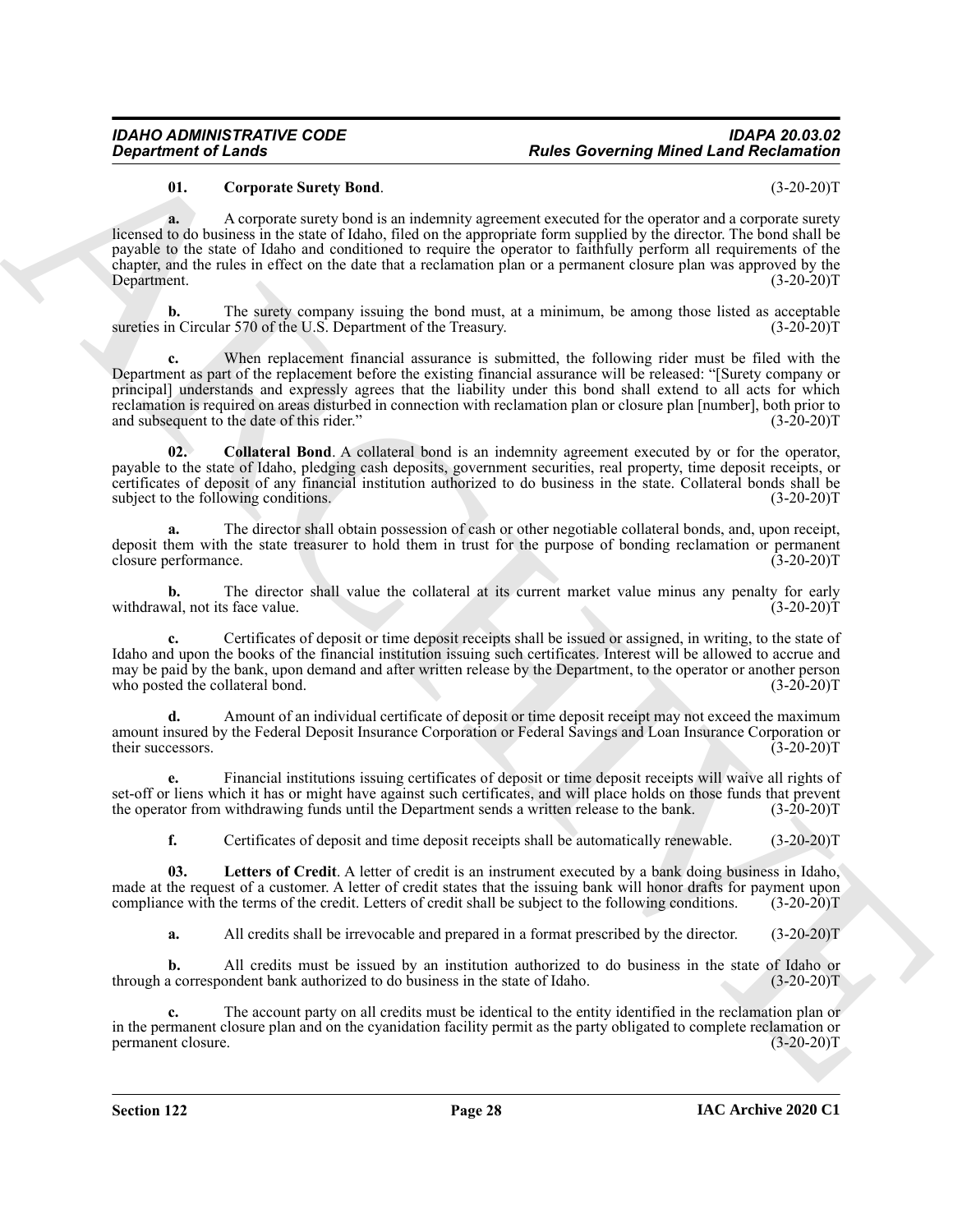### <span id="page-27-1"></span>**01. Corporate Surety Bond**. (3-20-20)T

**a.** A corporate surety bond is an indemnity agreement executed for the operator and a corporate surety licensed to do business in the state of Idaho, filed on the appropriate form supplied by the director. The bond shall be payable to the state of Idaho and conditioned to require the operator to faithfully perform all requirements of the chapter, and the rules in effect on the date that a reclamation plan or a permanent closure plan was approved by the Department. (3-20-20)T

**b.** The surety company issuing the bond must, at a minimum, be among those listed as acceptable sureties in Circular 570 of the U.S. Department of the Treasury. (3-20-20)T

**Expansion of Leady<br>
Original to the Constraint State Eastern Proposes transmitted the case of the separate description of European Constraint State<br>
Because the separate state Band,<br>
Because the separate state Band,<br>
Rem** When replacement financial assurance is submitted, the following rider must be filed with the Department as part of the replacement before the existing financial assurance will be released: "[Surety company or principal] understands and expressly agrees that the liability under this bond shall extend to all acts for which reclamation is required on areas disturbed in connection with reclamation plan or closure plan [number], both prior to and subsequent to the date of this rider." (3-20-20) and subsequent to the date of this rider."

<span id="page-27-0"></span>**02. Collateral Bond**. A collateral bond is an indemnity agreement executed by or for the operator, payable to the state of Idaho, pledging cash deposits, government securities, real property, time deposit receipts, or certificates of deposit of any financial institution authorized to do business in the state. Collateral bonds shall be subject to the following conditions. (3-20-20) subject to the following conditions.

**a.** The director shall obtain possession of cash or other negotiable collateral bonds, and, upon receipt, deposit them with the state treasurer to hold them in trust for the purpose of bonding reclamation or permanent closure performance. (3-20-20) closure performance.

**b.** The director shall value the collateral at its current market value minus any penalty for early val, not its face value. (3-20-20) withdrawal, not its face value.

**c.** Certificates of deposit or time deposit receipts shall be issued or assigned, in writing, to the state of Idaho and upon the books of the financial institution issuing such certificates. Interest will be allowed to accrue and may be paid by the bank, upon demand and after written release by the Department, to the operator or another person who posted the collateral bond. (3-20-20) who posted the collateral bond.

**d.** Amount of an individual certificate of deposit or time deposit receipt may not exceed the maximum amount insured by the Federal Deposit Insurance Corporation or Federal Savings and Loan Insurance Corporation or their successors.

**e.** Financial institutions issuing certificates of deposit or time deposit receipts will waive all rights of set-off or liens which it has or might have against such certificates, and will place holds on those funds that prevent<br>the operator from withdrawing funds until the Department sends a written release to the bank. (3-20-20 the operator from withdrawing funds until the Department sends a written release to the bank.

<span id="page-27-2"></span>**f.** Certificates of deposit and time deposit receipts shall be automatically renewable. (3-20-20)T

**03. Letters of Credit**. A letter of credit is an instrument executed by a bank doing business in Idaho, made at the request of a customer. A letter of credit states that the issuing bank will honor drafts for payment upon compliance with the terms of the credit. Letters of credit shall be subject to the following conditions. (3-20-20)T

**a.** All credits shall be irrevocable and prepared in a format prescribed by the director. (3-20-20)T

**b.** All credits must be issued by an institution authorized to do business in the state of Idaho or through a correspondent bank authorized to do business in the state of Idaho. (3-20-20)T

**c.** The account party on all credits must be identical to the entity identified in the reclamation plan or in the permanent closure plan and on the cyanidation facility permit as the party obligated to complete reclamation or<br>(3-20-20)T permanent closure.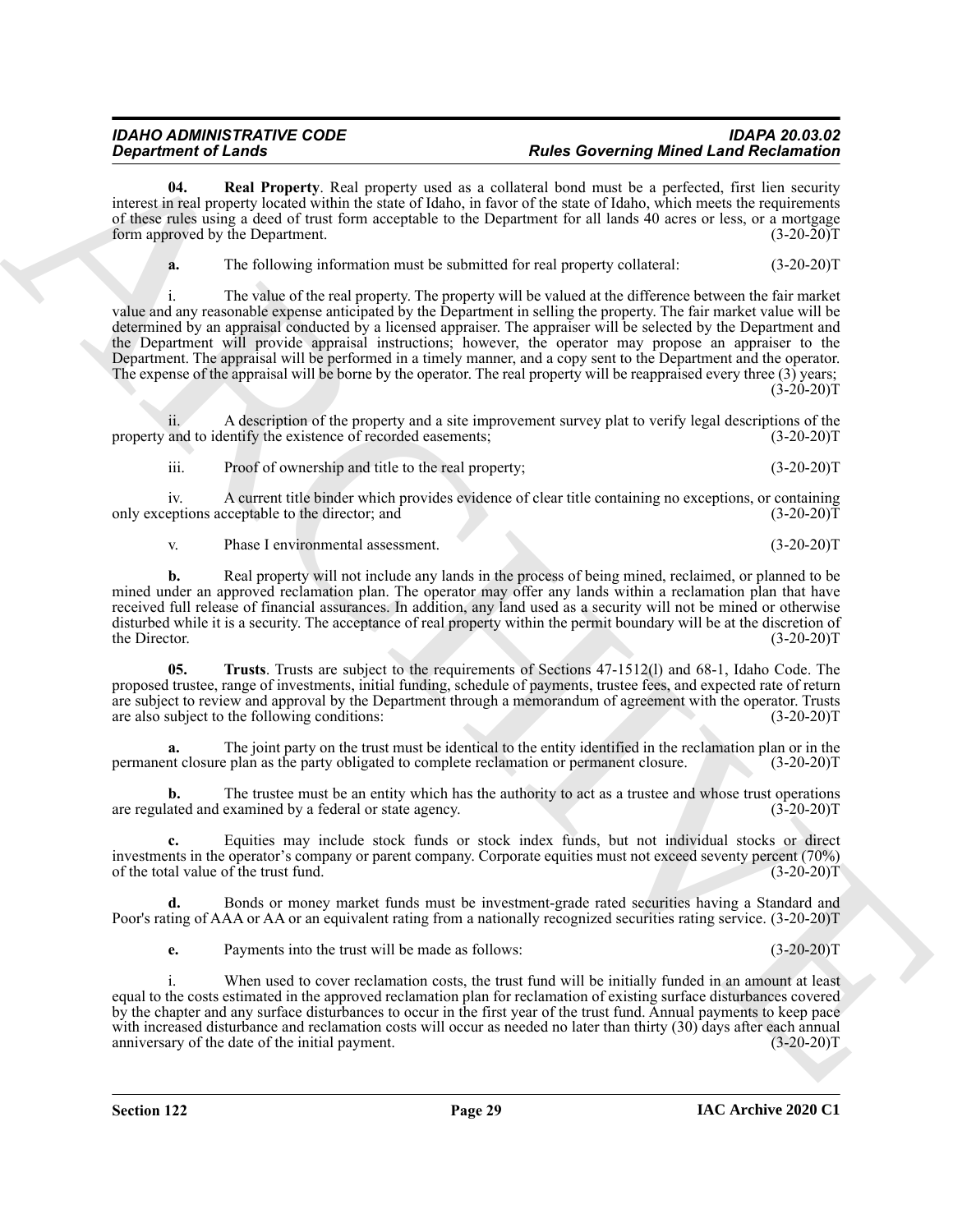**04. Real Property**. Real property used as a collateral bond must be a perfected, first lien security interest in real property located within the state of Idaho, in favor of the state of Idaho, which meets the requirements of these rules using a deed of trust form acceptable to the Department for all lands 40 acres or less, or a mortgage<br>form approved by the Department. (3-20-20) form approved by the Department.

<span id="page-28-0"></span>**a.** The following information must be submitted for real property collateral:  $(3-20-20)T$ 

**Equivalent of Lensha.**<br> **ARCHIVES** (**EVALUATE: C ARCHIVES** (**EVALUATE: C ARCHIVES** (**EVALUATE: C ARCHIVES** (**EVALUATE: C ARCHIVES** (**EVALUATE: C ARCHIVES** (**EVALUATE: C ARCHIVES** (**EVALUATE: C** The value of the real property. The property will be valued at the difference between the fair market value and any reasonable expense anticipated by the Department in selling the property. The fair market value will be determined by an appraisal conducted by a licensed appraiser. The appraiser will be selected by the Department and the Department will provide appraisal instructions; however, the operator may propose an appraiser to the Department. The appraisal will be performed in a timely manner, and a copy sent to the Department and the operator. The expense of the appraisal will be borne by the operator. The real property will be reappraised every three (3) years;  $(3-20-20)T$ 

ii. A description of the property and a site improvement survey plat to verify legal descriptions of the and to identify the existence of recorded easements; (3-20-20) property and to identify the existence of recorded easements;

iii. Proof of ownership and title to the real property; (3-20-20)T

iv. A current title binder which provides evidence of clear title containing no exceptions, or containing eptions acceptable to the director; and (3-20-20) only exceptions acceptable to the director; and

v. Phase I environmental assessment. (3-20-20)T

**b.** Real property will not include any lands in the process of being mined, reclaimed, or planned to be mined under an approved reclamation plan. The operator may offer any lands within a reclamation plan that have received full release of financial assurances. In addition, any land used as a security will not be mined or otherwise disturbed while it is a security. The acceptance of real property within the permit boundary will be at the discretion of the Director. (3-20-20) the Director. (3-20-20)T

<span id="page-28-1"></span>**05. Trusts**. Trusts are subject to the requirements of Sections 47-1512(l) and 68-1, Idaho Code. The proposed trustee, range of investments, initial funding, schedule of payments, trustee fees, and expected rate of return are subject to review and approval by the Department through a memorandum of agreement with the operator. Trusts are also subject to the following conditions: (3-20-20)T

**a.** The joint party on the trust must be identical to the entity identified in the reclamation plan or in the reclamation or permanent closure. (3-20-20)<sup>T</sup> permanent closure plan as the party obligated to complete reclamation or permanent closure.

**b.** The trustee must be an entity which has the authority to act as a trustee and whose trust operations ated and examined by a federal or state agency. (3-20-20) are regulated and examined by a federal or state agency.

**c.** Equities may include stock funds or stock index funds, but not individual stocks or direct investments in the operator's company or parent company. Corporate equities must not exceed seventy percent (70%) of the total value of the trust fund. (3-20-20) of the total value of the trust fund.

**d.** Bonds or money market funds must be investment-grade rated securities having a Standard and Poor's rating of AAA or AA or an equivalent rating from a nationally recognized securities rating service. (3-20-20)T

**e.** Payments into the trust will be made as follows: (3-20-20)T

When used to cover reclamation costs, the trust fund will be initially funded in an amount at least equal to the costs estimated in the approved reclamation plan for reclamation of existing surface disturbances covered by the chapter and any surface disturbances to occur in the first year of the trust fund. Annual payments to keep pace with increased disturbance and reclamation costs will occur as needed no later than thirty (30) days after each annual anniversary of the date of the initial payment. anniversary of the date of the initial payment.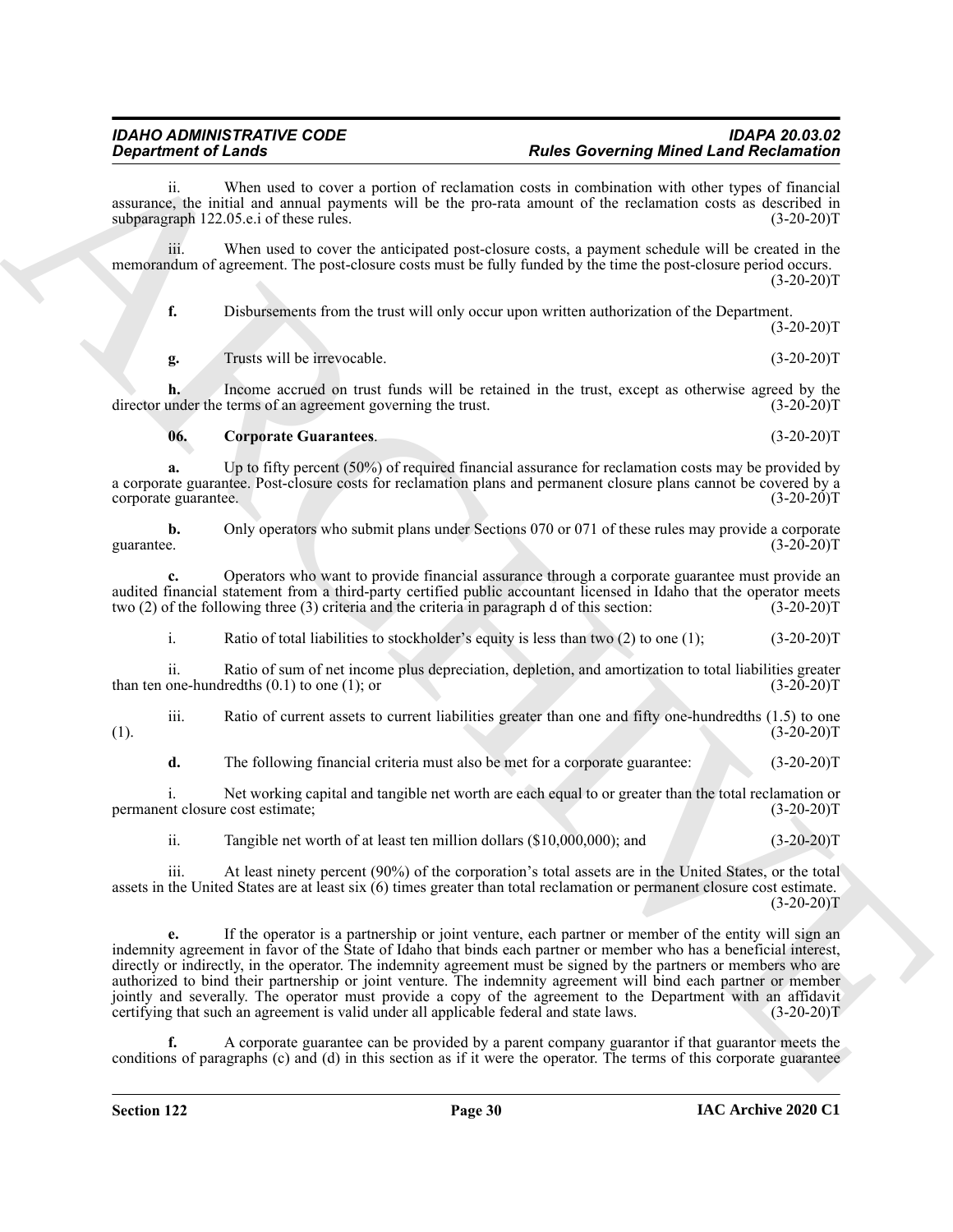ii. When used to cover a portion of reclamation costs in combination with other types of financial assurance, the initial and annual payments will be the pro-rata amount of the reclamation costs as described in subparagraph 122.05.e.i of these rules. (3-20-20) subparagraph 122.05.e.i of these rules.

iii. When used to cover the anticipated post-closure costs, a payment schedule will be created in the memorandum of agreement. The post-closure costs must be fully funded by the time the post-closure period occurs.  $(3-20-20)T$ 

**f.** Disbursements from the trust will only occur upon written authorization of the Department.  $(3-20-20)T$ 

**g.** Trusts will be irrevocable. (3-20-20)T

**h.** Income accrued on trust funds will be retained in the trust, except as otherwise agreed by the under the terms of an agreement governing the trust. (3-20-20) director under the terms of an agreement governing the trust.

<span id="page-29-0"></span>**06. Corporate Guarantees**. (3-20-20)T

**a.** Up to fifty percent (50%) of required financial assurance for reclamation costs may be provided by a corporate guarantee. Post-closure costs for reclamation plans and permanent closure plans cannot be covered by a corporate guarantee.

**b.** Only operators who submit plans under Sections 070 or 071 of these rules may provide a corporate guarantee.  $(3-20-20)T$ guarantee. (3-20-20)T

**c.** Operators who want to provide financial assurance through a corporate guarantee must provide an audited financial statement from a third-party certified public accountant licensed in Idaho that the operator meets two (2) of the following three (3) criteria and the criteria in paragraph d of this section: (3-20-20) two  $(2)$  of the following three  $(3)$  criteria and the criteria in paragraph d of this section:

i. Ratio of total liabilities to stockholder's equity is less than two (2) to one (1); (3-20-20)T

ii. Ratio of sum of net income plus depreciation, depletion, and amortization to total liabilities greater one-hundredths (0.1) to one (1); or than ten one-hundredths  $(0.1)$  to one  $(1)$ ; or

iii. Ratio of current assets to current liabilities greater than one and fifty one-hundredths (1.5) to one (3-20-20)  $(1).$  (3-20-20)T

**d.** The following financial criteria must also be met for a corporate guarantee: (3-20-20)T

i. Net working capital and tangible net worth are each equal to or greater than the total reclamation or nt closure cost estimate; (3-20-20) permanent closure cost estimate;

ii. Tangible net worth of at least ten million dollars (\$10,000,000); and (3-20-20)T

iii. At least ninety percent (90%) of the corporation's total assets are in the United States, or the total assets in the United States are at least six (6) times greater than total reclamation or permanent closure cost estimate.  $(3-20-20)T$ 

**Expansion of Leaving Theorem Construction and the Construction of Exchange Construction and Residential Section<br>
Section 1971 and the stationary of Architecture and Architecture and Architecture and Architecture and Sect e.** If the operator is a partnership or joint venture, each partner or member of the entity will sign an indemnity agreement in favor of the State of Idaho that binds each partner or member who has a beneficial interest, directly or indirectly, in the operator. The indemnity agreement must be signed by the partners or members who are authorized to bind their partnership or joint venture. The indemnity agreement will bind each partner or member jointly and severally. The operator must provide a copy of the agreement to the Department with an affidavit certifying that such an agreement is valid under all applicable federal and state laws. (3-20-20)T

**f.** A corporate guarantee can be provided by a parent company guarantor if that guarantor meets the conditions of paragraphs (c) and (d) in this section as if it were the operator. The terms of this corporate guarantee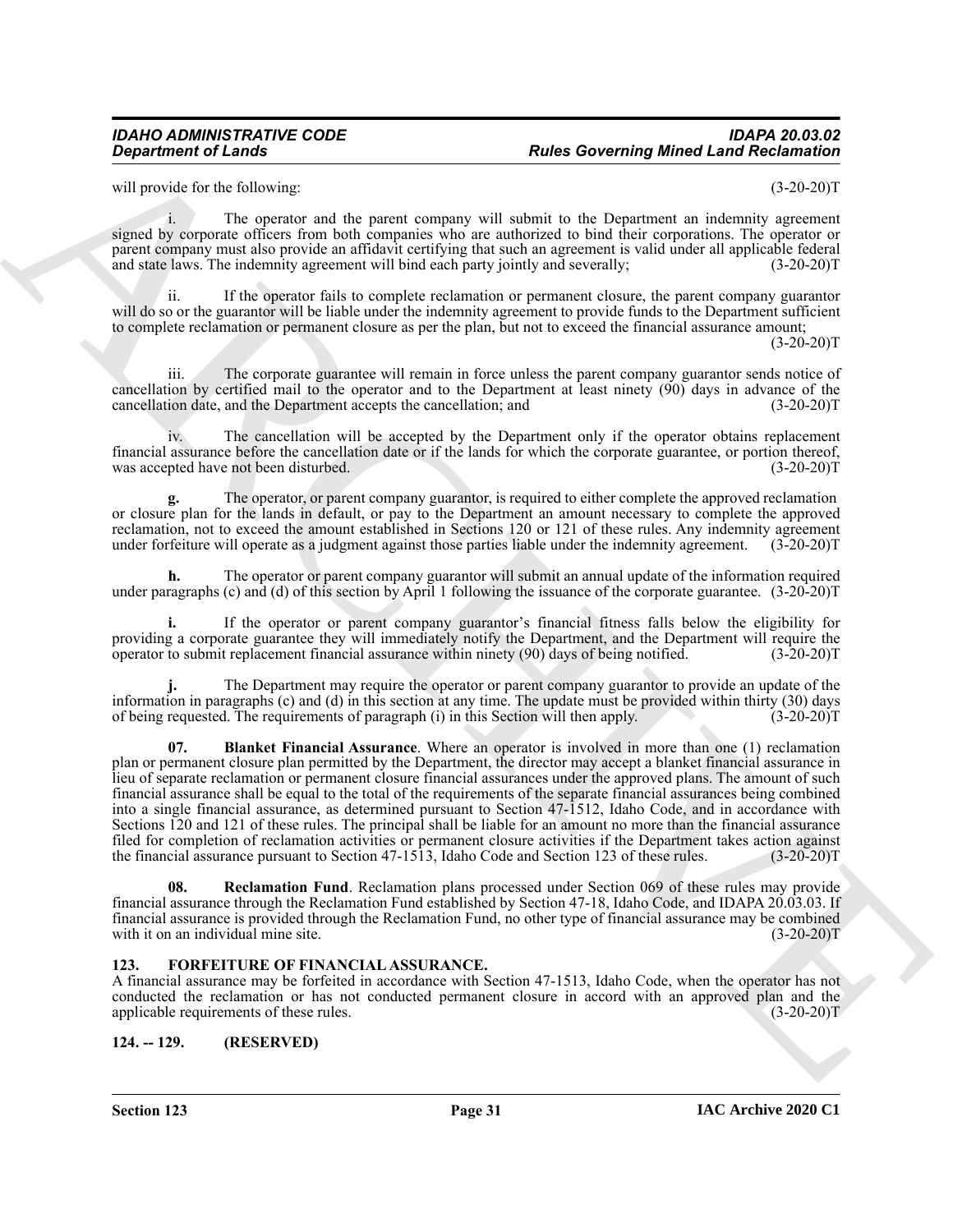### *IDAHO ADMINISTRATIVE CODE IDAPA 20.03.02* **Rules Governing Mined Land Reclamation**

will provide for the following: (3-20-20)T

i. The operator and the parent company will submit to the Department an indemnity agreement signed by corporate officers from both companies who are authorized to bind their corporations. The operator or parent company must also provide an affidavit certifying that such an agreement is valid under all applicable federal and state laws. The indemnity agreement will bind each party jointly and severally; (3-20-20)T

ii. If the operator fails to complete reclamation or permanent closure, the parent company guarantor will do so or the guarantor will be liable under the indemnity agreement to provide funds to the Department sufficient to complete reclamation or permanent closure as per the plan, but not to exceed the financial assurance amount;

 $(3-20-20)T$ 

iii. The corporate guarantee will remain in force unless the parent company guarantor sends notice of cancellation by certified mail to the operator and to the Department at least ninety (90) days in advance of the cancellation date, and the Department accepts the cancellation; and (3-20-20)T

iv. The cancellation will be accepted by the Department only if the operator obtains replacement financial assurance before the cancellation date or if the lands for which the corporate guarantee, or portion thereof, was accepted have not been disturbed. (3-20-20)T

**g.** The operator, or parent company guarantor, is required to either complete the approved reclamation or closure plan for the lands in default, or pay to the Department an amount necessary to complete the approved reclamation, not to exceed the amount established in Sections 120 or 121 of these rules. Any indemnity agreement under forfeiture will operate as a judgment against those parties liable under the indemnity agreement. (3-20 under forfeiture will operate as a judgment against those parties liable under the indemnity agreement.

**h.** The operator or parent company guarantor will submit an annual update of the information required under paragraphs (c) and (d) of this section by April 1 following the issuance of the corporate guarantee. (3-20-20)T

**i.** If the operator or parent company guarantor's financial fitness falls below the eligibility for providing a corporate guarantee they will immediately notify the Department, and the Department will require the operator to submit replacement financial assurance within ninety (90) days of being notified. (3-20-20)T operator to submit replacement financial assurance within ninety (90) days of being notified.

<span id="page-30-3"></span>**j.** The Department may require the operator or parent company guarantor to provide an update of the information in paragraphs (c) and (d) in this section at any time. The update must be provided within thirty (30) days of being requested. The requirements of paragraph (i) in this Section will then apply. (3-20-20) of being requested. The requirements of paragraph (i) in this Section will then apply.

**Experiment of Leads Covering Relief Land Relief Covering Minet Land Recharation of Relief Control in the Unit of the Unit of the Unit of the Unit of the Unit of the Unit of the Unit of the Unit of the Unit of the Unit of 07. Blanket Financial Assurance**. Where an operator is involved in more than one (1) reclamation plan or permanent closure plan permitted by the Department, the director may accept a blanket financial assurance in lieu of separate reclamation or permanent closure financial assurances under the approved plans. The amount of such financial assurance shall be equal to the total of the requirements of the separate financial assurances being combined into a single financial assurance, as determined pursuant to Section 47-1512, Idaho Code, and in accordance with Sections 120 and 121 of these rules. The principal shall be liable for an amount no more than the financial assurance filed for completion of reclamation activities or permanent closure activities if the Department takes action against the financial assurance pursuant to Section 47-1513, Idaho Code and Section 123 of these rules. (3-20-20)T

<span id="page-30-4"></span>**08. Reclamation Fund**. Reclamation plans processed under Section 069 of these rules may provide financial assurance through the Reclamation Fund established by Section 47-18, Idaho Code, and IDAPA 20.03.03. If financial assurance is provided through the Reclamation Fund, no other type of financial assurance may be combined with it on an individual mine site.

#### <span id="page-30-2"></span><span id="page-30-0"></span>**123. FORFEITURE OF FINANCIAL ASSURANCE.**

A financial assurance may be forfeited in accordance with Section 47-1513, Idaho Code, when the operator has not conducted the reclamation or has not conducted permanent closure in accord with an approved plan and the applicable requirements of these rules. (3-20-20) applicable requirements of these rules.

#### <span id="page-30-1"></span>**124. -- 129. (RESERVED)**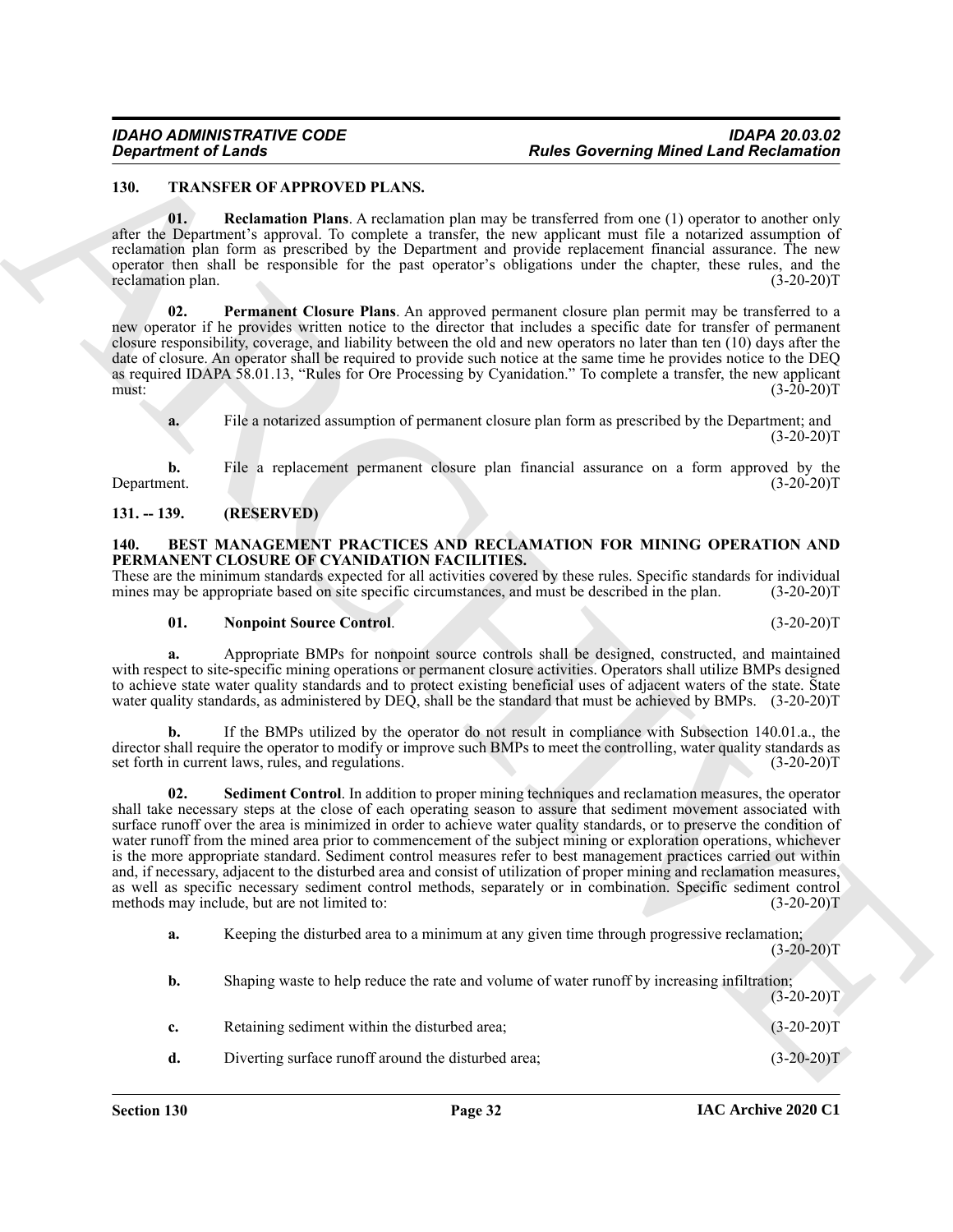#### <span id="page-31-8"></span><span id="page-31-6"></span><span id="page-31-0"></span>**130. TRANSFER OF APPROVED PLANS.**

**01. Reclamation Plans**. A reclamation plan may be transferred from one (1) operator to another only after the Department's approval. To complete a transfer, the new applicant must file a notarized assumption of reclamation plan form as prescribed by the Department and provide replacement financial assurance. The new operator then shall be responsible for the past operator's obligations under the chapter, these rules, and the reclamation plan. (3-20-20)T

<span id="page-31-7"></span>**02. Permanent Closure Plans**. An approved permanent closure plan permit may be transferred to a new operator if he provides written notice to the director that includes a specific date for transfer of permanent closure responsibility, coverage, and liability between the old and new operators no later than ten (10) days after the date of closure. An operator shall be required to provide such notice at the same time he provides notice to the DEQ as required IDAPA 58.01.13, "Rules for Ore Processing by Cyanidation." To complete a transfer, the new applicant must:  $(3-20-20)T$ 

**a.** File a notarized assumption of permanent closure plan form as prescribed by the Department; and  $(3-20-20)T$ 

**b.** File a replacement permanent closure plan financial assurance on a form approved by the Department. (3-20-20)T Department. (3-20-20)T

### <span id="page-31-1"></span>**131. -- 139. (RESERVED)**

#### <span id="page-31-3"></span><span id="page-31-2"></span>**140. BEST MANAGEMENT PRACTICES AND RECLAMATION FOR MINING OPERATION AND PERMANENT CLOSURE OF CYANIDATION FACILITIES.**

These are the minimum standards expected for all activities covered by these rules. Specific standards for individual mines may be appropriate based on site specific circumstances, and must be described in the plan. (3-20mines may be appropriate based on site specific circumstances, and must be described in the plan.

#### <span id="page-31-4"></span>**01. Nonpoint Source Control**. (3-20-20)T

**a.** Appropriate BMPs for nonpoint source controls shall be designed, constructed, and maintained with respect to site-specific mining operations or permanent closure activities. Operators shall utilize BMPs designed to achieve state water quality standards and to protect existing beneficial uses of adjacent waters of the state. State water quality standards, as administered by DEQ, shall be the standard that must be achieved by BMPs. (3-20-20)T

<span id="page-31-5"></span>**b.** If the BMPs utilized by the operator do not result in compliance with Subsection 140.01.a., the director shall require the operator to modify or improve such BMPs to meet the controlling, water quality standards as set forth in current laws, rules, and regulations. (3-20-20)T

**Equation of Leady COVERATION** Responsible the summation of the summation of Resolution of Resolution of the summation of the summation of the summation of the summation of the summation of the summation of the summation **02. Sediment Control**. In addition to proper mining techniques and reclamation measures, the operator shall take necessary steps at the close of each operating season to assure that sediment movement associated with surface runoff over the area is minimized in order to achieve water quality standards, or to preserve the condition of water runoff from the mined area prior to commencement of the subject mining or exploration operations, whichever is the more appropriate standard. Sediment control measures refer to best management practices carried out within and, if necessary, adjacent to the disturbed area and consist of utilization of proper mining and reclamation measures, as well as specific necessary sediment control methods, separately or in combination. Specific sediment control methods may include, but are not limited to: (3-20-20)T

**a.** Keeping the disturbed area to a minimum at any given time through progressive reclamation;  $(3-20-20)T$ 

| b.          | Shaping waste to help reduce the rate and volume of water runoff by increasing infiltration; | $(3-20-20)T$ |
|-------------|----------------------------------------------------------------------------------------------|--------------|
| $c_{\star}$ | Retaining sediment within the disturbed area;                                                | $(3-20-20)T$ |
| d.          | Diverting surface runoff around the disturbed area;                                          | $(3-20-20)T$ |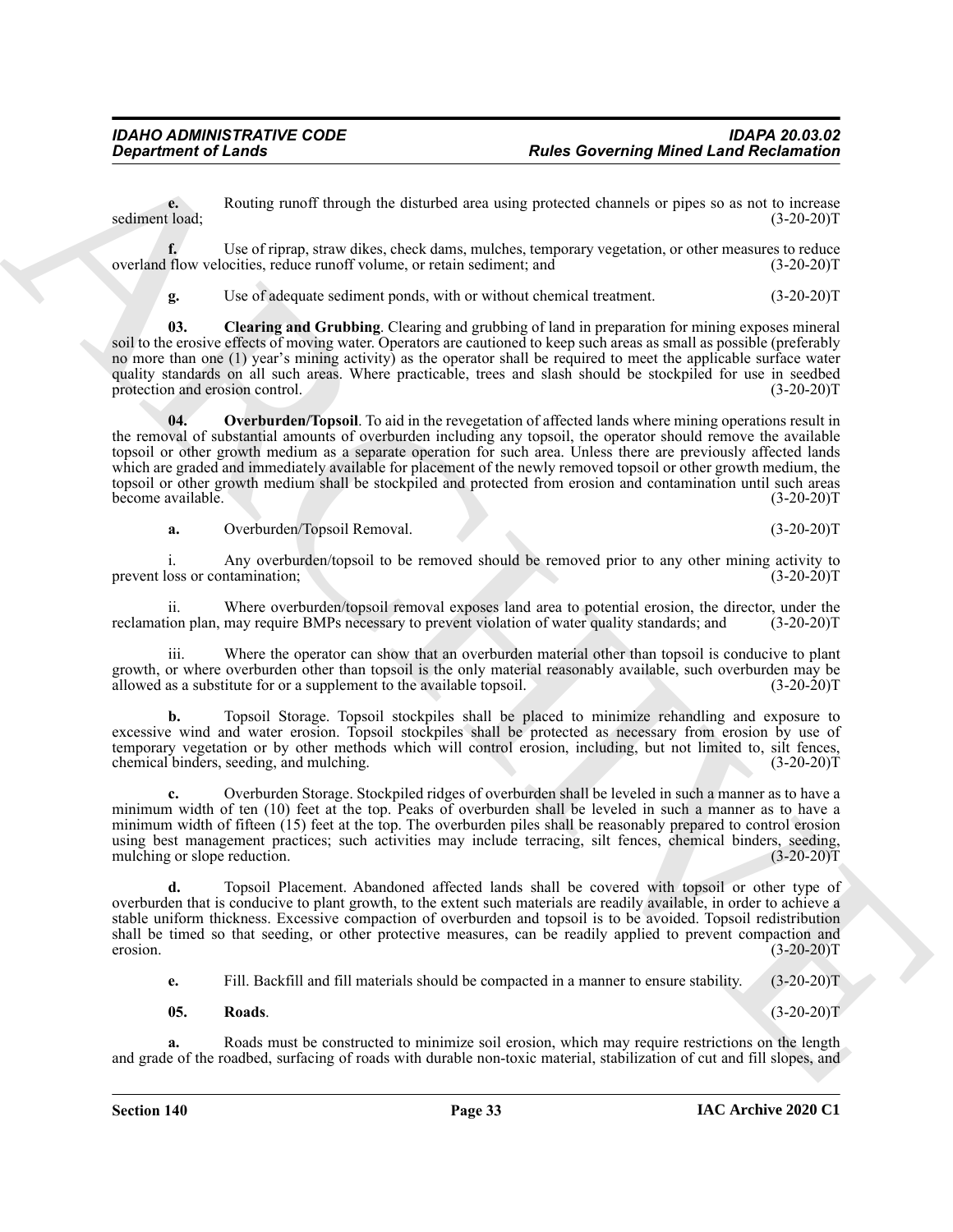**e.** Routing runoff through the disturbed area using protected channels or pipes so as not to increase (3-20-20)T sediment load;

**f.** Use of riprap, straw dikes, check dams, mulches, temporary vegetation, or other measures to reduce flow velocities, reduce runoff volume, or retain sediment; and (3-20-20) overland flow velocities, reduce runoff volume, or retain sediment; and

<span id="page-32-1"></span><span id="page-32-0"></span>**g.** Use of adequate sediment ponds, with or without chemical treatment. (3-20-20)T

**03. Clearing and Grubbing**. Clearing and grubbing of land in preparation for mining exposes mineral soil to the erosive effects of moving water. Operators are cautioned to keep such areas as small as possible (preferably no more than one (1) year's mining activity) as the operator shall be required to meet the applicable surface water quality standards on all such areas. Where practicable, trees and slash should be stockpiled for use in seedbed protection and erosion control. (3-20-20)T

**Experiment of Leads Constructions** Found Resolution of Resolution of Resolution of Resolution of Resolution of Resolution of Resolution of Resolution of Resolution of Resolution of Resolution of Resolution of Resolution **04. Overburden/Topsoil**. To aid in the revegetation of affected lands where mining operations result in the removal of substantial amounts of overburden including any topsoil, the operator should remove the available topsoil or other growth medium as a separate operation for such area. Unless there are previously affected lands which are graded and immediately available for placement of the newly removed topsoil or other growth medium, the topsoil or other growth medium shall be stockpiled and protected from erosion and contamination until such areas<br>(3-20-20)T become available.

**a.** Overburden/Topsoil Removal. (3-20-20)T

i. Any overburden/topsoil to be removed should be removed prior to any other mining activity to oss or contamination; (3-20-20) prevent loss or contamination;

ii. Where overburden/topsoil removal exposes land area to potential erosion, the director, under the ion plan, may require BMPs necessary to prevent violation of water quality standards; and (3-20-20) reclamation plan, may require BMPs necessary to prevent violation of water quality standards; and

iii. Where the operator can show that an overburden material other than topsoil is conducive to plant growth, or where overburden other than topsoil is the only material reasonably available, such overburden may be allowed as a substitute for or a supplement to the available topsoil. (3-20-20) allowed as a substitute for or a supplement to the available topsoil.

**b.** Topsoil Storage. Topsoil stockpiles shall be placed to minimize rehandling and exposure to excessive wind and water erosion. Topsoil stockpiles shall be protected as necessary from erosion by use of temporary vegetation or by other methods which will control erosion, including, but not limited to, silt fences, chemical binders, seeding, and mulching. (3-20-20)T

**c.** Overburden Storage. Stockpiled ridges of overburden shall be leveled in such a manner as to have a minimum width of ten (10) feet at the top. Peaks of overburden shall be leveled in such a manner as to have a minimum width of fifteen (15) feet at the top. The overburden piles shall be reasonably prepared to control erosion using best management practices; such activities may include terracing, silt fences, chemical binders, seeding, mulching or slope reduction. (3-20-20)T

**d.** Topsoil Placement. Abandoned affected lands shall be covered with topsoil or other type of overburden that is conducive to plant growth, to the extent such materials are readily available, in order to achieve a stable uniform thickness. Excessive compaction of overburden and topsoil is to be avoided. Topsoil redistribution shall be timed so that seeding, or other protective measures, can be readily applied to prevent compaction and<br>(3-20-20)T  $\epsilon$ erosion. (3-20-20)T

**e.** Fill. Backfill and fill materials should be compacted in a manner to ensure stability. (3-20-20)T

#### <span id="page-32-2"></span>**05. Roads**. (3-20-20)T

**a.** Roads must be constructed to minimize soil erosion, which may require restrictions on the length and grade of the roadbed, surfacing of roads with durable non-toxic material, stabilization of cut and fill slopes, and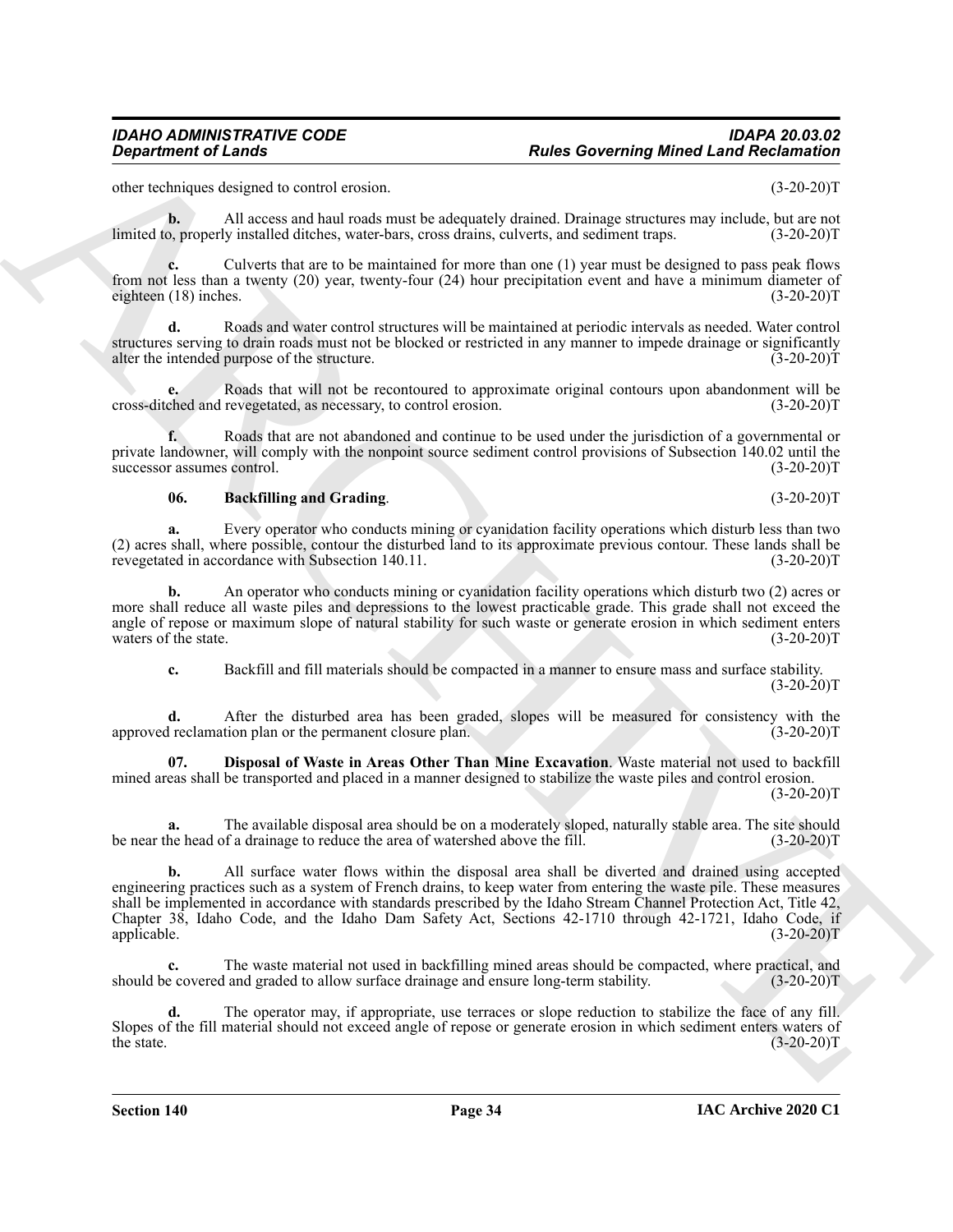other techniques designed to control erosion. (3-20-20)T

**b.** All access and haul roads must be adequately drained. Drainage structures may include, but are not o. properly installed ditches, water-bars, cross drains, culverts, and sediment traps.  $(3-20-20)$ T limited to, properly installed ditches, water-bars, cross drains, culverts, and sediment traps.

**c.** Culverts that are to be maintained for more than one (1) year must be designed to pass peak flows from not less than a twenty (20) year, twenty-four (24) hour precipitation event and have a minimum diameter of eighteen (18) inches. (3-20-20) eighteen  $(18)$  inches.

**d.** Roads and water control structures will be maintained at periodic intervals as needed. Water control structures serving to drain roads must not be blocked or restricted in any manner to impede drainage or significantly alter the intended purpose of the structure. (3-20-20) alter the intended purpose of the structure.

**e.** Roads that will not be recontoured to approximate original contours upon abandonment will be cross-ditched and revegetated, as necessary, to control erosion. (3-20-20)T

**f.** Roads that are not abandoned and continue to be used under the jurisdiction of a governmental or private landowner, will comply with the nonpoint source sediment control provisions of Subsection 140.02 until the successor assumes control. (3-20-20)T

#### <span id="page-33-0"></span>**06. Backfilling and Grading**. (3-20-20)T

**a.** Every operator who conducts mining or cyanidation facility operations which disturb less than two (2) acres shall, where possible, contour the disturbed land to its approximate previous contour. These lands shall be revegetated in accordance with Subsection 140.11.

**b.** An operator who conducts mining or cyanidation facility operations which disturb two (2) acres or more shall reduce all waste piles and depressions to the lowest practicable grade. This grade shall not exceed the angle of repose or maximum slope of natural stability for such waste or generate erosion in which sediment enters waters of the state. (3-20-20)T waters of the state.

<span id="page-33-1"></span>**c.** Backfill and fill materials should be compacted in a manner to ensure mass and surface stability.  $(3-20-20)T$ 

**d.** After the disturbed area has been graded, slopes will be measured for consistency with the i reclamation plan or the permanent closure plan. (3-20-20) approved reclamation plan or the permanent closure plan.

**07. Disposal of Waste in Areas Other Than Mine Excavation**. Waste material not used to backfill mined areas shall be transported and placed in a manner designed to stabilize the waste piles and control erosion.  $(3-20-20)T$ 

**a.** The available disposal area should be on a moderately sloped, naturally stable area. The site should be near the head of a drainage to reduce the area of watershed above the fill. (3-20-20)T

**Experiment of Leads Constraints of the Constraint of the Constraint Constraint Constraint Constraint Constraint Constraint Constraint Constraint Constraint Constraint Constraint Constraint Constraint Constraint Constrain b.** All surface water flows within the disposal area shall be diverted and drained using accepted engineering practices such as a system of French drains, to keep water from entering the waste pile. These measures shall be implemented in accordance with standards prescribed by the Idaho Stream Channel Protection Act, Title 42, Chapter 38, Idaho Code, and the Idaho Dam Safety Act, Sections 42-1710 through 42-1721, Idaho Code, if applicable. (3-20-20)T

**c.** The waste material not used in backfilling mined areas should be compacted, where practical, and should be covered and graded to allow surface drainage and ensure long-term stability. (3-20-20)T

**d.** The operator may, if appropriate, use terraces or slope reduction to stabilize the face of any fill. Slopes of the fill material should not exceed angle of repose or generate erosion in which sediment enters waters of the state. (3-20-20)T the state.  $(3-20-20)T$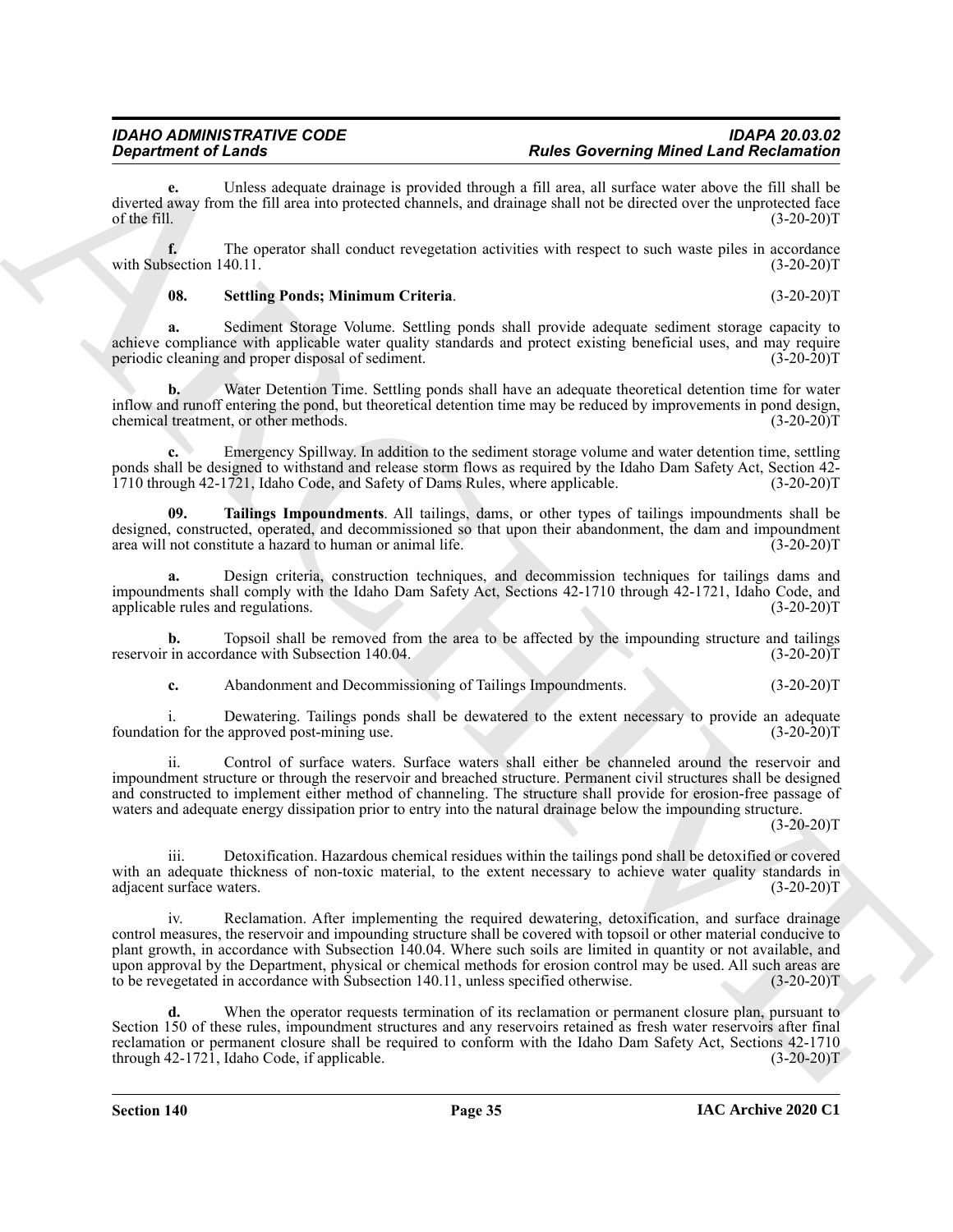**e.** Unless adequate drainage is provided through a fill area, all surface water above the fill shall be diverted away from the fill area into protected channels, and drainage shall not be directed over the unprotected face<br>of the fill. (3-20-20) of the fill.  $(3-20-20)T$ 

**f.** The operator shall conduct revegetation activities with respect to such waste piles in accordance section 140.11. (3-20-20) with Subsection 140.11.

#### <span id="page-34-0"></span>**08. Settling Ponds; Minimum Criteria**. (3-20-20)T

**a.** Sediment Storage Volume. Settling ponds shall provide adequate sediment storage capacity to achieve compliance with applicable water quality standards and protect existing beneficial uses, and may require periodic cleaning and proper disposal of sediment. (3-20-20) periodic cleaning and proper disposal of sediment.

**b.** Water Detention Time. Settling ponds shall have an adequate theoretical detention time for water inflow and runoff entering the pond, but theoretical detention time may be reduced by improvements in pond design, chemical treatment, or other methods. (3-20-20)T

**c.** Emergency Spillway. In addition to the sediment storage volume and water detention time, settling ponds shall be designed to withstand and release storm flows as required by the Idaho Dam Safety Act, Section 42- 1710 through 42-1721, Idaho Code, and Safety of Dams Rules, where applicable. (3-20-20)T

<span id="page-34-1"></span>**09. Tailings Impoundments**. All tailings, dams, or other types of tailings impoundments shall be designed, constructed, operated, and decommissioned so that upon their abandonment, the dam and impoundment area will not constitute a hazard to human or animal life. (3-20-20) area will not constitute a hazard to human or animal life.

**a.** Design criteria, construction techniques, and decommission techniques for tailings dams and impoundments shall comply with the Idaho Dam Safety Act, Sections 42-1710 through 42-1721, Idaho Code, and applicable rules and regulations. (3-20-20) applicable rules and regulations.

**b.** Topsoil shall be removed from the area to be affected by the impounding structure and tailings in accordance with Subsection 140.04.  $(3-20-20)$ reservoir in accordance with Subsection 140.04.

**c.** Abandonment and Decommissioning of Tailings Impoundments. (3-20-20)T

i. Dewatering. Tailings ponds shall be dewatered to the extent necessary to provide an adequate on for the approved post-mining use.  $(3-20-20)$ foundation for the approved post-mining use.

ii. Control of surface waters. Surface waters shall either be channeled around the reservoir and impoundment structure or through the reservoir and breached structure. Permanent civil structures shall be designed and constructed to implement either method of channeling. The structure shall provide for erosion-free passage of waters and adequate energy dissipation prior to entry into the natural drainage below the impounding structure.

 $(3-20-20)T$ 

iii. Detoxification. Hazardous chemical residues within the tailings pond shall be detoxified or covered with an adequate thickness of non-toxic material, to the extent necessary to achieve water quality standards in adjacent surface waters. (3-20-20) adjacent surface waters.

**Equation of Leader Constraints** a provided them in Fig. Constraints and the constraints and the internal probability of the state of the state of the state of the state of the state of the state of the state of the state iv. Reclamation. After implementing the required dewatering, detoxification, and surface drainage control measures, the reservoir and impounding structure shall be covered with topsoil or other material conducive to plant growth, in accordance with Subsection 140.04. Where such soils are limited in quantity or not available, and upon approval by the Department, physical or chemical methods for erosion control may be used. All such areas are to be revegetated in accordance with Subsection 140.11, unless specified otherwise. (3-20-20)T

When the operator requests termination of its reclamation or permanent closure plan, pursuant to Section 150 of these rules, impoundment structures and any reservoirs retained as fresh water reservoirs after final reclamation or permanent closure shall be required to conform with the Idaho Dam Safety Act, Sections 42-1710 through 42-1721, Idaho Code, if applicable. (3-20-20) through  $42-1721$ , Idaho Code, if applicable.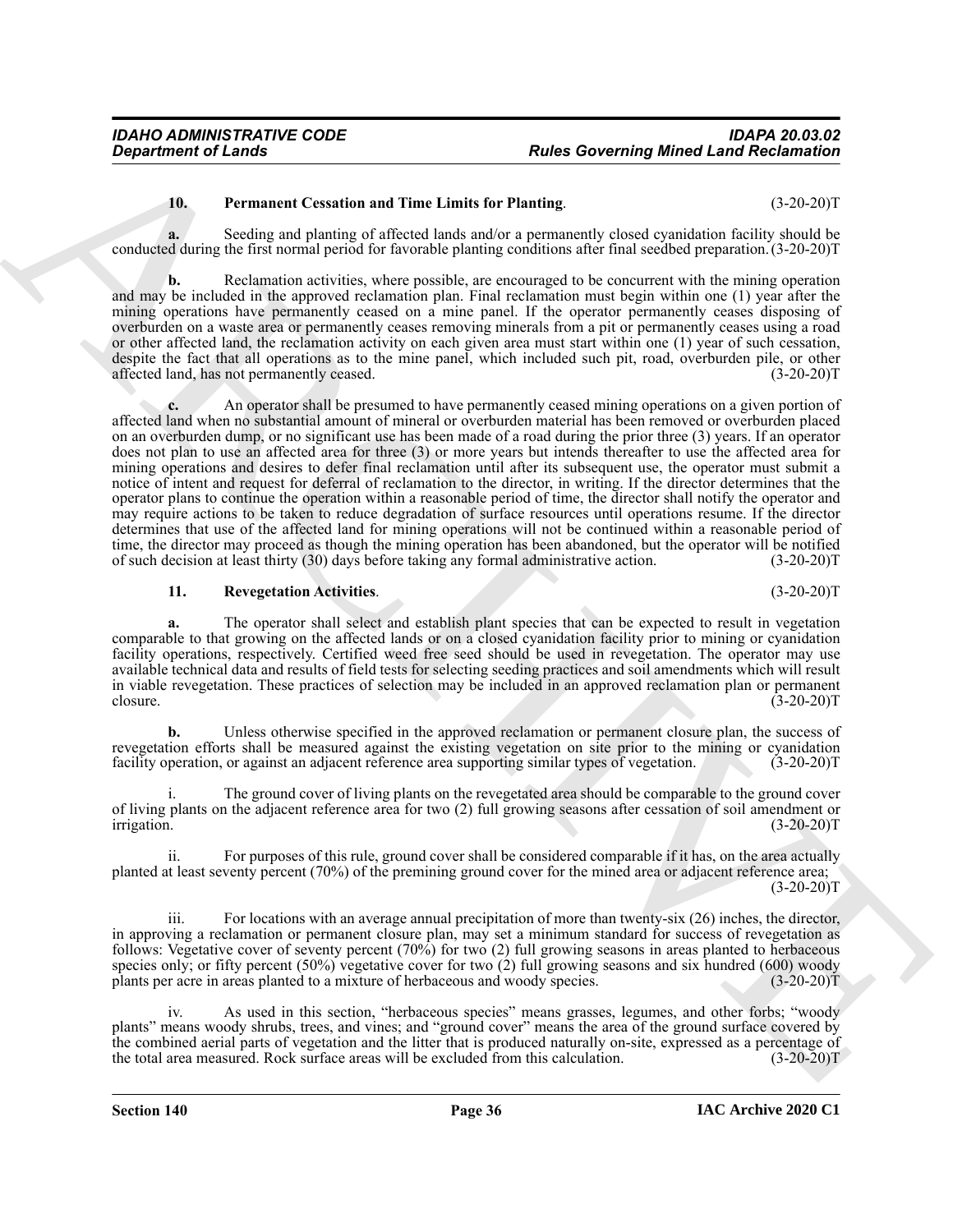### <span id="page-35-0"></span>**10. Permanent Cessation and Time Limits for Planting**. (3-20-20)T

**a.** Seeding and planting of affected lands and/or a permanently closed cyanidation facility should be conducted during the first normal period for favorable planting conditions after final seedbed preparation.(3-20-20)T

**b.** Reclamation activities, where possible, are encouraged to be concurrent with the mining operation and may be included in the approved reclamation plan. Final reclamation must begin within one (1) year after the mining operations have permanently ceased on a mine panel. If the operator permanently ceases disposing of overburden on a waste area or permanently ceases removing minerals from a pit or permanently ceases using a road or other affected land, the reclamation activity on each given area must start within one (1) year of such cessation, despite the fact that all operations as to the mine panel, which included such pit, road, overburden pile, or other affected land, has not permanently ceased. (3-20-20) affected land, has not permanently ceased.

**Exparament of Leads Covering Minet Land Reclamation 16.**<br> **Propriation of Cause Covering and Time Limits for Planinka propriation and considerate the symphony (15 and 20 and 20 and 20 and 20 and 20 and 20 and 20 and 20 a c.** An operator shall be presumed to have permanently ceased mining operations on a given portion of affected land when no substantial amount of mineral or overburden material has been removed or overburden placed on an overburden dump, or no significant use has been made of a road during the prior three (3) years. If an operator does not plan to use an affected area for three (3) or more years but intends thereafter to use the affected area for mining operations and desires to defer final reclamation until after its subsequent use, the operator must submit a notice of intent and request for deferral of reclamation to the director, in writing. If the director determines that the operator plans to continue the operation within a reasonable period of time, the director shall notify the operator and may require actions to be taken to reduce degradation of surface resources until operations resume. If the director determines that use of the affected land for mining operations will not be continued within a reasonable period of time, the director may proceed as though the mining operation has been abandoned, but the operator will be notified<br>of such decision at least thirty (30) days before taking any formal administrative action. (3-20-20)T of such decision at least thirty (30) days before taking any formal administrative action.

#### <span id="page-35-1"></span>**11. Revegetation Activities**. (3-20-20)T

**a.** The operator shall select and establish plant species that can be expected to result in vegetation comparable to that growing on the affected lands or on a closed cyanidation facility prior to mining or cyanidation facility operations, respectively. Certified weed free seed should be used in revegetation. The operator may use available technical data and results of field tests for selecting seeding practices and soil amendments which will result in viable revegetation. These practices of selection may be included in an approved reclamation plan or permanent closure. (3-20-20)T

**b.** Unless otherwise specified in the approved reclamation or permanent closure plan, the success of revegetation efforts shall be measured against the existing vegetation on site prior to the mining or cyanidation facility operation, or against an adjacent reference area supporting similar types of vegetation. (3-20-20)T

The ground cover of living plants on the revegetated area should be comparable to the ground cover of living plants on the adjacent reference area for two (2) full growing seasons after cessation of soil amendment or irrigation. (3-20-20) irrigation. (3-20-20)T

ii. For purposes of this rule, ground cover shall be considered comparable if it has, on the area actually planted at least seventy percent (70%) of the premining ground cover for the mined area or adjacent reference area;  $(3-20-20)T$ 

iii. For locations with an average annual precipitation of more than twenty-six (26) inches, the director, in approving a reclamation or permanent closure plan, may set a minimum standard for success of revegetation as follows: Vegetative cover of seventy percent (70%) for two (2) full growing seasons in areas planted to herbaceous species only; or fifty percent (50%) vegetative cover for two (2) full growing seasons and six hundred (600) woody plants per acre in areas planted to a mixture of herbaceous and woody species. (3-20-20)T

iv. As used in this section, "herbaceous species" means grasses, legumes, and other forbs; "woody plants" means woody shrubs, trees, and vines; and "ground cover" means the area of the ground surface covered by the combined aerial parts of vegetation and the litter that is produced naturally on-site, expressed as a percentage of the total area measured. Rock surface areas will be excluded from this calculation. (3-20-20)T the total area measured. Rock surface areas will be excluded from this calculation.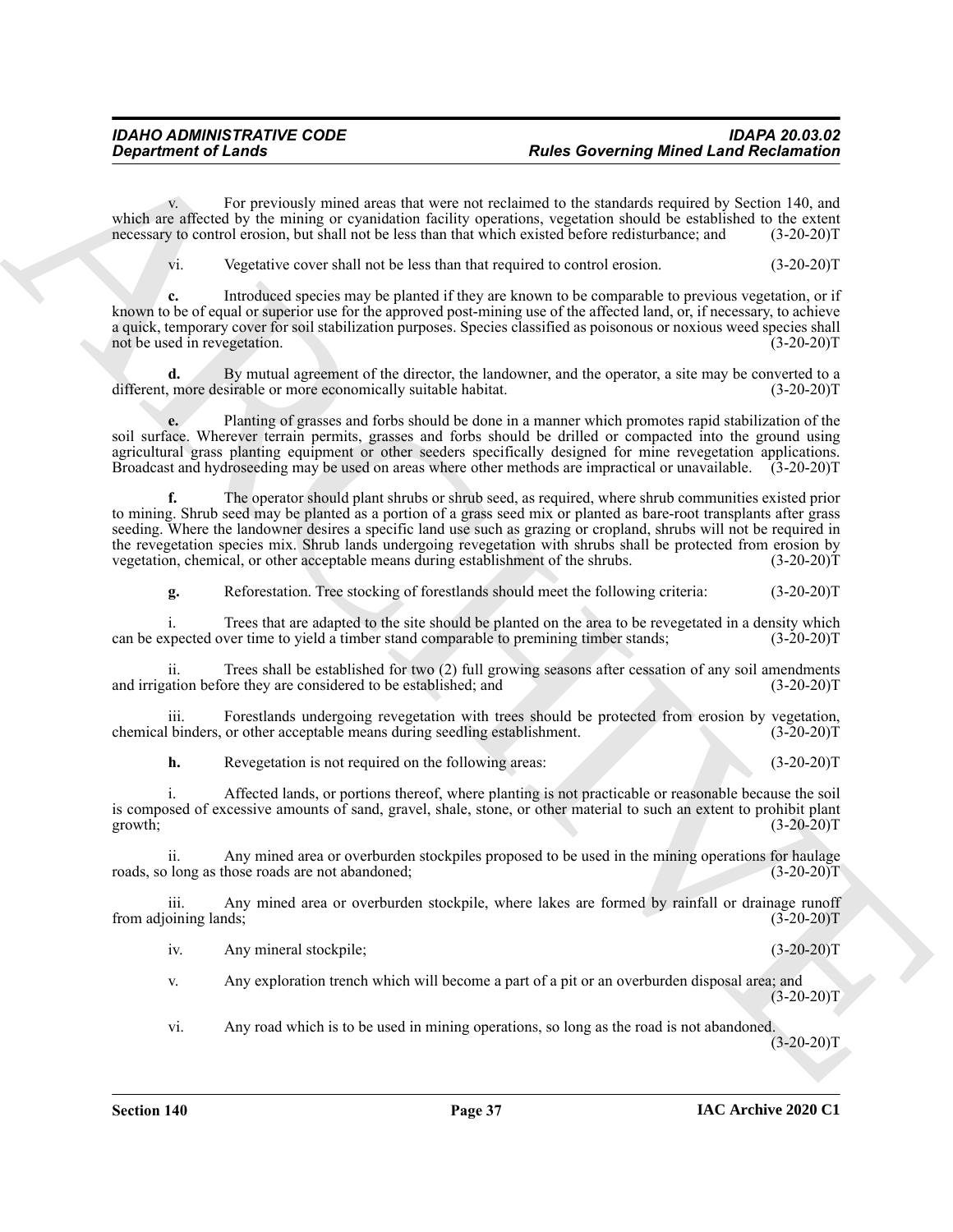v. For previously mined areas that were not reclaimed to the standards required by Section 140, and which are affected by the mining or cyanidation facility operations, vegetation should be established to the extent necessary to control erosion, but shall not be less than that which existed before redisturbance; and (3-2 necessary to control erosion, but shall not be less than that which existed before redisturbance; and

vi. Vegetative cover shall not be less than that required to control erosion. (3-20-20)T

**c.** Introduced species may be planted if they are known to be comparable to previous vegetation, or if known to be of equal or superior use for the approved post-mining use of the affected land, or, if necessary, to achieve a quick, temporary cover for soil stabilization purposes. Species classified as poisonous or noxious weed species shall not be used in revegetation. (3-20-20) not be used in revegetation.

**d.** By mutual agreement of the director, the landowner, and the operator, a site may be converted to a more economically suitable habitat. (3-20-20) different, more desirable or more economically suitable habitat.

**e.** Planting of grasses and forbs should be done in a manner which promotes rapid stabilization of the soil surface. Wherever terrain permits, grasses and forbs should be drilled or compacted into the ground using agricultural grass planting equipment or other seeders specifically designed for mine revegetation applications. Broadcast and hydroseeding may be used on areas where other methods are impractical or unavailable. (3-20-20)T

**Experiment of Lendary Transformation Properties Conservation Properties Conservation Conservation Conservation Conservation Conservation Conservation Conservation Conservation Conservation Conservat f.** The operator should plant shrubs or shrub seed, as required, where shrub communities existed prior to mining. Shrub seed may be planted as a portion of a grass seed mix or planted as bare-root transplants after grass seeding. Where the landowner desires a specific land use such as grazing or cropland, shrubs will not be required in the revegetation species mix. Shrub lands undergoing revegetation with shrubs shall be protected from erosion by vegetation, chemical, or other acceptable means during establishment of the shrubs. (3-20-20)T

**g.** Reforestation. Tree stocking of forestlands should meet the following criteria: (3-20-20)T

i. Trees that are adapted to the site should be planted on the area to be revegetated in a density which spected over time to yield a timber stand comparable to premining timber stands; (3-20-20) can be expected over time to yield a timber stand comparable to premining timber stands;

ii. Trees shall be established for two (2) full growing seasons after cessation of any soil amendments ation before they are considered to be established; and (3-20-20) and irrigation before they are considered to be established; and

iii. Forestlands undergoing revegetation with trees should be protected from erosion by vegetation, binders, or other acceptable means during seedling establishment. (3-20-20) chemical binders, or other acceptable means during seedling establishment.

**h.** Revegetation is not required on the following areas: (3-20-20)T

i. Affected lands, or portions thereof, where planting is not practicable or reasonable because the soil is composed of excessive amounts of sand, gravel, shale, stone, or other material to such an extent to prohibit plant growth; (3-20-20) growth;  $(3-20-20)T$ 

ii. Any mined area or overburden stockpiles proposed to be used in the mining operations for haulage long as those roads are not abandoned;  $(3-20-20)$ roads, so long as those roads are not abandoned;

iii. Any mined area or overburden stockpile, where lakes are formed by rainfall or drainage runoff from adjoining lands; (3-20-20)T

iv. Any mineral stockpile; (3-20-20)T

v. Any exploration trench which will become a part of a pit or an overburden disposal area; and  $(3-20-20)T$ 

vi. Any road which is to be used in mining operations, so long as the road is not abandoned.  $(3-20-20)T$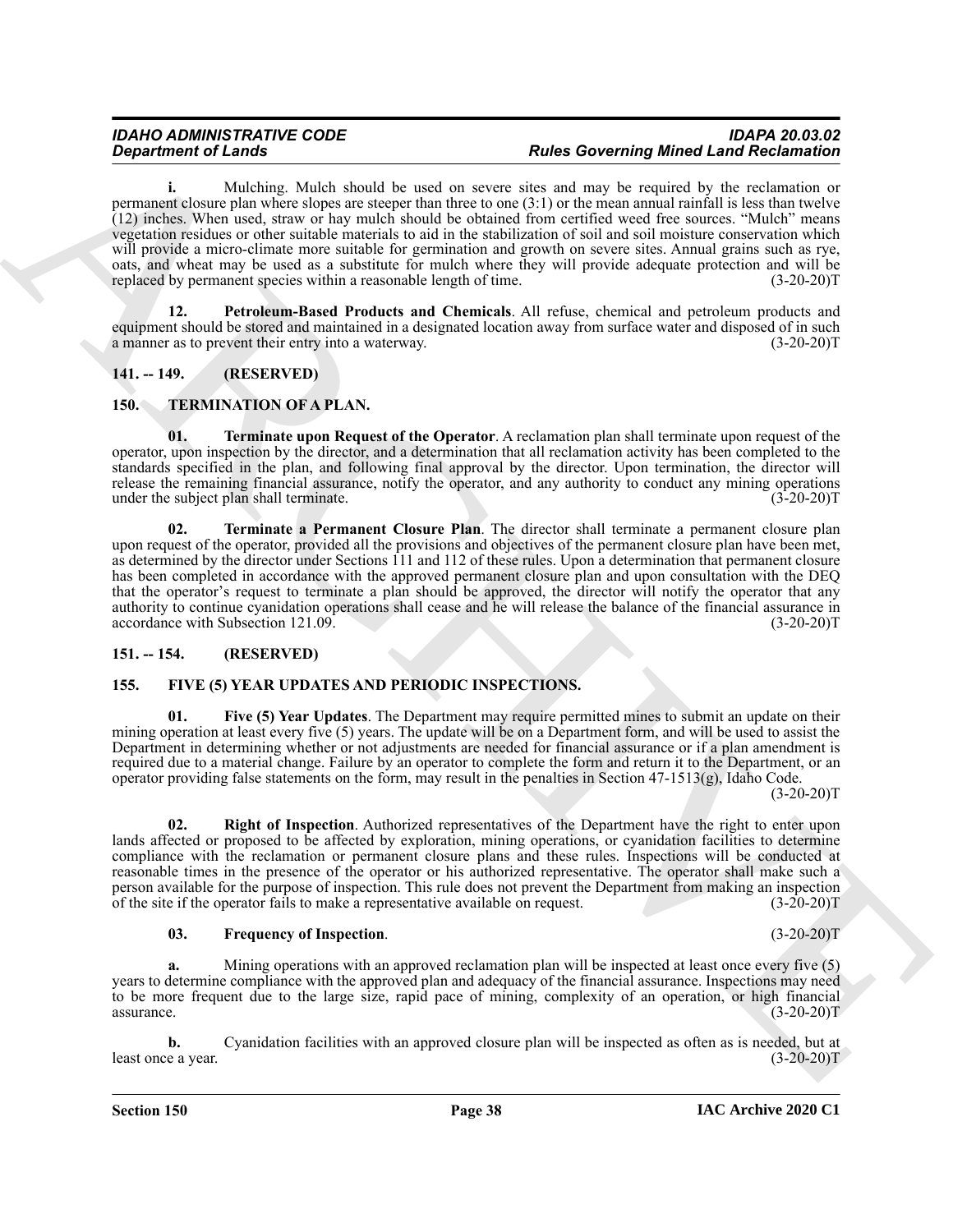#### *IDAHO ADMINISTRATIVE CODE IDAPA 20.03.02* **Rules Governing Mined Land Reclamation**

**i.** Mulching. Mulch should be used on severe sites and may be required by the reclamation or permanent closure plan where slopes are steeper than three to one (3:1) or the mean annual rainfall is less than twelve (12) inches. When used, straw or hay mulch should be obtained from certified weed free sources. "Mulch" means vegetation residues or other suitable materials to aid in the stabilization of soil and soil moisture conservation which will provide a micro-climate more suitable for germination and growth on severe sites. Annual grains such as rye, oats, and wheat may be used as a substitute for mulch where they will provide adequate protection and will be replaced by permanent species within a reasonable length of time.

<span id="page-37-4"></span>**12. Petroleum-Based Products and Chemicals**. All refuse, chemical and petroleum products and equipment should be stored and maintained in a designated location away from surface water and disposed of in such a manner as to prevent their entry into a waterway. (3-20-20)T

### <span id="page-37-0"></span>**141. -- 149. (RESERVED)**

#### <span id="page-37-9"></span><span id="page-37-1"></span>**150. TERMINATION OF A PLAN.**

<span id="page-37-11"></span><span id="page-37-10"></span>**01. Terminate upon Request of the Operator**. A reclamation plan shall terminate upon request of the operator, upon inspection by the director, and a determination that all reclamation activity has been completed to the standards specified in the plan, and following final approval by the director. Upon termination, the director will release the remaining financial assurance, notify the operator, and any authority to conduct any mining operations under the subject plan shall terminate. (3-20-20) under the subject plan shall terminate.

**Equation of Linearity Constraints of Architecture Constraints of Linear School and Theodorics Constraints of Linear School and Theodorics Constraints of Constraints of Constraints of Constraints of Constraints of Constra 02. Terminate a Permanent Closure Plan**. The director shall terminate a permanent closure plan upon request of the operator, provided all the provisions and objectives of the permanent closure plan have been met, as determined by the director under Sections 111 and 112 of these rules. Upon a determination that permanent closure has been completed in accordance with the approved permanent closure plan and upon consultation with the DEQ that the operator's request to terminate a plan should be approved, the director will notify the operator that any authority to continue cyanidation operations shall cease and he will release the balance of the financial assurance in accordance with Subsection 121.09. (3-20-20)T

#### <span id="page-37-2"></span>**151. -- 154. (RESERVED)**

#### <span id="page-37-6"></span><span id="page-37-5"></span><span id="page-37-3"></span>**155. FIVE (5) YEAR UPDATES AND PERIODIC INSPECTIONS.**

**01. Five (5) Year Updates**. The Department may require permitted mines to submit an update on their mining operation at least every five (5) years. The update will be on a Department form, and will be used to assist the Department in determining whether or not adjustments are needed for financial assurance or if a plan amendment is required due to a material change. Failure by an operator to complete the form and return it to the Department, or an operator providing false statements on the form, may result in the penalties in Section 47-1513(g), Idaho Code.  $(3-20-20)T$ 

<span id="page-37-8"></span>**02. Right of Inspection**. Authorized representatives of the Department have the right to enter upon lands affected or proposed to be affected by exploration, mining operations, or cyanidation facilities to determine compliance with the reclamation or permanent closure plans and these rules. Inspections will be conducted at reasonable times in the presence of the operator or his authorized representative. The operator shall make such a person available for the purpose of inspection. This rule does not prevent the Department from making an inspection of the site if the operator fails to make a representative available on request. (3-20-20)T

#### <span id="page-37-7"></span>**03. Frequency of Inspection**. (3-20-20)T

**a.** Mining operations with an approved reclamation plan will be inspected at least once every five (5) years to determine compliance with the approved plan and adequacy of the financial assurance. Inspections may need to be more frequent due to the large size, rapid pace of mining, complexity of an operation, or high financial  $\alpha$ ssurance. (3-20-20)T

**b.** Cyanidation facilities with an approved closure plan will be inspected as often as is needed, but at e a year.  $(3-20-20)T$ least once a year.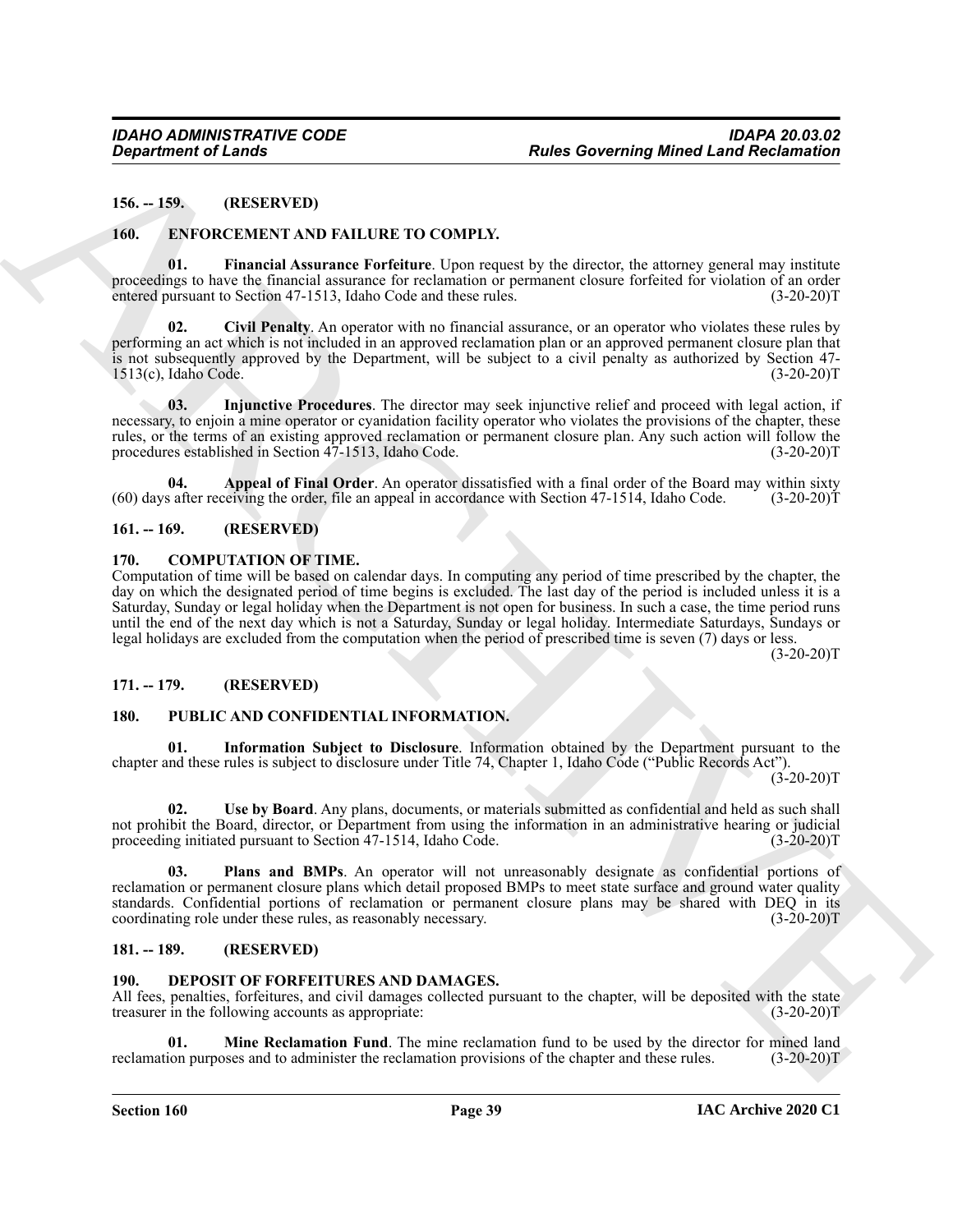#### <span id="page-38-0"></span>**156. -- 159. (RESERVED)**

#### <span id="page-38-14"></span><span id="page-38-11"></span><span id="page-38-1"></span>**160. ENFORCEMENT AND FAILURE TO COMPLY.**

**01. Financial Assurance Forfeiture**. Upon request by the director, the attorney general may institute proceedings to have the financial assurance for reclamation or permanent closure forfeited for violation of an order entered pursuant to Section 47-1513, Idaho Code and these rules. (3-20-20)T

<span id="page-38-13"></span>**02. Civil Penalty**. An operator with no financial assurance, or an operator who violates these rules by performing an act which is not included in an approved reclamation plan or an approved permanent closure plan that is not subsequently approved by the Department, will be subject to a civil penalty as authorized by Section 47-  $1513(c)$ , Idaho Code.

<span id="page-38-15"></span>**03. Injunctive Procedures**. The director may seek injunctive relief and proceed with legal action, if necessary, to enjoin a mine operator or cyanidation facility operator who violates the provisions of the chapter, these rules, or the terms of an existing approved reclamation or permanent closure plan. Any such action will follow the procedures established in Section 47-1513, Idaho Code. (3-20-20) procedures established in Section 47-1513, Idaho Code.

<span id="page-38-12"></span>**04. Appeal of Final Order**. An operator dissatisfied with a final order of the Board may within sixty a fiter receiving the order, file an appeal in accordance with Section 47-1514, Idaho Code. (3-20-20)T  $(60)$  days after receiving the order, file an appeal in accordance with Section 47-1514, Idaho Code.

#### <span id="page-38-2"></span>**161. -- 169. (RESERVED)**

#### <span id="page-38-8"></span><span id="page-38-3"></span>**170. COMPUTATION OF TIME.**

**Experiment of Leads<br>
16. 199. THESE CONTENTATION CONTENT.**<br>
16. **EXPERIMENTATION CONTENTATION**<br>
16. **EXPERIMENTATION CONTENT (CONTENT)**<br>
16. **EXPERIMENTATION CONTENT (CONTENT)**<br>
16. **EXPERIMENTATION CONTENT** (CONTENT)<br> Computation of time will be based on calendar days. In computing any period of time prescribed by the chapter, the day on which the designated period of time begins is excluded. The last day of the period is included unless it is a Saturday, Sunday or legal holiday when the Department is not open for business. In such a case, the time period runs until the end of the next day which is not a Saturday, Sunday or legal holiday. Intermediate Saturdays, Sundays or legal holidays are excluded from the computation when the period of prescribed time is seven (7) days or less.

 $(3-20-20)T$ 

#### <span id="page-38-4"></span>**171. -- 179. (RESERVED)**

#### <span id="page-38-18"></span><span id="page-38-16"></span><span id="page-38-5"></span>**180. PUBLIC AND CONFIDENTIAL INFORMATION.**

**01. Information Subject to Disclosure**. Information obtained by the Department pursuant to the chapter and these rules is subject to disclosure under Title 74, Chapter 1, Idaho Code ("Public Records Act").

 $(3-20-20)T$ 

<span id="page-38-19"></span>**02. Use by Board**. Any plans, documents, or materials submitted as confidential and held as such shall not prohibit the Board, director, or Department from using the information in an administrative hearing or judicial proceeding initiated pursuant to Section 47-1514, Idaho Code. (3-20-20)T

<span id="page-38-17"></span>**03. Plans and BMPs**. An operator will not unreasonably designate as confidential portions of reclamation or permanent closure plans which detail proposed BMPs to meet state surface and ground water quality standards. Confidential portions of reclamation or permanent closure plans may be shared with DEQ in its coordinating role under these rules, as reasonably necessary. (3-20-20)T

#### <span id="page-38-6"></span>**181. -- 189. (RESERVED)**

#### <span id="page-38-9"></span><span id="page-38-7"></span>**190. DEPOSIT OF FORFEITURES AND DAMAGES.**

All fees, penalties, forfeitures, and civil damages collected pursuant to the chapter, will be deposited with the state treasurer in the following accounts as appropriate: (3-20-20) treasurer in the following accounts as appropriate:

<span id="page-38-10"></span>**Mine Reclamation Fund**. The mine reclamation fund to be used by the director for mined land ses and to administer the reclamation provisions of the chapter and these rules. (3-20-20)T reclamation purposes and to administer the reclamation provisions of the chapter and these rules.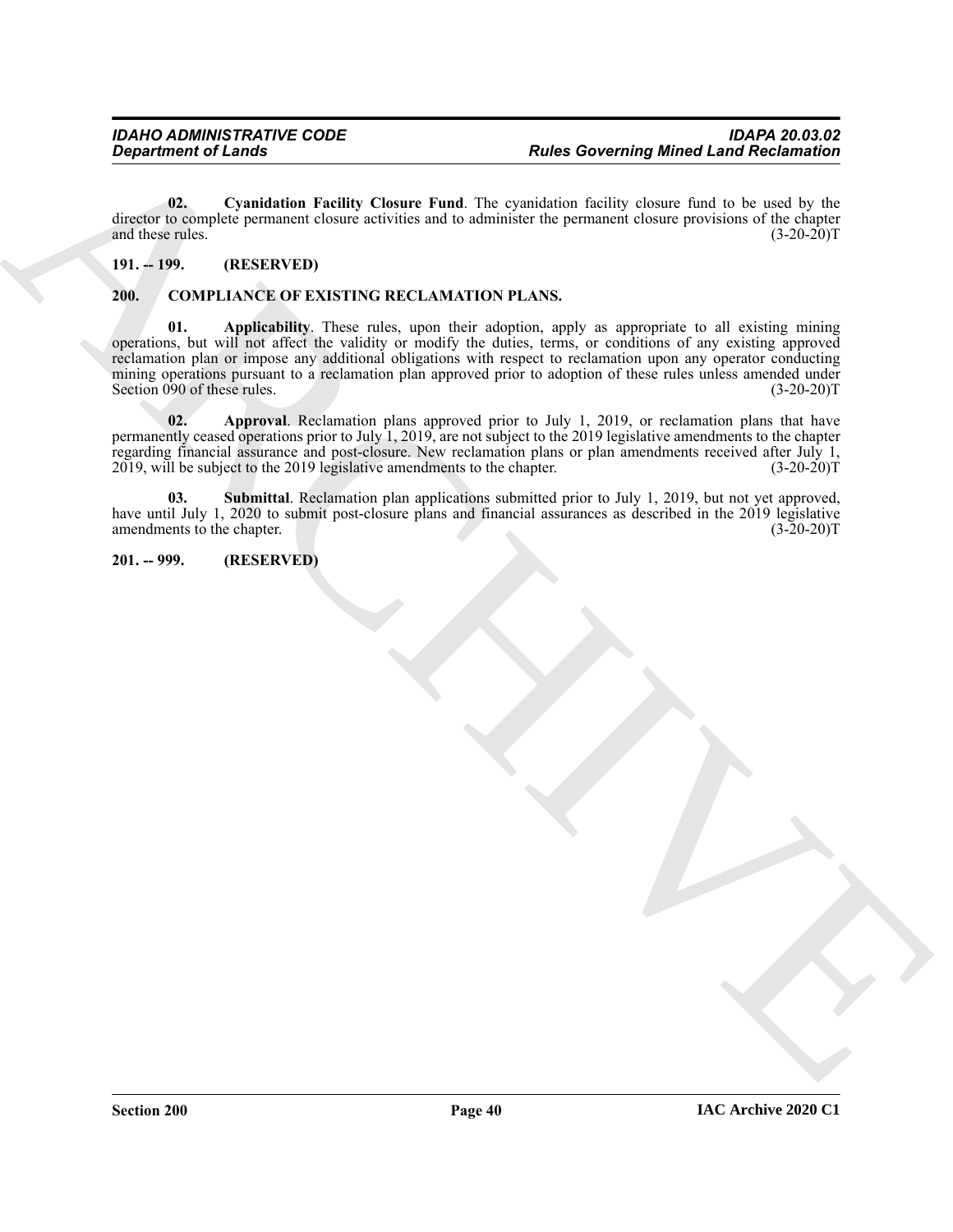<span id="page-39-7"></span>**02. Cyanidation Facility Closure Fund**. The cyanidation facility closure fund to be used by the director to complete permanent closure activities and to administer the permanent closure provisions of the chapter and these rules. (3-20-20) and these rules.

#### <span id="page-39-0"></span>**191. -- 199. (RESERVED)**

### <span id="page-39-4"></span><span id="page-39-3"></span><span id="page-39-1"></span>**200. COMPLIANCE OF EXISTING RECLAMATION PLANS.**

*Proprietive of Lemma Columnic Columnic Columnic Columnic Columnic Columnic Columnic Columnic Columnic Columnic Columnic Columnic Columnic Columnic Columnic Columnic Columnic Columnic Columnic Columnic Columnic Columnic C* **01. Applicability**. These rules, upon their adoption, apply as appropriate to all existing mining operations, but will not affect the validity or modify the duties, terms, or conditions of any existing approved reclamation plan or impose any additional obligations with respect to reclamation upon any operator conducting mining operations pursuant to a reclamation plan approved prior to adoption of these rules unless amended under Section 090 of these rules. (3-20-20)T

<span id="page-39-5"></span>**02. Approval**. Reclamation plans approved prior to July 1, 2019, or reclamation plans that have permanently ceased operations prior to July 1, 2019, are not subject to the 2019 legislative amendments to the chapter regarding financial assurance and post-closure. New reclamation plans or plan amendments received after July 1, 2019, will be subject to the 2019 legislative amendments to the chapter. (3-20-20)T

<span id="page-39-6"></span>**03. Submittal**. Reclamation plan applications submitted prior to July 1, 2019, but not yet approved, have until July 1, 2020 to submit post-closure plans and financial assurances as described in the 2019 legislative amendments to the chapter. (3-20-20)T amendments to the chapter.

<span id="page-39-2"></span>**201. -- 999. (RESERVED)**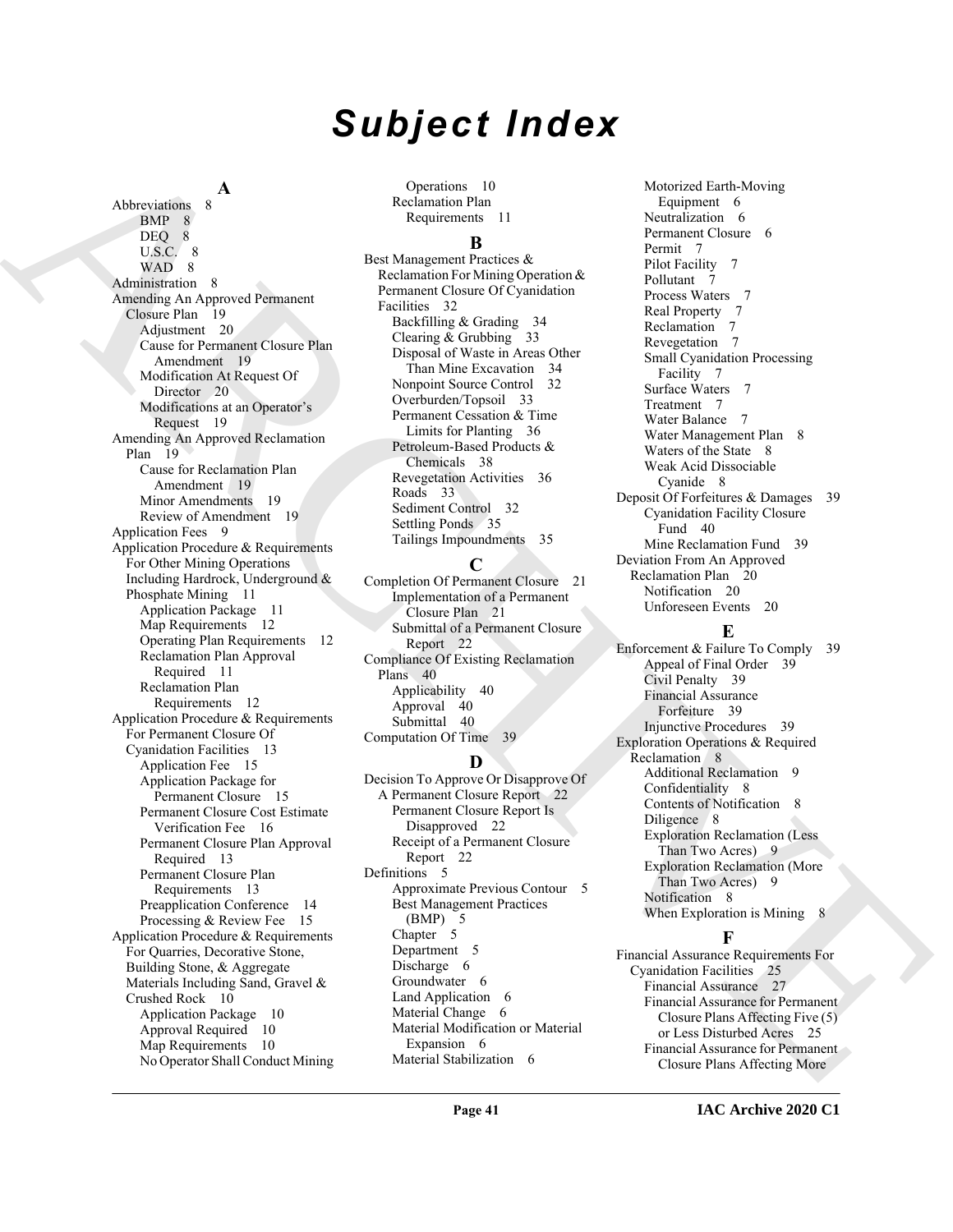# *Subject Index*

**A**

Also contains A<br>
Archives and the statements in the statements of the statements in the statements of the statements of the statements of the statements of the statements of the statements of the statements of the stateme Abbreviations 8 BMP 8 DEQ 8 U.S.C. 8 WAD 8 Administration 8 Amending An Approved Permanent Closure Plan 19 Adjustment 20 Cause for Permanent Closure Plan Amendment 19 Modification At Request Of Director 20 Modifications at an Operator's Request 19 Amending An Approved Reclamation Plan 19 Cause for Reclamation Plan Amendment 19 Minor Amendments Review of Amendment 19 Application Fees 9 Application Procedure & Requirements For Other Mining Operations Including Hardrock, Underground & Phosphate Mining 11 Application Package 11 Map Requirements 12 Operating Plan Requirements 12 Reclamation Plan Approval Required 11 Reclamation Plan Requirements 12 Application Procedure & Requirements For Permanent Closure Of Cyanidation Facilities 13 Application Fee 15 Application Package for Permanent Closure 15 Permanent Closure Cost Estimate Verification Fee 16 Permanent Closure Plan Approval Required 13 Permanent Closure Plan Requirements 13 Preapplication Conference 14 Processing & Review Fee 15 Application Procedure & Requirements For Quarries, Decorative Stone, Building Stone, & Aggregate Materials Including Sand, Gravel & Crushed Rock 10 Application Package 10 Approval Required 10 Map Requirements 10 No Operator Shall Conduct Mining

Operations 10 Reclamation Plan Requirements 11

### **B**

Best Management Practices & Reclamation For Mining Operation & Permanent Closure Of Cyanidation Facilities 32 Backfilling & Grading 34 Clearing & Grubbing 33 Disposal of Waste in Areas Other Than Mine Excavation 34 Nonpoint Source Control 32 Overburden/Topsoil 33 Permanent Cessation & Time Limits for Planting 36 Petroleum-Based Products & Chemicals 38 Revegetation Activities 36 Roads 33 Sediment Control 32 Settling Ponds 35 Tailings Impoundments 35

### **C**

Completion Of Permanent Closure 21 Implementation of a Permanent Closure Plan 21 Submittal of a Permanent Closure Report 22 Compliance Of Existing Reclamation Plans 40 Applicability 40 Approval 40 Submittal 40 Computation Of Time 39

# **D**

Decision To Approve Or Disapprove Of A Permanent Closure Report 22 Permanent Closure Report Is Disapproved 22 Receipt of a Permanent Closure Report 22 Definitions 5 Approximate Previous Contour 5 Best Management Practices (BMP) 5 Chapter 5 Department 5 Discharge 6 Groundwater 6 Land Application 6 Material Change 6 Material Modification or Material Expansion 6 Material Stabilization 6

Motorized Earth-Moving Equipment 6 Neutralization 6 Permanent Closure 6 Permit 7 Pilot Facility Pollutant 7 Process Waters 7 Real Property 7 Reclamation 7 Revegetation 7 Small Cyanidation Processing Facility 7 Surface Waters 7 Treatment 7 Water Balance 7 Water Management Plan 8 Waters of the State 8 Weak Acid Dissociable Cyanide 8 Deposit Of Forfeitures & Damages 39 Cyanidation Facility Closure Fund 40 Mine Reclamation Fund 39 Deviation From An Approved Reclamation Plan 20 Notification 20

# **E**

Unforeseen Events 20

Enforcement & Failure To Comply 39 Appeal of Final Order 39 Civil Penalty 39 Financial Assurance Forfeiture 39 Injunctive Procedures 39 Exploration Operations & Required Reclamation 8 Additional Reclamation 9 Confidentiality 8 Contents of Notification 8 Diligence 8 Exploration Reclamation (Less Than Two Acres) 9 Exploration Reclamation (More Than Two Acres) 9 Notification 8 When Exploration is Mining 8

# **F**

Financial Assurance Requirements For Cyanidation Facilities 25 Financial Assurance 27 Financial Assurance for Permanent Closure Plans Affecting Five (5) or Less Disturbed Acres 25 Financial Assurance for Permanent Closure Plans Affecting More